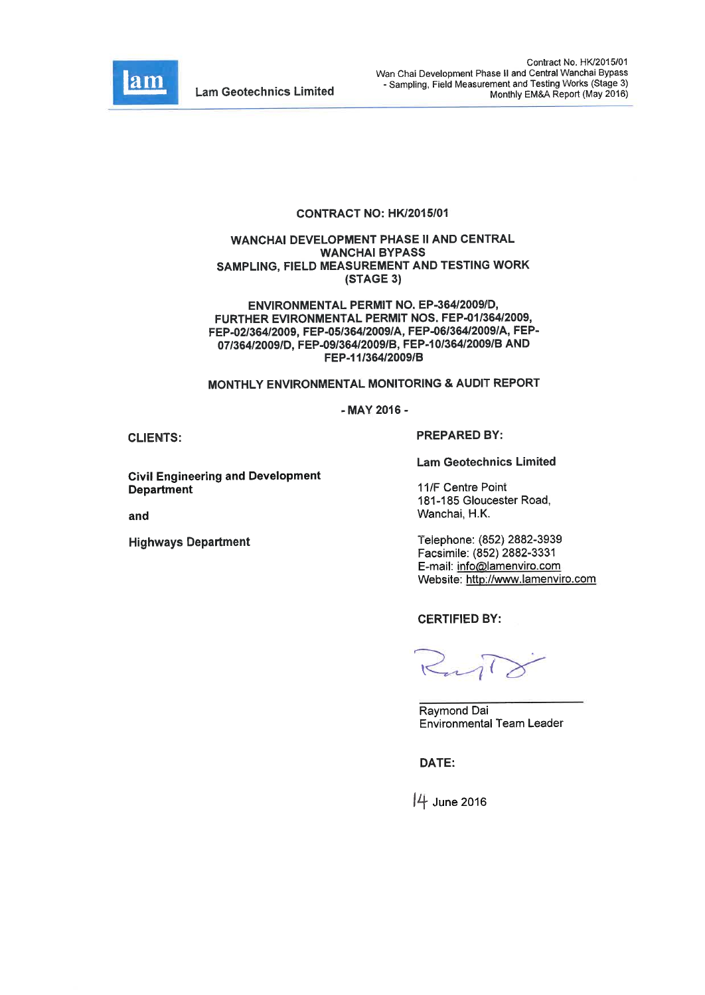

#### CONTRACT NO: HK/2015/01

#### WANCHAI DEVELOPMENT PHASE II AND CENTRAL **WANCHAI BYPASS** SAMPLING, FIELD MEASUREMENT AND TESTING WORK (STAGE 3)

ENVIRONMENTAL PERMIT NO. EP-364/2009/D, FURTHER EVIRONMENTAL PERMIT NOS. FEP-01/364/2009, FEP-02/364/2009, FEP-05/364/2009/A, FEP-06/364/2009/A, FEP-07/364/2009/D. FEP-09/364/2009/B, FEP-10/364/2009/B AND FEP-11/364/2009/B

# MONTHLY ENVIRONMENTAL MONITORING & AUDIT REPORT

- MAY 2016 -

**CLIENTS:** 

**Civil Engineering and Development Department** 

and

**Highways Department** 

**PREPARED BY:** 

**Lam Geotechnics Limited** 

11/F Centre Point 181-185 Gloucester Road, Wanchai, H.K.

Telephone: (852) 2882-3939 Facsimile: (852) 2882-3331 E-mail: info@lamenviro.com Website: http://www.lamenviro.com

**CERTIFIED BY:** 

Raymond Dai **Environmental Team Leader** 

DATE:

4 June 2016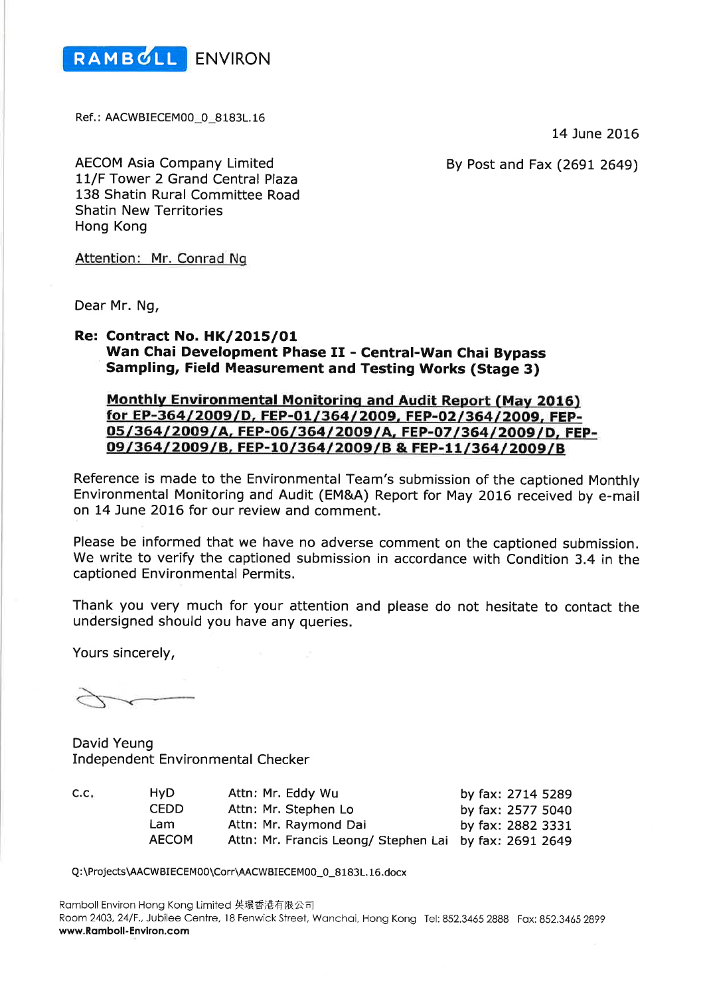

Ref.: AACWBIECEM00\_0\_8183L.16

14 June 2016

By Post and Fax (2691 2649)

**AECOM Asia Company Limited** 11/F Tower 2 Grand Central Plaza 138 Shatin Rural Committee Road **Shatin New Territories** Hong Kong

Attention: Mr. Conrad Ng

Dear Mr. Ng,

### **Re: Contract No. HK/2015/01** Wan Chai Development Phase II - Central-Wan Chai Bypass **Sampling, Field Measurement and Testing Works (Stage 3)**

# **Monthly Environmental Monitoring and Audit Report (May 2016)** for EP-364/2009/D, FEP-01/364/2009, FEP-02/364/2009, FEP-05/364/2009/A, FEP-06/364/2009/A, FEP-07/364/2009/D, FEP-09/364/2009/B, FEP-10/364/2009/B & FEP-11/364/2009/B

Reference is made to the Environmental Team's submission of the captioned Monthly Environmental Monitoring and Audit (EM&A) Report for May 2016 received by e-mail on 14 June 2016 for our review and comment.

Please be informed that we have no adverse comment on the captioned submission. We write to verify the captioned submission in accordance with Condition 3.4 in the captioned Environmental Permits.

Thank you very much for your attention and please do not hesitate to contact the undersigned should you have any queries.

Yours sincerely,

David Yeung **Independent Environmental Checker** 

| C.C. | HvD.         | Attn: Mr. Eddy Wu                                      | by fax: 2714 5289 |
|------|--------------|--------------------------------------------------------|-------------------|
|      | CEDD.        | Attn: Mr. Stephen Lo                                   | by fax: 2577 5040 |
|      | Lam          | Attn: Mr. Raymond Dai                                  | by fax: 2882 3331 |
|      | <b>AECOM</b> | Attn: Mr. Francis Leong/ Stephen Lai by fax: 2691 2649 |                   |

Q:\Projects\AACWBIECEM00\Corr\AACWBIECEM00\_0\_8183L.16.docx

Ramboll Environ Hong Kong Limited 英環香港有限公司 Room 2403, 24/F., Jubilee Centre, 18 Fenwick Street, Wanchai, Hong Kong Tel: 852.3465 2888 Fax: 852.3465 2899 www.Ramboll-Environ.com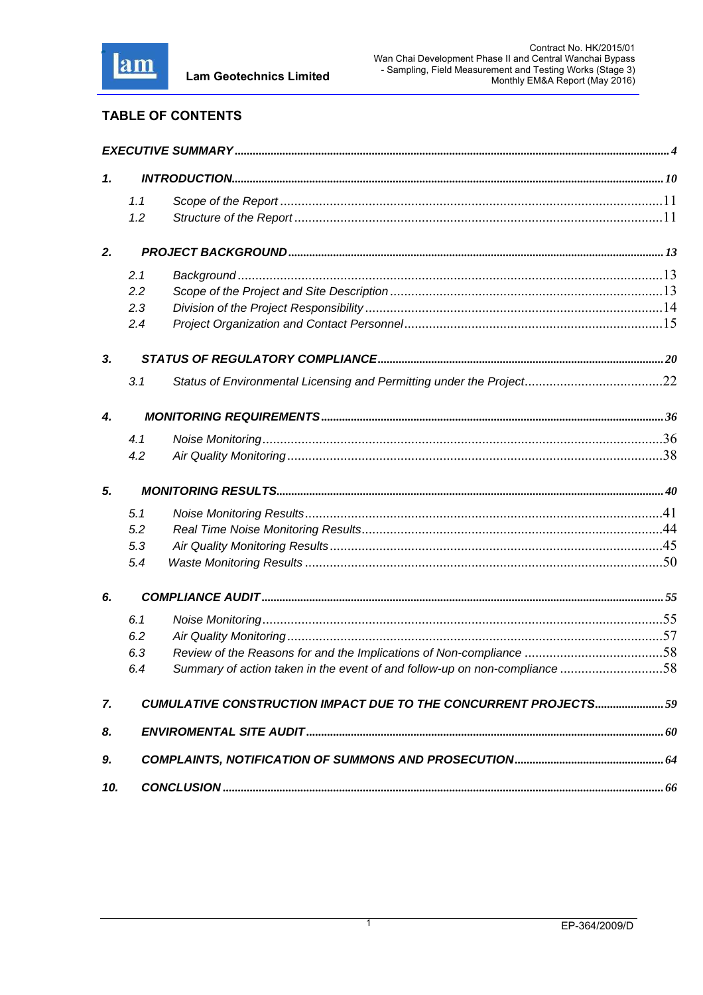

# **TABLE OF CONTENTS**

| 1.  |     |                                                                           |  |
|-----|-----|---------------------------------------------------------------------------|--|
|     | 1.1 |                                                                           |  |
|     | 1.2 |                                                                           |  |
|     |     |                                                                           |  |
| 2.  |     |                                                                           |  |
|     | 2.1 |                                                                           |  |
|     | 2.2 |                                                                           |  |
|     | 2.3 |                                                                           |  |
|     | 2.4 |                                                                           |  |
| 3.  |     |                                                                           |  |
|     | 3.1 |                                                                           |  |
| 4.  |     |                                                                           |  |
|     | 4.1 |                                                                           |  |
|     | 4.2 |                                                                           |  |
| 5.  |     |                                                                           |  |
|     | 5.1 |                                                                           |  |
|     | 5.2 |                                                                           |  |
|     | 5.3 |                                                                           |  |
|     | 5.4 |                                                                           |  |
| 6.  |     |                                                                           |  |
|     | 6.1 |                                                                           |  |
|     | 6.2 |                                                                           |  |
|     | 6.3 | Review of the Reasons for and the Implications of Non-compliance 58       |  |
|     | 6.4 | Summary of action taken in the event of and follow-up on non-compliance58 |  |
| 7.  |     | <b>CUMULATIVE CONSTRUCTION IMPACT DUE TO THE CONCURRENT PROJECTS 59</b>   |  |
| 8.  |     |                                                                           |  |
| 9.  |     |                                                                           |  |
| 10. |     |                                                                           |  |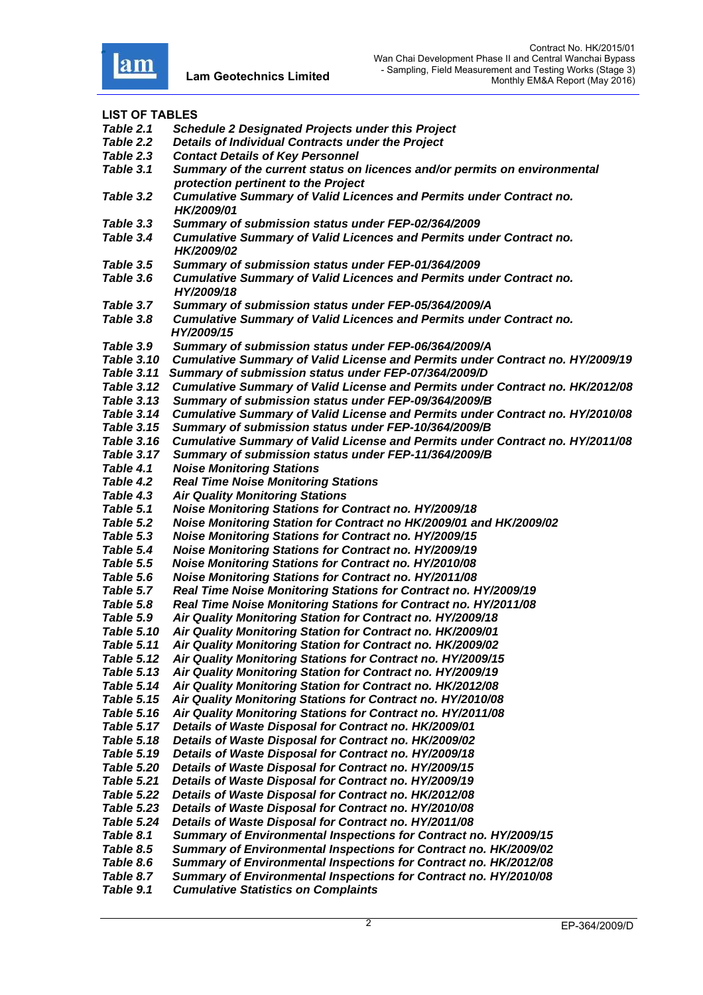

**LIST OF TABLES**  *Table 2.1 Schedule 2 Designated Projects under this Project Table 2.2 Details of Individual Contracts under the Project Table 2.3 Contact Details of Key Personnel Table 3.1 Summary of the current status on licences and/or permits on environmental protection pertinent to the Project Table 3.2 Cumulative Summary of Valid Licences and Permits under Contract no. HK/2009/01 Table 3.3 Summary of submission status under FEP-02/364/2009 Table 3.4 Cumulative Summary of Valid Licences and Permits under Contract no. HK/2009/02*<br>Table 3.5 *Summary o Table 3.5 Summary of submission status under FEP-01/364/2009 Table 3.6 Cumulative Summary of Valid Licences and Permits under Contract no. HY/2009/18 Table 3.7 Summary of submission status under FEP-05/364/2009/A Table 3.8 Cumulative Summary of Valid Licences and Permits under Contract no. HY/2009/15 Table 3.9 Summary of submission status under FEP-06/364/2009/A Table 3.10 Cumulative Summary of Valid License and Permits under Contract no. HY/2009/19 Table 3.11 Summary of submission status under FEP-07/364/2009/D Table 3.12 Cumulative Summary of Valid License and Permits under Contract no. HK/2012/08 Table 3.13 Summary of submission status under FEP-09/364/2009/B Table 3.14 Cumulative Summary of Valid License and Permits under Contract no. HY/2010/08 Table 3.15 Summary of submission status under FEP-10/364/2009/B Table 3.16 Cumulative Summary of Valid License and Permits under Contract no. HY/2011/08 Table 3.17 Summary of submission status under FEP-11/364/2009/B Table 4.1 Noise Monitoring Stations Table 4.2 Real Time Noise Monitoring Stations Table 4.3 Air Quality Monitoring Stations Table 5.1 Noise Monitoring Stations for Contract no. HY/2009/18 Table 5.2 Noise Monitoring Station for Contract no HK/2009/01 and HK/2009/02* **Noise Monitoring Stations for Contract no. HY/2009/15** *Table 5.4 Noise Monitoring Stations for Contract no. HY/2009/19 Table 5.5 Noise Monitoring Stations for Contract no. HY/2010/08 Table 5.6 Noise Monitoring Stations for Contract no. HY/2011/08 Table 5.7 Real Time Noise Monitoring Stations for Contract no. HY/2009/19 Table 5.8 Real Time Noise Monitoring Stations for Contract no. HY/2011/08 Table 5.9 Air Quality Monitoring Station for Contract no. HY/2009/18 Table 5.10 Air Quality Monitoring Station for Contract no. HK/2009/01 Table 5.11 Air Quality Monitoring Station for Contract no. HK/2009/02 Table 5.12 Air Quality Monitoring Stations for Contract no. HY/2009/15 Table 5.13 Air Quality Monitoring Station for Contract no. HY/2009/19 Table 5.14 Air Quality Monitoring Station for Contract no. HK/2012/08 Table 5.15 Air Quality Monitoring Stations for Contract no. HY/2010/08 Table 5.16 Air Quality Monitoring Stations for Contract no. HY/2011/08 Table 5.17 Details of Waste Disposal for Contract no. HK/2009/01 Table 5.18 Details of Waste Disposal for Contract no. HK/2009/02 Table 5.19 Details of Waste Disposal for Contract no. HY/2009/18 Table 5.20 Details of Waste Disposal for Contract no. HY/2009/15 Table 5.21 Details of Waste Disposal for Contract no. HY/2009/19 Table 5.22 Details of Waste Disposal for Contract no. HK/2012/08 Table 5.23 Details of Waste Disposal for Contract no. HY/2010/08 Table 5.24 Details of Waste Disposal for Contract no. HY/2011/08 Table 8.1 Summary of Environmental Inspections for Contract no. HY/2009/15 Table 8.5 Summary of Environmental Inspections for Contract no. HK/2009/02 Table 8.6 Summary of Environmental Inspections for Contract no. HK/2012/08 Table 8.7 Summary of Environmental Inspections for Contract no. HY/2010/08 Table 9.1 Cumulative Statistics on Complaints*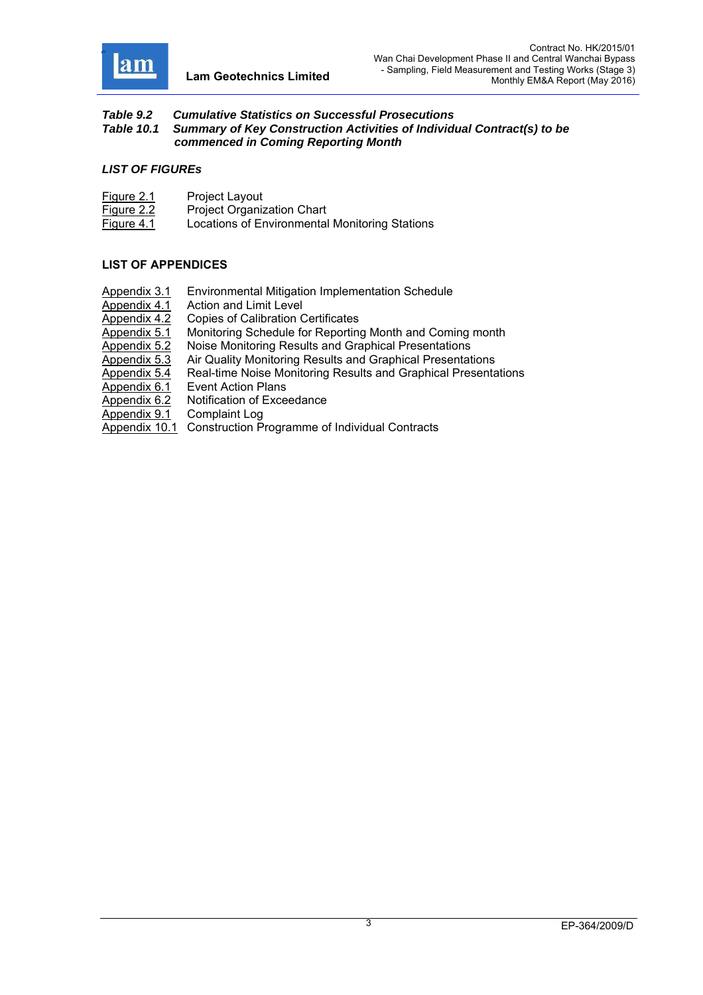

#### *Table 9.2 Cumulative Statistics on Successful Prosecutions Table 10.1 Summary of Key Construction Activities of Individual Contract(s) to be commenced in Coming Reporting Month*

#### *LIST OF FIGUREs*

| Figure 2.1 | Project Layout                                 |
|------------|------------------------------------------------|
| Figure 2.2 | <b>Project Organization Chart</b>              |
| Figure 4.1 | Locations of Environmental Monitoring Stations |

### **LIST OF APPENDICES**

- Appendix 3.1 Environmental Mitigation Implementation Schedule
- 
- Appendix 4.1 Action and Limit Level<br>Appendix 4.2 Copies of Calibration C
- Appendix 4.2 Copies of Calibration Certificates<br>Appendix 5.1 Monitoring Schedule for Reporting Monitoring Schedule for Reporting Month and Coming month
- Appendix 5.2 Noise Monitoring Results and Graphical Presentations
- Appendix 5.3 Air Quality Monitoring Results and Graphical Presentations
- Appendix 5.4 Real-time Noise Monitoring Results and Graphical Presentations
- Appendix 6.1 Event Action Plans
- Appendix 6.2 Notification of Exceedance
- Appendix 9.1 Complaint Log
- Appendix 10.1 Construction Programme of Individual Contracts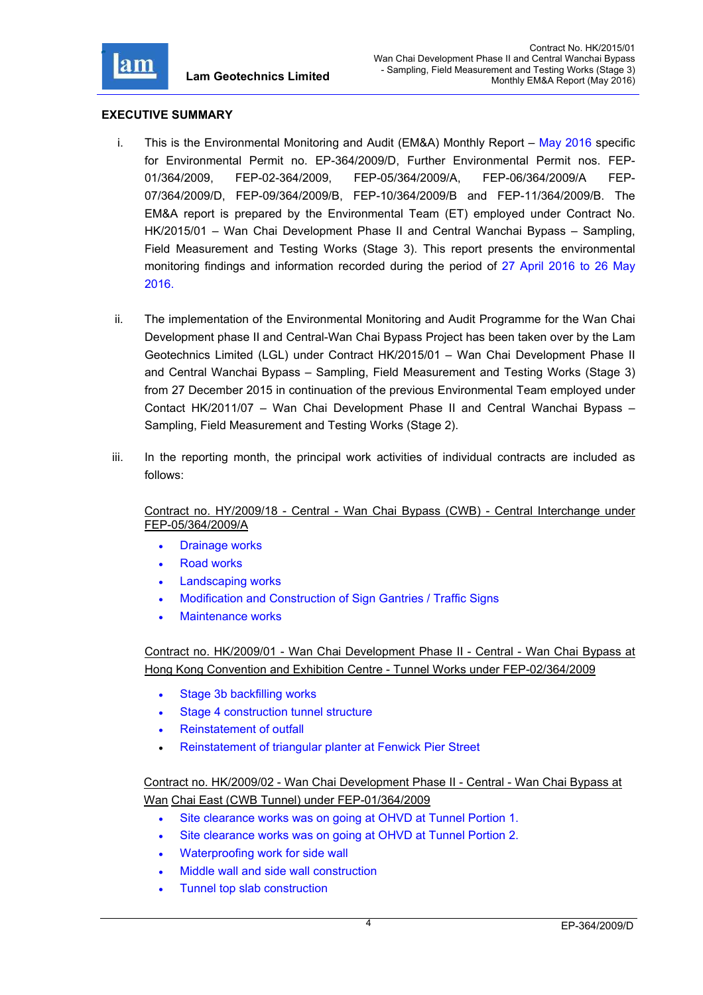

### **EXECUTIVE SUMMARY**

- i. This is the Environmental Monitoring and Audit (EM&A) Monthly Report May 2016 specific for Environmental Permit no. EP-364/2009/D, Further Environmental Permit nos. FEP-01/364/2009, FEP-02-364/2009, FEP-05/364/2009/A, FEP-06/364/2009/A FEP-07/364/2009/D, FEP-09/364/2009/B, FEP-10/364/2009/B and FEP-11/364/2009/B. The EM&A report is prepared by the Environmental Team (ET) employed under Contract No. HK/2015/01 – Wan Chai Development Phase II and Central Wanchai Bypass – Sampling, Field Measurement and Testing Works (Stage 3). This report presents the environmental monitoring findings and information recorded during the period of 27 April 2016 to 26 May 2016.
- ii. The implementation of the Environmental Monitoring and Audit Programme for the Wan Chai Development phase II and Central-Wan Chai Bypass Project has been taken over by the Lam Geotechnics Limited (LGL) under Contract HK/2015/01 – Wan Chai Development Phase II and Central Wanchai Bypass – Sampling, Field Measurement and Testing Works (Stage 3) from 27 December 2015 in continuation of the previous Environmental Team employed under Contact HK/2011/07 – Wan Chai Development Phase II and Central Wanchai Bypass – Sampling, Field Measurement and Testing Works (Stage 2).
- iii. In the reporting month, the principal work activities of individual contracts are included as follows:

Contract no. HY/2009/18 - Central - Wan Chai Bypass (CWB) - Central Interchange under FEP-05/364/2009/A

- Drainage works
- Road works
- Landscaping works
- Modification and Construction of Sign Gantries / Traffic Signs
- Maintenance works

Contract no. HK/2009/01 - Wan Chai Development Phase II - Central - Wan Chai Bypass at Hong Kong Convention and Exhibition Centre - Tunnel Works under FEP-02/364/2009

- Stage 3b backfilling works
- Stage 4 construction tunnel structure
- Reinstatement of outfall
- Reinstatement of triangular planter at Fenwick Pier Street

Contract no. HK/2009/02 - Wan Chai Development Phase II - Central - Wan Chai Bypass at Wan Chai East (CWB Tunnel) under FEP-01/364/2009

- Site clearance works was on going at OHVD at Tunnel Portion 1.
- Site clearance works was on going at OHVD at Tunnel Portion 2.
- Waterproofing work for side wall
- Middle wall and side wall construction
- Tunnel top slab construction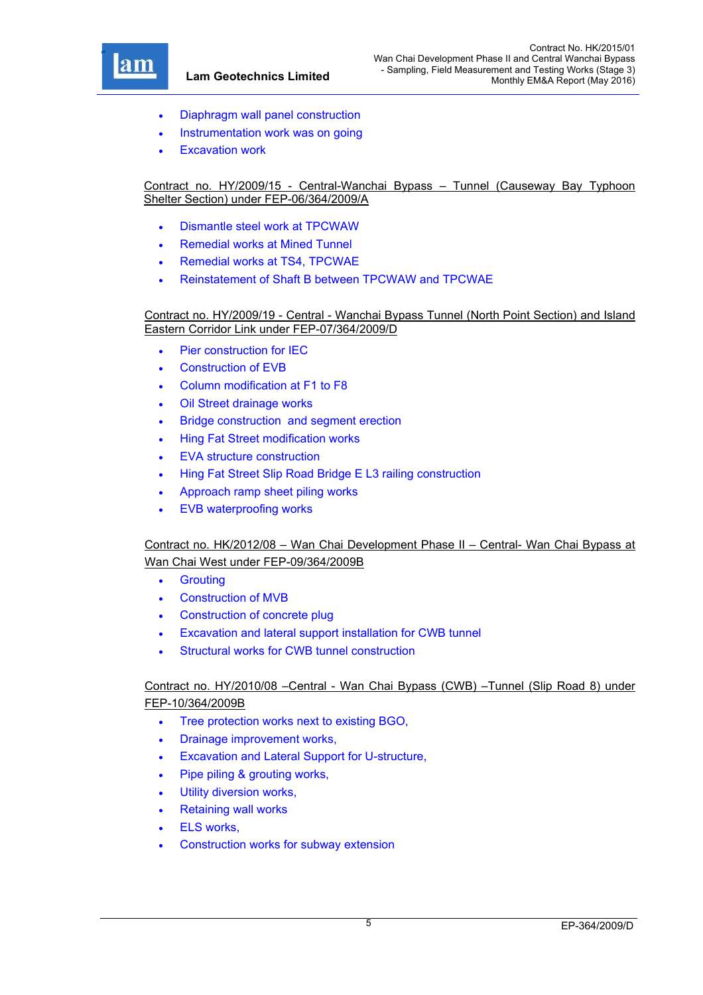

- Diaphragm wall panel construction
- Instrumentation work was on going
- Excavation work

### Contract no. HY/2009/15 - Central-Wanchai Bypass – Tunnel (Causeway Bay Typhoon Shelter Section) under FEP-06/364/2009/A

- Dismantle steel work at TPCWAW
- Remedial works at Mined Tunnel
- Remedial works at TS4, TPCWAE
- Reinstatement of Shaft B between TPCWAW and TPCWAE

#### Contract no. HY/2009/19 - Central - Wanchai Bypass Tunnel (North Point Section) and Island Eastern Corridor Link under FEP-07/364/2009/D

- Pier construction for IEC
- Construction of EVB
- Column modification at F1 to F8
- Oil Street drainage works
- Bridge construction and segment erection
- Hing Fat Street modification works
- EVA structure construction
- Hing Fat Street Slip Road Bridge E L3 railing construction
- Approach ramp sheet piling works
- EVB waterproofing works

# Contract no. HK/2012/08 – Wan Chai Development Phase II – Central- Wan Chai Bypass at Wan Chai West under FEP-09/364/2009B

- **•** Grouting
- Construction of MVB
- Construction of concrete plug
- Excavation and lateral support installation for CWB tunnel
- Structural works for CWB tunnel construction

# Contract no. HY/2010/08 –Central - Wan Chai Bypass (CWB) –Tunnel (Slip Road 8) under FEP-10/364/2009B

- Tree protection works next to existing BGO,
- Drainage improvement works,
- Excavation and Lateral Support for U-structure,
- Pipe piling & grouting works,
- Utility diversion works,
- Retaining wall works
- ELS works,
- Construction works for subway extension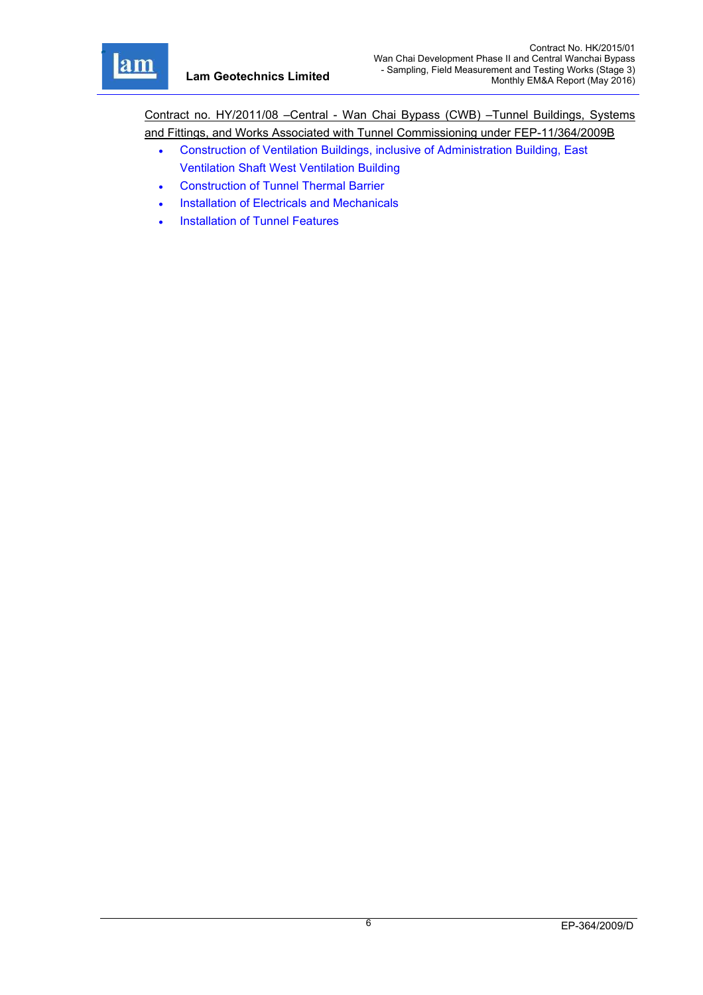r

Contract no. HY/2011/08 –Central - Wan Chai Bypass (CWB) –Tunnel Buildings, Systems and Fittings, and Works Associated with Tunnel Commissioning under FEP-11/364/2009B

- Construction of Ventilation Buildings, inclusive of Administration Building, East Ventilation Shaft West Ventilation Building
- Construction of Tunnel Thermal Barrier
- Installation of Electricals and Mechanicals
- Installation of Tunnel Features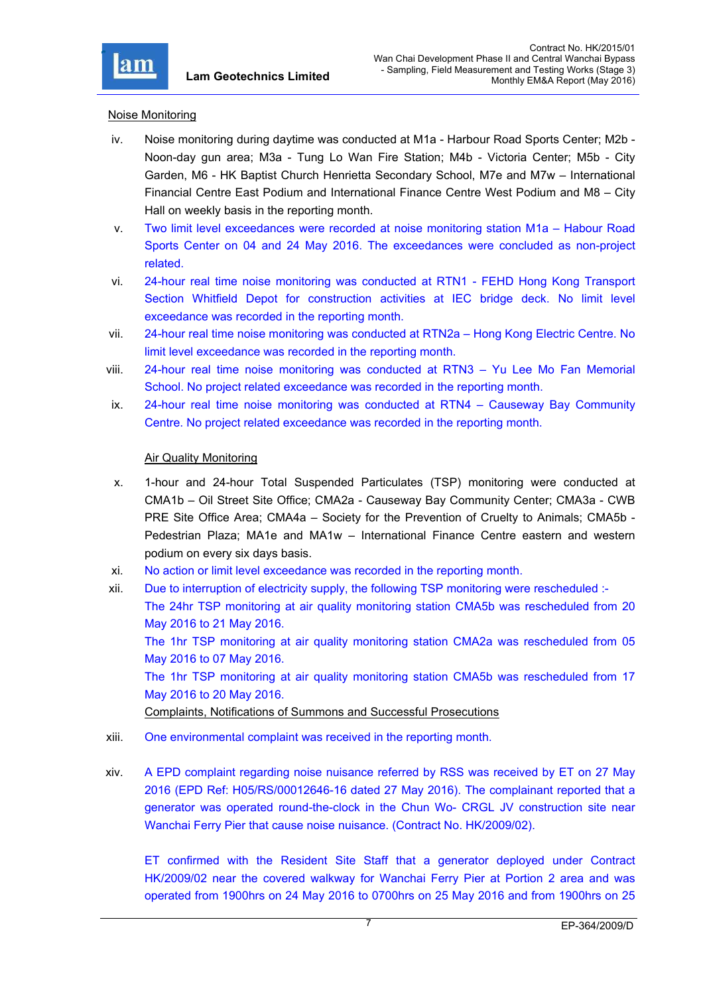

### Noise Monitoring

- iv. Noise monitoring during daytime was conducted at M1a Harbour Road Sports Center; M2b Noon-day gun area; M3a - Tung Lo Wan Fire Station; M4b - Victoria Center; M5b - City Garden, M6 - HK Baptist Church Henrietta Secondary School, M7e and M7w – International Financial Centre East Podium and International Finance Centre West Podium and M8 – City Hall on weekly basis in the reporting month.
- v. Two limit level exceedances were recorded at noise monitoring station M1a Habour Road Sports Center on 04 and 24 May 2016. The exceedances were concluded as non-project related.
- vi. 24-hour real time noise monitoring was conducted at RTN1 FEHD Hong Kong Transport Section Whitfield Depot for construction activities at IEC bridge deck. No limit level exceedance was recorded in the reporting month.
- vii. 24-hour real time noise monitoring was conducted at RTN2a Hong Kong Electric Centre. No limit level exceedance was recorded in the reporting month.
- viii. 24-hour real time noise monitoring was conducted at RTN3 Yu Lee Mo Fan Memorial School. No project related exceedance was recorded in the reporting month.
- ix. 24-hour real time noise monitoring was conducted at RTN4 Causeway Bay Community Centre. No project related exceedance was recorded in the reporting month.

#### Air Quality Monitoring

- x. 1-hour and 24-hour Total Suspended Particulates (TSP) monitoring were conducted at CMA1b – Oil Street Site Office; CMA2a - Causeway Bay Community Center; CMA3a - CWB PRE Site Office Area; CMA4a – Society for the Prevention of Cruelty to Animals; CMA5b - Pedestrian Plaza; MA1e and MA1w – International Finance Centre eastern and western podium on every six days basis.
- xi. No action or limit level exceedance was recorded in the reporting month.
- xii. Due to interruption of electricity supply, the following TSP monitoring were rescheduled :- The 24hr TSP monitoring at air quality monitoring station CMA5b was rescheduled from 20 May 2016 to 21 May 2016. The 1hr TSP monitoring at air quality monitoring station CMA2a was rescheduled from 05 May 2016 to 07 May 2016. The 1hr TSP monitoring at air quality monitoring station CMA5b was rescheduled from 17 May 2016 to 20 May 2016. Complaints, Notifications of Summons and Successful Prosecutions
- xiii. One environmental complaint was received in the reporting month.
- xiv. A EPD complaint regarding noise nuisance referred by RSS was received by ET on 27 May 2016 (EPD Ref: H05/RS/00012646-16 dated 27 May 2016). The complainant reported that a generator was operated round-the-clock in the Chun Wo- CRGL JV construction site near Wanchai Ferry Pier that cause noise nuisance. (Contract No. HK/2009/02).

ET confirmed with the Resident Site Staff that a generator deployed under Contract HK/2009/02 near the covered walkway for Wanchai Ferry Pier at Portion 2 area and was operated from 1900hrs on 24 May 2016 to 0700hrs on 25 May 2016 and from 1900hrs on 25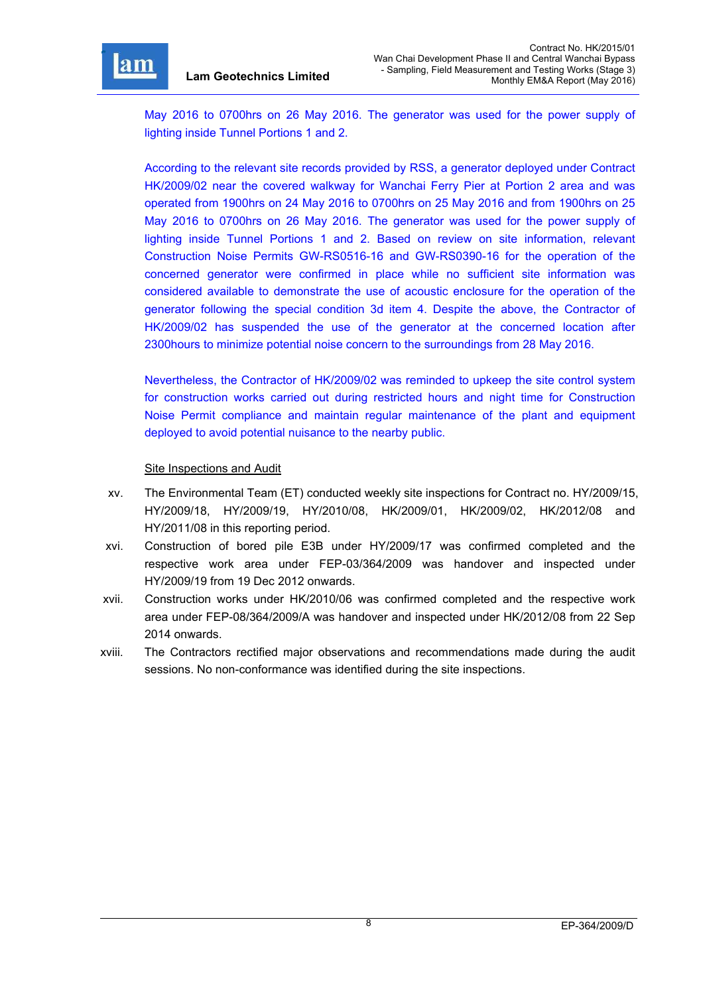

r

May 2016 to 0700hrs on 26 May 2016. The generator was used for the power supply of lighting inside Tunnel Portions 1 and 2.

According to the relevant site records provided by RSS, a generator deployed under Contract HK/2009/02 near the covered walkway for Wanchai Ferry Pier at Portion 2 area and was operated from 1900hrs on 24 May 2016 to 0700hrs on 25 May 2016 and from 1900hrs on 25 May 2016 to 0700hrs on 26 May 2016. The generator was used for the power supply of lighting inside Tunnel Portions 1 and 2. Based on review on site information, relevant Construction Noise Permits GW-RS0516-16 and GW-RS0390-16 for the operation of the concerned generator were confirmed in place while no sufficient site information was considered available to demonstrate the use of acoustic enclosure for the operation of the generator following the special condition 3d item 4. Despite the above, the Contractor of HK/2009/02 has suspended the use of the generator at the concerned location after 2300hours to minimize potential noise concern to the surroundings from 28 May 2016.

Nevertheless, the Contractor of HK/2009/02 was reminded to upkeep the site control system for construction works carried out during restricted hours and night time for Construction Noise Permit compliance and maintain regular maintenance of the plant and equipment deployed to avoid potential nuisance to the nearby public.

#### Site Inspections and Audit

- xv. The Environmental Team (ET) conducted weekly site inspections for Contract no. HY/2009/15, HY/2009/18, HY/2009/19, HY/2010/08, HK/2009/01, HK/2009/02, HK/2012/08 and HY/2011/08 in this reporting period.
- xvi. Construction of bored pile E3B under HY/2009/17 was confirmed completed and the respective work area under FEP-03/364/2009 was handover and inspected under HY/2009/19 from 19 Dec 2012 onwards.
- xvii. Construction works under HK/2010/06 was confirmed completed and the respective work area under FEP-08/364/2009/A was handover and inspected under HK/2012/08 from 22 Sep 2014 onwards.
- xviii. The Contractors rectified major observations and recommendations made during the audit sessions. No non-conformance was identified during the site inspections.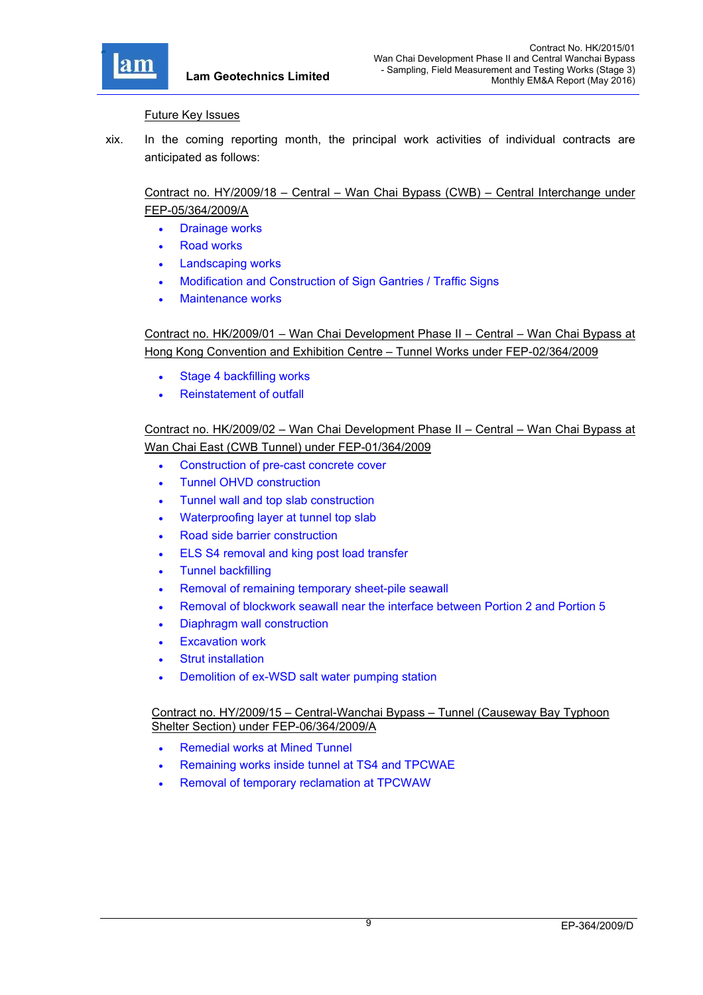

#### Future Key Issues

xix. In the coming reporting month, the principal work activities of individual contracts are anticipated as follows:

# Contract no. HY/2009/18 – Central – Wan Chai Bypass (CWB) – Central Interchange under FEP-05/364/2009/A

- Drainage works
- Road works
- Landscaping works
- Modification and Construction of Sign Gantries / Traffic Signs
- Maintenance works

Contract no. HK/2009/01 – Wan Chai Development Phase II – Central – Wan Chai Bypass at Hong Kong Convention and Exhibition Centre – Tunnel Works under FEP-02/364/2009

- Stage 4 backfilling works
- Reinstatement of outfall

# Contract no. HK/2009/02 – Wan Chai Development Phase II – Central – Wan Chai Bypass at Wan Chai East (CWB Tunnel) under FEP-01/364/2009

- Construction of pre-cast concrete cover
- Tunnel OHVD construction
- Tunnel wall and top slab construction
- Waterproofing layer at tunnel top slab
- Road side barrier construction
- **ELS S4 removal and king post load transfer**
- Tunnel backfilling
- Removal of remaining temporary sheet-pile seawall
- Removal of blockwork seawall near the interface between Portion 2 and Portion 5
- Diaphragm wall construction
- Excavation work
- Strut installation
- Demolition of ex-WSD salt water pumping station

Contract no. HY/2009/15 – Central-Wanchai Bypass – Tunnel (Causeway Bay Typhoon Shelter Section) under FEP-06/364/2009/A

- **Remedial works at Mined Tunnel**
- Remaining works inside tunnel at TS4 and TPCWAE
- Removal of temporary reclamation at TPCWAW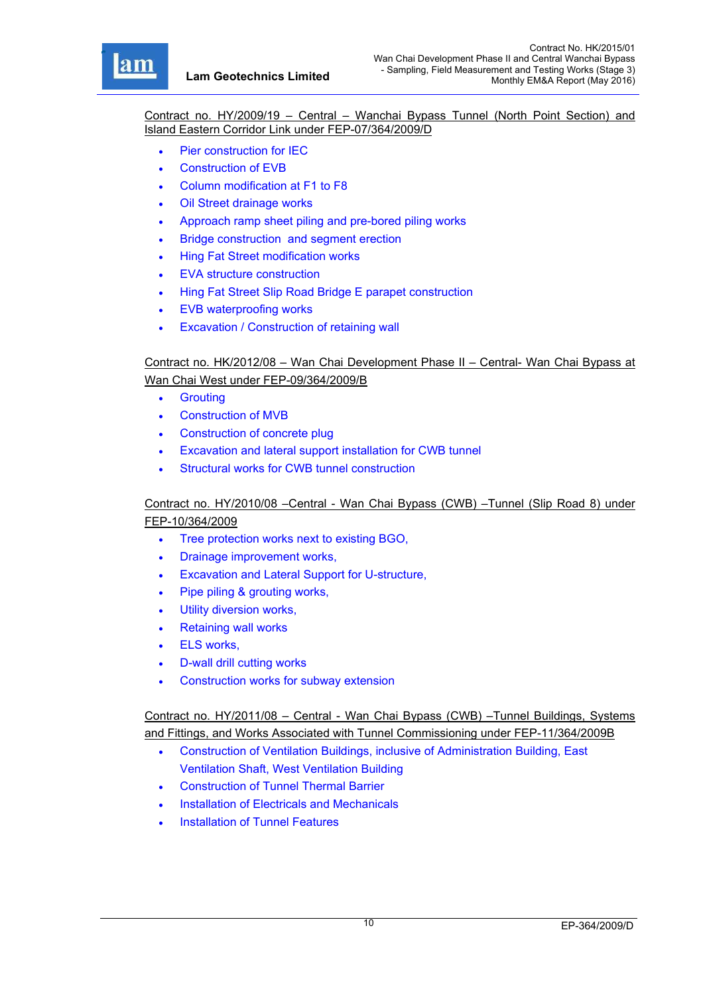r

Contract no. HY/2009/19 – Central – Wanchai Bypass Tunnel (North Point Section) and Island Eastern Corridor Link under FEP-07/364/2009/D

- Pier construction for IEC
- Construction of EVB
- Column modification at F1 to F8
- Oil Street drainage works
- Approach ramp sheet piling and pre-bored piling works
- Bridge construction and segment erection
- Hing Fat Street modification works
- EVA structure construction
- Hing Fat Street Slip Road Bridge E parapet construction
- EVB waterproofing works
- Excavation / Construction of retaining wall

Contract no. HK/2012/08 – Wan Chai Development Phase II – Central- Wan Chai Bypass at Wan Chai West under FEP-09/364/2009/B

- **•** Grouting
- Construction of MVB
- Construction of concrete plug
- Excavation and lateral support installation for CWB tunnel
- Structural works for CWB tunnel construction

## Contract no. HY/2010/08 –Central - Wan Chai Bypass (CWB) –Tunnel (Slip Road 8) under FEP-10/364/2009

- Tree protection works next to existing BGO,
- Drainage improvement works,
- Excavation and Lateral Support for U-structure,
- Pipe piling & grouting works,
- Utility diversion works,
- Retaining wall works
- ELS works,
- D-wall drill cutting works
- Construction works for subway extension

Contract no. HY/2011/08 – Central - Wan Chai Bypass (CWB) –Tunnel Buildings, Systems and Fittings, and Works Associated with Tunnel Commissioning under FEP-11/364/2009B

- Construction of Ventilation Buildings, inclusive of Administration Building, East Ventilation Shaft, West Ventilation Building
- Construction of Tunnel Thermal Barrier
- Installation of Electricals and Mechanicals
- Installation of Tunnel Features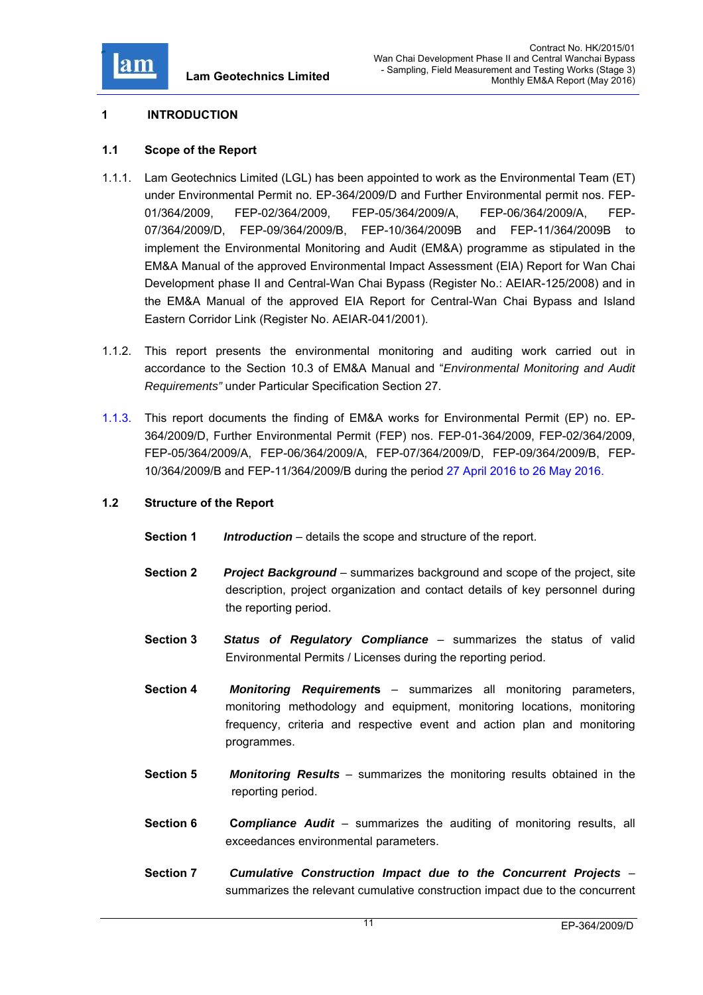

# **1 INTRODUCTION**

## **1.1 Scope of the Report**

- 1.1.1. Lam Geotechnics Limited (LGL) has been appointed to work as the Environmental Team (ET) under Environmental Permit no. EP-364/2009/D and Further Environmental permit nos. FEP-01/364/2009, FEP-02/364/2009, FEP-05/364/2009/A, FEP-06/364/2009/A, FEP-07/364/2009/D, FEP-09/364/2009/B, FEP-10/364/2009B and FEP-11/364/2009B to implement the Environmental Monitoring and Audit (EM&A) programme as stipulated in the EM&A Manual of the approved Environmental Impact Assessment (EIA) Report for Wan Chai Development phase II and Central-Wan Chai Bypass (Register No.: AEIAR-125/2008) and in the EM&A Manual of the approved EIA Report for Central-Wan Chai Bypass and Island Eastern Corridor Link (Register No. AEIAR-041/2001).
- 1.1.2. This report presents the environmental monitoring and auditing work carried out in accordance to the Section 10.3 of EM&A Manual and "*Environmental Monitoring and Audit Requirements"* under Particular Specification Section 27.
- 1.1.3. This report documents the finding of EM&A works for Environmental Permit (EP) no. EP-364/2009/D, Further Environmental Permit (FEP) nos. FEP-01-364/2009, FEP-02/364/2009, FEP-05/364/2009/A, FEP-06/364/2009/A, FEP-07/364/2009/D, FEP-09/364/2009/B, FEP-10/364/2009/B and FEP-11/364/2009/B during the period 27 April 2016 to 26 May 2016.

### **1.2 Structure of the Report**

- **Section 1** *Introduction* details the scope and structure of the report.
- **Section 2** *Project Background* summarizes background and scope of the project, site description, project organization and contact details of key personnel during the reporting period.
- **Section 3** *Status of Regulatory Compliance* summarizes the status of valid Environmental Permits / Licenses during the reporting period.
- **Section 4** *Monitoring Requirement***s** summarizes all monitoring parameters, monitoring methodology and equipment, monitoring locations, monitoring frequency, criteria and respective event and action plan and monitoring programmes.
- **Section 5** *Monitoring Results* summarizes the monitoring results obtained in the reporting period.
- **Section 6 C***ompliance Audit* summarizes the auditing of monitoring results, all exceedances environmental parameters.
- **Section 7** *Cumulative Construction Impact due to the Concurrent Projects*  summarizes the relevant cumulative construction impact due to the concurrent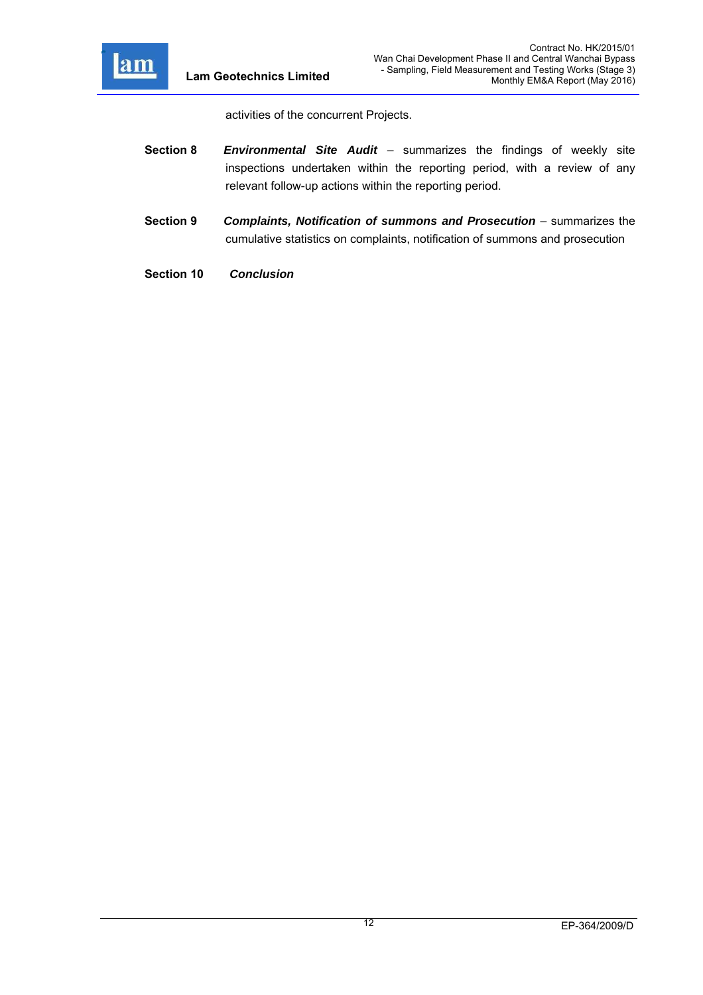

activities of the concurrent Projects.

- **Section 8** *Environmental Site Audit*  summarizes the findings of weekly site inspections undertaken within the reporting period, with a review of any relevant follow-up actions within the reporting period.
- **Section 9** *Complaints, Notification of summons and Prosecution –* summarizes the cumulative statistics on complaints, notification of summons and prosecution
- **Section 10** *Conclusion*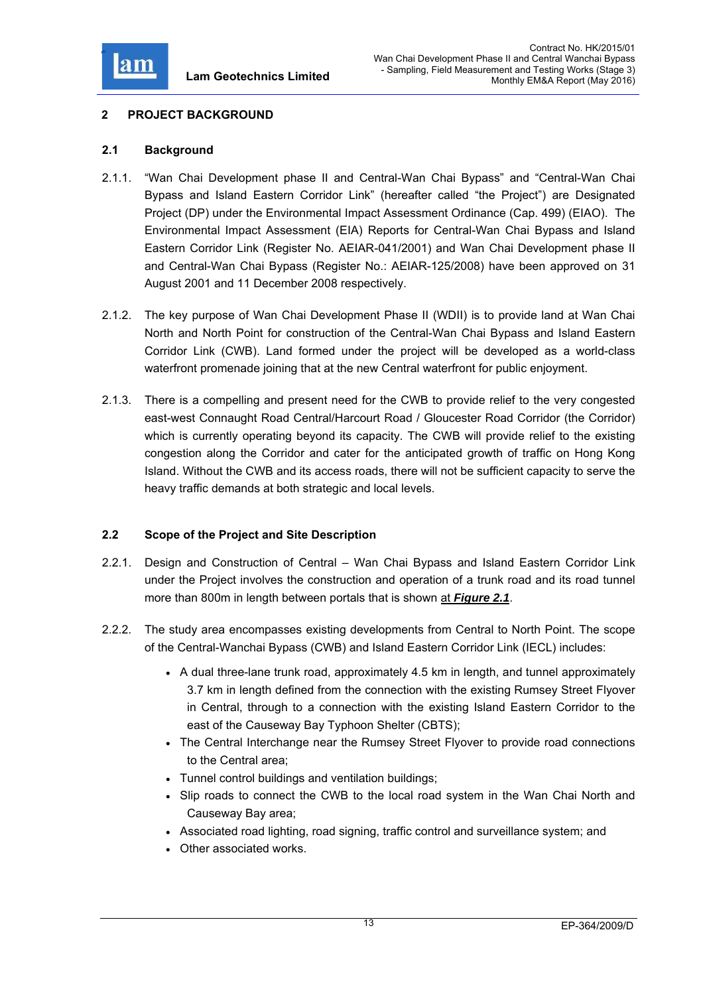

# **2 PROJECT BACKGROUND**

## **2.1 Background**

- 2.1.1. "Wan Chai Development phase II and Central-Wan Chai Bypass" and "Central-Wan Chai Bypass and Island Eastern Corridor Link" (hereafter called "the Project") are Designated Project (DP) under the Environmental Impact Assessment Ordinance (Cap. 499) (EIAO). The Environmental Impact Assessment (EIA) Reports for Central-Wan Chai Bypass and Island Eastern Corridor Link (Register No. AEIAR-041/2001) and Wan Chai Development phase II and Central-Wan Chai Bypass (Register No.: AEIAR-125/2008) have been approved on 31 August 2001 and 11 December 2008 respectively.
- 2.1.2. The key purpose of Wan Chai Development Phase II (WDII) is to provide land at Wan Chai North and North Point for construction of the Central-Wan Chai Bypass and Island Eastern Corridor Link (CWB). Land formed under the project will be developed as a world-class waterfront promenade joining that at the new Central waterfront for public enjoyment.
- 2.1.3. There is a compelling and present need for the CWB to provide relief to the very congested east-west Connaught Road Central/Harcourt Road / Gloucester Road Corridor (the Corridor) which is currently operating beyond its capacity. The CWB will provide relief to the existing congestion along the Corridor and cater for the anticipated growth of traffic on Hong Kong Island. Without the CWB and its access roads, there will not be sufficient capacity to serve the heavy traffic demands at both strategic and local levels.

# **2.2 Scope of the Project and Site Description**

- 2.2.1. Design and Construction of Central Wan Chai Bypass and Island Eastern Corridor Link under the Project involves the construction and operation of a trunk road and its road tunnel more than 800m in length between portals that is shown at *Figure 2.1*.
- 2.2.2. The study area encompasses existing developments from Central to North Point. The scope of the Central-Wanchai Bypass (CWB) and Island Eastern Corridor Link (IECL) includes:
	- A dual three-lane trunk road, approximately 4.5 km in length, and tunnel approximately 3.7 km in length defined from the connection with the existing Rumsey Street Flyover in Central, through to a connection with the existing Island Eastern Corridor to the east of the Causeway Bay Typhoon Shelter (CBTS);
	- The Central Interchange near the Rumsey Street Flyover to provide road connections to the Central area;
	- Tunnel control buildings and ventilation buildings;
	- Slip roads to connect the CWB to the local road system in the Wan Chai North and Causeway Bay area;
	- Associated road lighting, road signing, traffic control and surveillance system; and
	- Other associated works.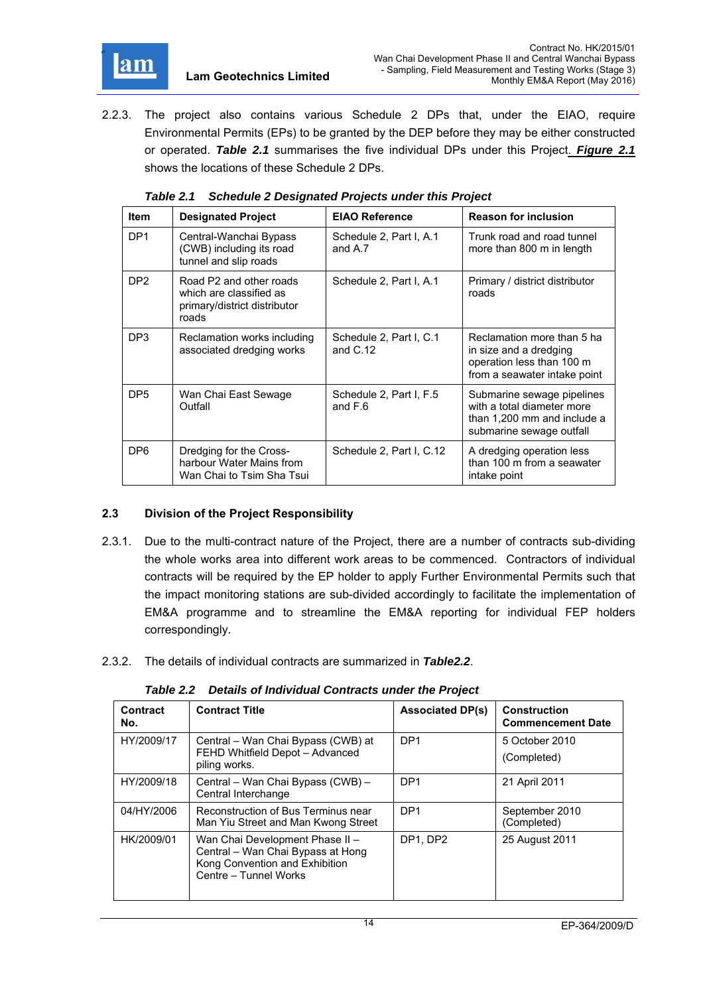

2.2.3. The project also contains various Schedule 2 DPs that, under the EIAO, require Environmental Permits (EPs) to be granted by the DEP before they may be either constructed or operated. *Table 2.1* summarises the five individual DPs under this Project. *Figure 2.1* shows the locations of these Schedule 2 DPs.

| <b>Item</b>     | <b>Designated Project</b>                                                                   | <b>EIAO Reference</b>                 | <b>Reason for inclusion</b>                                                                                         |
|-----------------|---------------------------------------------------------------------------------------------|---------------------------------------|---------------------------------------------------------------------------------------------------------------------|
| DP <sub>1</sub> | Central-Wanchai Bypass<br>(CWB) including its road<br>tunnel and slip roads                 | Schedule 2, Part I, A.1<br>and A.7    | Trunk road and road tunnel<br>more than 800 m in length                                                             |
| DP <sub>2</sub> | Road P2 and other roads<br>which are classified as<br>primary/district distributor<br>roads | Schedule 2, Part I, A.1               | Primary / district distributor<br>roads                                                                             |
| DP3             | Reclamation works including<br>associated dredging works                                    | Schedule 2, Part I, C.1<br>and $C.12$ | Reclamation more than 5 ha<br>in size and a dredging<br>operation less than 100 m<br>from a seawater intake point   |
| DP <sub>5</sub> | Wan Chai East Sewage<br>Outfall                                                             | Schedule 2, Part I, F.5<br>and $F.6$  | Submarine sewage pipelines<br>with a total diameter more<br>than 1,200 mm and include a<br>submarine sewage outfall |
| DP <sub>6</sub> | Dredging for the Cross-<br>harbour Water Mains from<br>Wan Chai to Tsim Sha Tsui            | Schedule 2, Part I, C.12              | A dredging operation less<br>than 100 m from a seawater<br>intake point                                             |

*Table 2.1 Schedule 2 Designated Projects under this Project* 

# **2.3 Division of the Project Responsibility**

- 2.3.1. Due to the multi-contract nature of the Project, there are a number of contracts sub-dividing the whole works area into different work areas to be commenced. Contractors of individual contracts will be required by the EP holder to apply Further Environmental Permits such that the impact monitoring stations are sub-divided accordingly to facilitate the implementation of EM&A programme and to streamline the EM&A reporting for individual FEP holders correspondingly.
- 2.3.2. The details of individual contracts are summarized in *Table2.2*.

*Table 2.2 Details of Individual Contracts under the Project* 

| Contract<br>No. | <b>Contract Title</b>                                                                                                           | <b>Associated DP(s)</b> | <b>Construction</b><br><b>Commencement Date</b> |
|-----------------|---------------------------------------------------------------------------------------------------------------------------------|-------------------------|-------------------------------------------------|
| HY/2009/17      | Central – Wan Chai Bypass (CWB) at<br>FEHD Whitfield Depot - Advanced<br>piling works.                                          | DP <sub>1</sub>         | 5 October 2010<br>(Completed)                   |
| HY/2009/18      | Central - Wan Chai Bypass (CWB) -<br>Central Interchange                                                                        | DP <sub>1</sub>         | 21 April 2011                                   |
| 04/HY/2006      | Reconstruction of Bus Terminus near<br>Man Yiu Street and Man Kwong Street                                                      | DP <sub>1</sub>         | September 2010<br>(Completed)                   |
| HK/2009/01      | Wan Chai Development Phase II -<br>Central - Wan Chai Bypass at Hong<br>Kong Convention and Exhibition<br>Centre - Tunnel Works | DP1, DP2                | 25 August 2011                                  |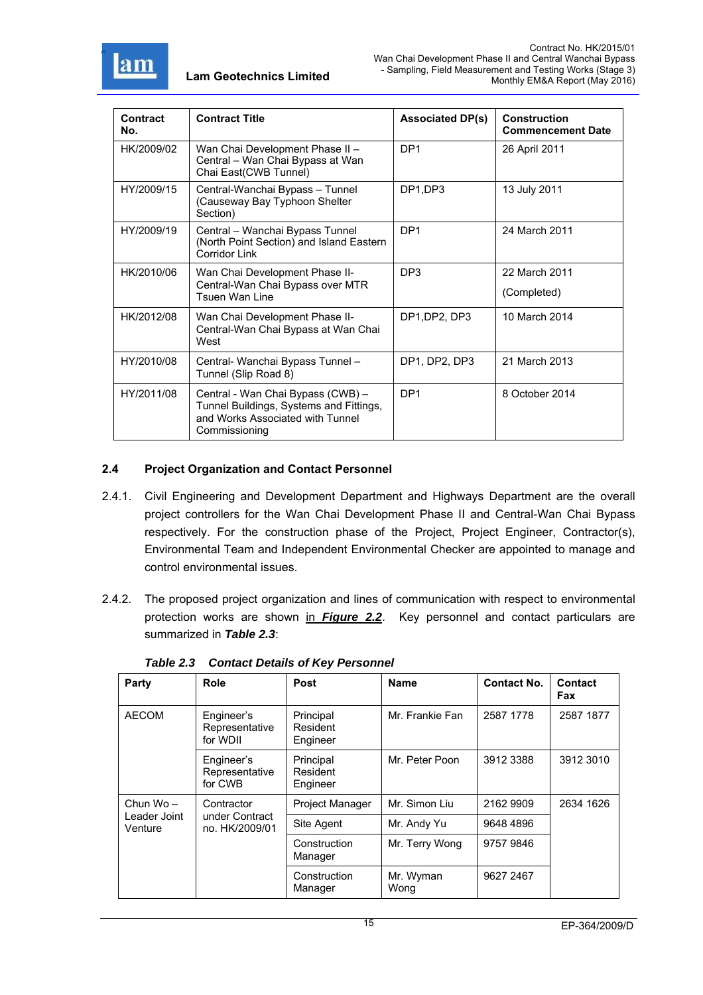

| Contract<br>No. | <b>Contract Title</b>                                                                                                             | <b>Associated DP(s)</b> | <b>Construction</b><br><b>Commencement Date</b> |
|-----------------|-----------------------------------------------------------------------------------------------------------------------------------|-------------------------|-------------------------------------------------|
| HK/2009/02      | Wan Chai Development Phase II -<br>Central - Wan Chai Bypass at Wan<br>Chai East(CWB Tunnel)                                      | DP <sub>1</sub>         | 26 April 2011                                   |
| HY/2009/15      | Central-Wanchai Bypass - Tunnel<br>(Causeway Bay Typhoon Shelter<br>Section)                                                      | DP1,DP3                 | 13 July 2011                                    |
| HY/2009/19      | Central - Wanchai Bypass Tunnel<br>(North Point Section) and Island Eastern<br><b>Corridor Link</b>                               | DP <sub>1</sub>         | 24 March 2011                                   |
| HK/2010/06      | Wan Chai Development Phase II-<br>Central-Wan Chai Bypass over MTR<br><b>Tsuen Wan Line</b>                                       | DP <sub>3</sub>         | 22 March 2011<br>(Completed)                    |
| HK/2012/08      | Wan Chai Development Phase II-<br>Central-Wan Chai Bypass at Wan Chai<br>West                                                     | DP1, DP2, DP3           | 10 March 2014                                   |
| HY/2010/08      | Central- Wanchai Bypass Tunnel -<br>Tunnel (Slip Road 8)                                                                          | DP1, DP2, DP3           | 21 March 2013                                   |
| HY/2011/08      | Central - Wan Chai Bypass (CWB) -<br>Tunnel Buildings, Systems and Fittings,<br>and Works Associated with Tunnel<br>Commissioning | DP <sub>1</sub>         | 8 October 2014                                  |

# **2.4 Project Organization and Contact Personnel**

- 2.4.1. Civil Engineering and Development Department and Highways Department are the overall project controllers for the Wan Chai Development Phase II and Central-Wan Chai Bypass respectively. For the construction phase of the Project, Project Engineer, Contractor(s), Environmental Team and Independent Environmental Checker are appointed to manage and control environmental issues.
- 2.4.2. The proposed project organization and lines of communication with respect to environmental protection works are shown in *Figure 2.2*. Key personnel and contact particulars are summarized in *Table 2.3*:

| Party                               | Role                                           | Post                              | <b>Name</b>       | <b>Contact No.</b> | Contact<br>Fax |
|-------------------------------------|------------------------------------------------|-----------------------------------|-------------------|--------------------|----------------|
| <b>AECOM</b>                        | Engineer's<br>Representative<br>for WDII       | Principal<br>Resident<br>Engineer | Mr. Frankie Fan   | 2587 1778          | 2587 1877      |
|                                     | Engineer's<br>Representative<br>for CWB        | Principal<br>Resident<br>Engineer | Mr. Peter Poon    | 3912 3388          | 3912 3010      |
| Chun Wo-<br>Leader Joint<br>Venture | Contractor<br>under Contract<br>no. HK/2009/01 | Project Manager                   | Mr. Simon Liu     | 2162 9909          | 2634 1626      |
|                                     |                                                | Site Agent                        | Mr. Andy Yu       | 9648 4896          |                |
|                                     |                                                | Construction<br>Manager           | Mr. Terry Wong    | 9757 9846          |                |
|                                     |                                                | Construction<br>Manager           | Mr. Wyman<br>Wong | 9627 2467          |                |

*Table 2.3 Contact Details of Key Personnel*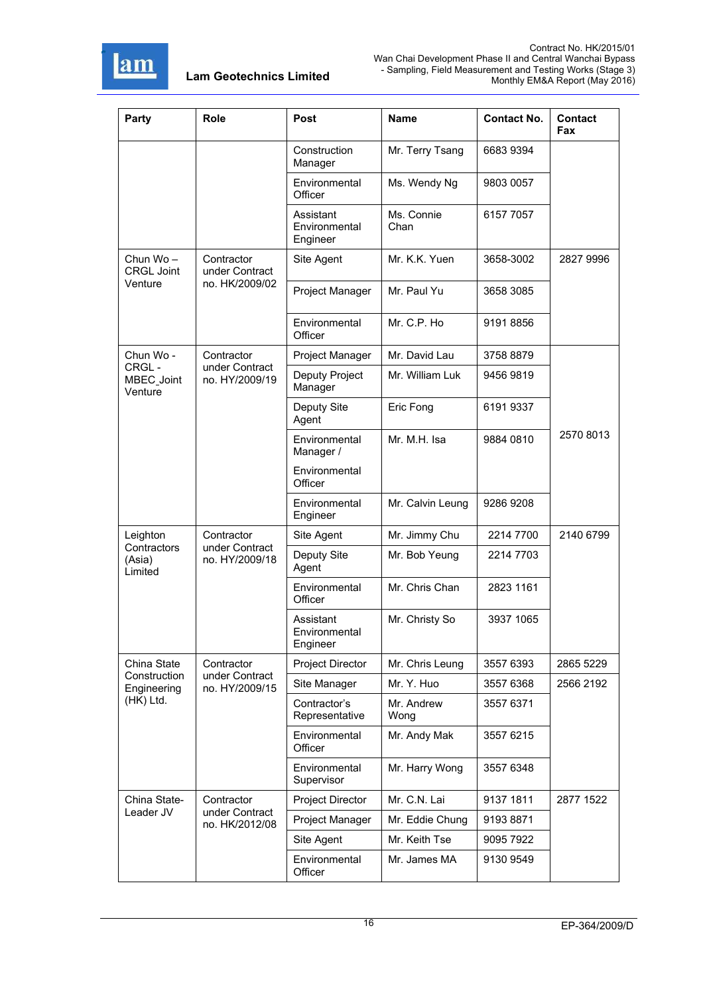

| Party                            | Role                             | Post                                   | Name               | <b>Contact No.</b> | <b>Contact</b><br>Fax |
|----------------------------------|----------------------------------|----------------------------------------|--------------------|--------------------|-----------------------|
|                                  |                                  | Construction<br>Manager                | Mr. Terry Tsang    | 6683 9394          |                       |
|                                  |                                  | Environmental<br>Officer               | Ms. Wendy Ng       | 9803 0057          |                       |
|                                  |                                  | Assistant<br>Environmental<br>Engineer | Ms. Connie<br>Chan | 6157 7057          |                       |
| Chun Wo-<br><b>CRGL Joint</b>    | Contractor<br>under Contract     | Site Agent                             | Mr. K.K. Yuen      | 3658-3002          | 2827 9996             |
| Venture                          | no. HK/2009/02                   | Project Manager                        | Mr. Paul Yu        | 3658 3085          |                       |
|                                  |                                  | Environmental<br>Officer               | Mr. C.P. Ho        | 9191 8856          |                       |
| Chun Wo -                        | Contractor                       | Project Manager                        | Mr. David Lau      | 3758 8879          |                       |
| CRGL-<br>MBEC_Joint<br>Venture   | under Contract<br>no. HY/2009/19 | Deputy Project<br>Manager              | Mr. William Luk    | 9456 9819          |                       |
|                                  |                                  | Deputy Site<br>Agent                   | Eric Fong          | 6191 9337          |                       |
|                                  |                                  | Environmental<br>Manager /             | Mr. M.H. Isa       | 9884 0810          | 2570 8013             |
|                                  |                                  | Environmental<br>Officer               |                    |                    |                       |
|                                  |                                  | Environmental<br>Engineer              | Mr. Calvin Leung   | 9286 9208          |                       |
| Leighton                         | Contractor                       | Site Agent                             | Mr. Jimmy Chu      | 2214 7700          | 2140 6799             |
| Contractors<br>(Asia)<br>Limited | under Contract<br>no. HY/2009/18 | Deputy Site<br>Agent                   | Mr. Bob Yeung      | 2214 7703          |                       |
|                                  |                                  | Environmental<br>Officer               | Mr. Chris Chan     | 2823 1161          |                       |
|                                  |                                  | Assistant<br>Environmental<br>Engineer | Mr. Christy So     | 3937 1065          |                       |
| China State                      | Contractor                       | Project Director                       | Mr. Chris Leung    | 3557 6393          | 2865 5229             |
| Construction<br>Engineering      | under Contract<br>no. HY/2009/15 | Site Manager                           | Mr. Y. Huo         | 3557 6368          | 2566 2192             |
| (HK) Ltd.                        |                                  | Contractor's<br>Representative         | Mr. Andrew<br>Wong | 3557 6371          |                       |
|                                  |                                  | Environmental<br>Officer               | Mr. Andy Mak       | 3557 6215          |                       |
|                                  |                                  | Environmental<br>Supervisor            | Mr. Harry Wong     | 3557 6348          |                       |
| China State-                     | Contractor                       | Project Director                       | Mr. C.N. Lai       | 9137 1811          | 2877 1522             |
| Leader JV                        | under Contract<br>no. HK/2012/08 | Project Manager                        | Mr. Eddie Chung    | 91938871           |                       |
|                                  |                                  | Site Agent                             | Mr. Keith Tse      | 9095 7922          |                       |
|                                  |                                  | Environmental<br>Officer               | Mr. James MA       | 9130 9549          |                       |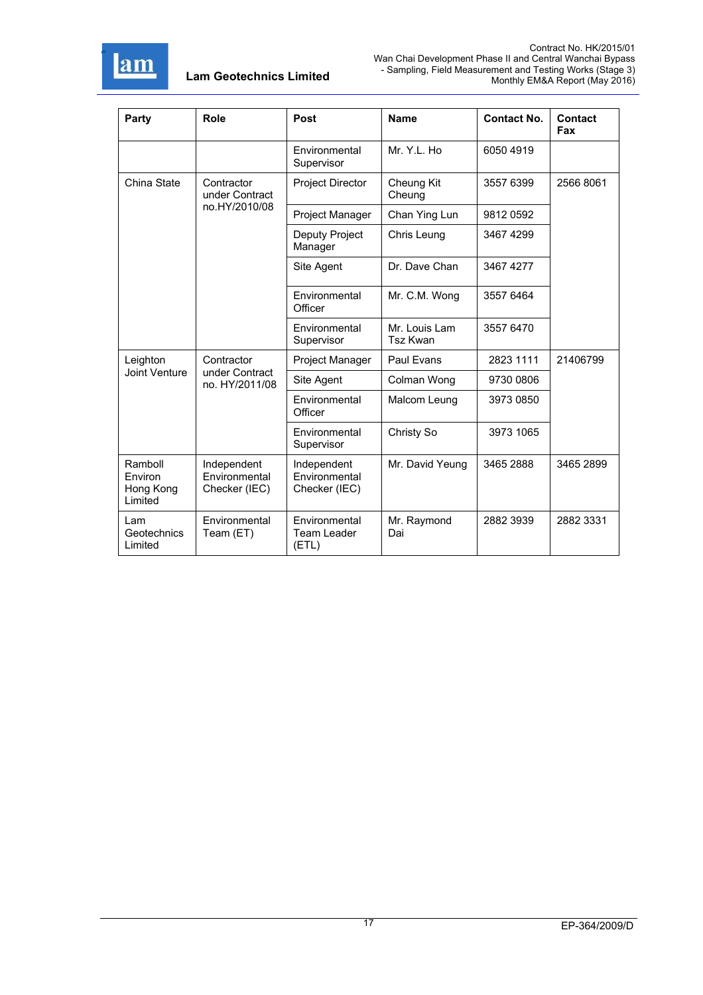

| Party                                      | Role                                           | Post                                          | <b>Name</b>                      | <b>Contact No.</b> | Contact<br>Fax |
|--------------------------------------------|------------------------------------------------|-----------------------------------------------|----------------------------------|--------------------|----------------|
|                                            |                                                | Environmental<br>Supervisor                   | Mr. Y.L. Ho                      | 6050 4919          |                |
| China State                                | Contractor<br>under Contract                   | <b>Project Director</b>                       | Cheung Kit<br>Cheung             | 3557 6399          | 2566 8061      |
|                                            | no.HY/2010/08                                  | Project Manager                               | Chan Ying Lun                    | 98120592           |                |
|                                            |                                                | Deputy Project<br>Manager                     | Chris Leung                      | 3467 4299          |                |
|                                            |                                                | Site Agent                                    | Dr. Dave Chan                    | 3467 4277          |                |
|                                            |                                                | Environmental<br>Officer                      | Mr. C.M. Wong                    | 3557 6464          |                |
|                                            |                                                | Environmental<br>Supervisor                   | Mr. Louis Lam<br><b>Tsz Kwan</b> | 3557 6470          |                |
| Leighton                                   | Contractor<br>under Contract<br>no. HY/2011/08 | Project Manager                               | Paul Evans                       | 2823 1111          | 21406799       |
| Joint Venture                              |                                                | Site Agent                                    | Colman Wong                      | 9730 0806          |                |
|                                            |                                                | Environmental<br>Officer                      | Malcom Leung                     | 3973 0850          |                |
|                                            |                                                | Environmental<br>Supervisor                   | Christy So                       | 3973 1065          |                |
| Ramboll<br>Environ<br>Hong Kong<br>Limited | Independent<br>Environmental<br>Checker (IEC)  | Independent<br>Environmental<br>Checker (IEC) | Mr. David Yeung                  | 3465 2888          | 3465 2899      |
| Lam<br>Geotechnics<br>Limited              | Environmental<br>Team (ET)                     | Environmental<br>Team Leader<br>(ETL)         | Mr. Raymond<br>Dai               | 2882 3939          | 2882 3331      |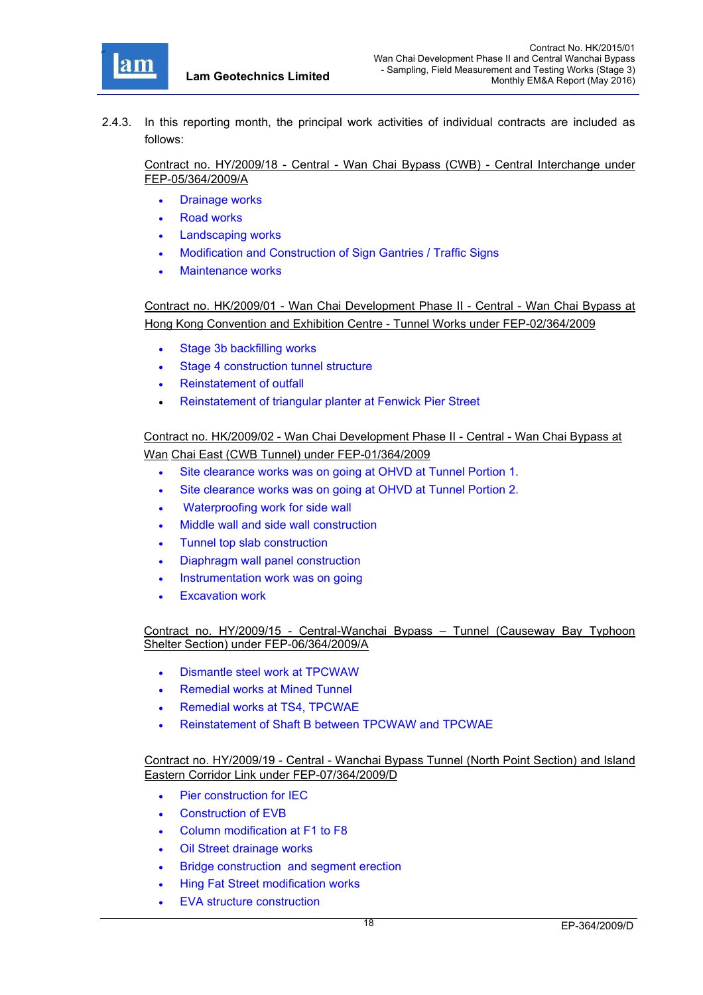

2.4.3. In this reporting month, the principal work activities of individual contracts are included as follows:

Contract no. HY/2009/18 - Central - Wan Chai Bypass (CWB) - Central Interchange under FEP-05/364/2009/A

- Drainage works
- Road works
- Landscaping works
- Modification and Construction of Sign Gantries / Traffic Signs
- Maintenance works

Contract no. HK/2009/01 - Wan Chai Development Phase II - Central - Wan Chai Bypass at Hong Kong Convention and Exhibition Centre - Tunnel Works under FEP-02/364/2009

- Stage 3b backfilling works
- Stage 4 construction tunnel structure
- Reinstatement of outfall
- Reinstatement of triangular planter at Fenwick Pier Street

Contract no. HK/2009/02 - Wan Chai Development Phase II - Central - Wan Chai Bypass at Wan Chai East (CWB Tunnel) under FEP-01/364/2009

- Site clearance works was on going at OHVD at Tunnel Portion 1.
- Site clearance works was on going at OHVD at Tunnel Portion 2.
- Waterproofing work for side wall
- Middle wall and side wall construction
- Tunnel top slab construction
- Diaphragm wall panel construction
- Instrumentation work was on going
- Excavation work

Contract no. HY/2009/15 - Central-Wanchai Bypass – Tunnel (Causeway Bay Typhoon Shelter Section) under FEP-06/364/2009/A

- Dismantle steel work at TPCWAW
- Remedial works at Mined Tunnel
- Remedial works at TS4, TPCWAE
- Reinstatement of Shaft B between TPCWAW and TPCWAE

#### Contract no. HY/2009/19 - Central - Wanchai Bypass Tunnel (North Point Section) and Island Eastern Corridor Link under FEP-07/364/2009/D

- Pier construction for IEC
- Construction of EVB
- Column modification at F1 to F8
- Oil Street drainage works
- Bridge construction and segment erection
- Hing Fat Street modification works
- EVA structure construction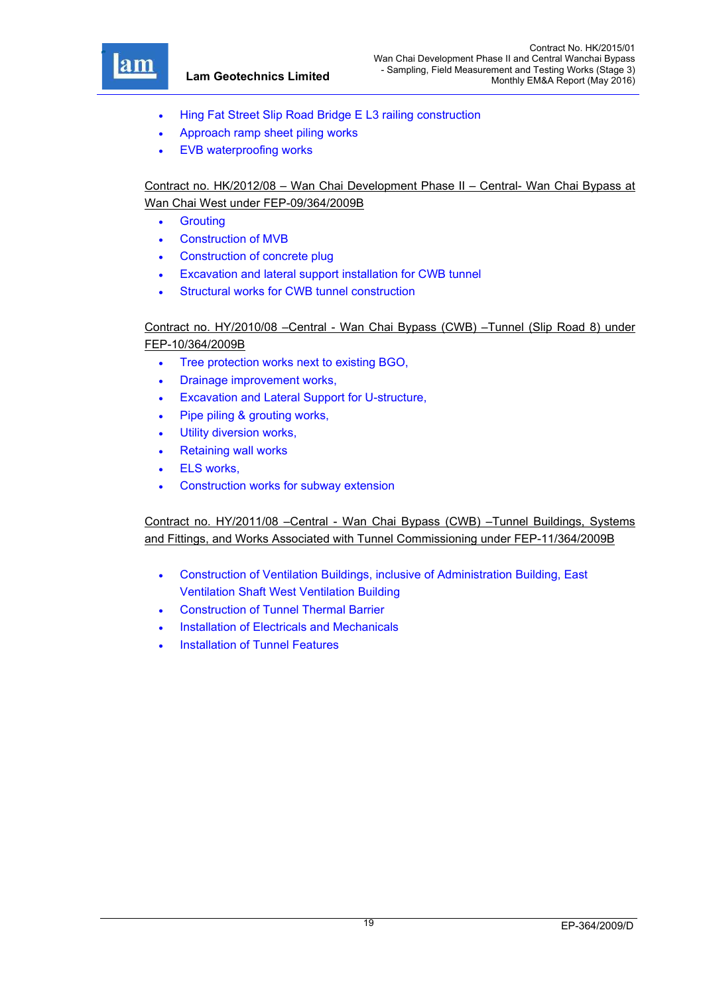

- Hing Fat Street Slip Road Bridge E L3 railing construction
- Approach ramp sheet piling works
- EVB waterproofing works

# Contract no. HK/2012/08 – Wan Chai Development Phase II – Central- Wan Chai Bypass at Wan Chai West under FEP-09/364/2009B

- **•** Grouting
- Construction of MVB
- Construction of concrete plug
- Excavation and lateral support installation for CWB tunnel
- Structural works for CWB tunnel construction

# Contract no. HY/2010/08 –Central - Wan Chai Bypass (CWB) –Tunnel (Slip Road 8) under FEP-10/364/2009B

- Tree protection works next to existing BGO,
- Drainage improvement works,
- Excavation and Lateral Support for U-structure,
- Pipe piling & grouting works,
- Utility diversion works,
- Retaining wall works
- ELS works,
- Construction works for subway extension

Contract no. HY/2011/08 –Central - Wan Chai Bypass (CWB) –Tunnel Buildings, Systems and Fittings, and Works Associated with Tunnel Commissioning under FEP-11/364/2009B

- Construction of Ventilation Buildings, inclusive of Administration Building, East Ventilation Shaft West Ventilation Building
- Construction of Tunnel Thermal Barrier
- Installation of Electricals and Mechanicals
- Installation of Tunnel Features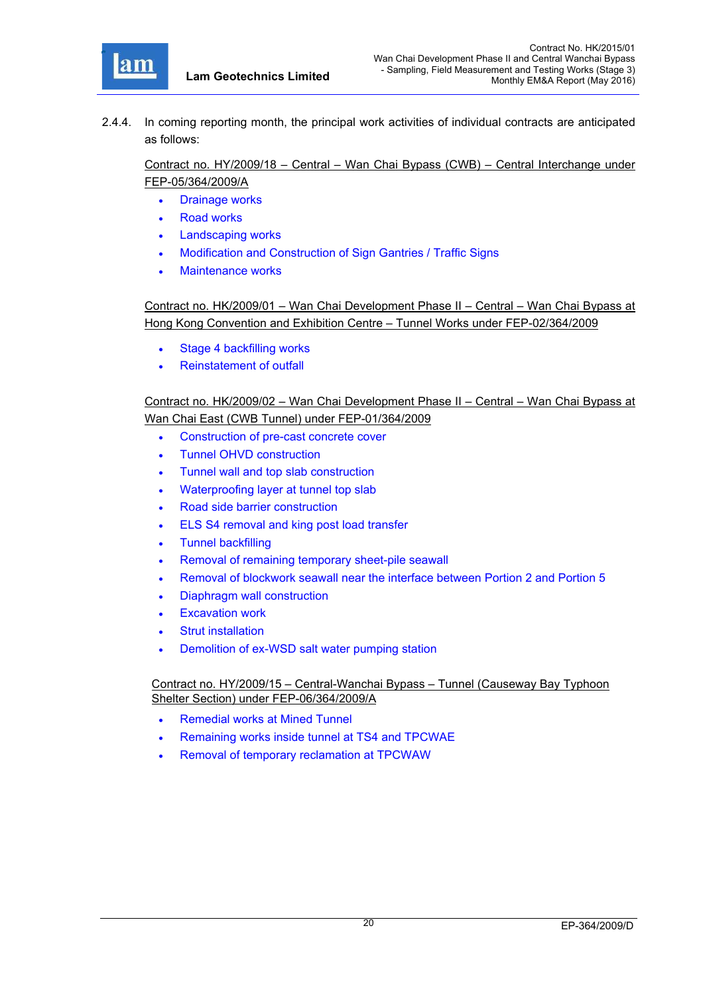

2.4.4. In coming reporting month, the principal work activities of individual contracts are anticipated as follows:

Contract no. HY/2009/18 – Central – Wan Chai Bypass (CWB) – Central Interchange under FEP-05/364/2009/A

- Drainage works
- Road works
- Landscaping works
- Modification and Construction of Sign Gantries / Traffic Signs
- Maintenance works

Contract no. HK/2009/01 – Wan Chai Development Phase II – Central – Wan Chai Bypass at Hong Kong Convention and Exhibition Centre – Tunnel Works under FEP-02/364/2009

- Stage 4 backfilling works
- Reinstatement of outfall

Contract no. HK/2009/02 – Wan Chai Development Phase II – Central – Wan Chai Bypass at Wan Chai East (CWB Tunnel) under FEP-01/364/2009

- Construction of pre-cast concrete cover
- Tunnel OHVD construction
- Tunnel wall and top slab construction
- Waterproofing layer at tunnel top slab
- Road side barrier construction
- ELS S4 removal and king post load transfer
- Tunnel backfilling
- Removal of remaining temporary sheet-pile seawall
- Removal of blockwork seawall near the interface between Portion 2 and Portion 5
- Diaphragm wall construction
- Excavation work
- Strut installation
- Demolition of ex-WSD salt water pumping station

Contract no. HY/2009/15 – Central-Wanchai Bypass – Tunnel (Causeway Bay Typhoon Shelter Section) under FEP-06/364/2009/A

- Remedial works at Mined Tunnel
- Remaining works inside tunnel at TS4 and TPCWAE
- Removal of temporary reclamation at TPCWAW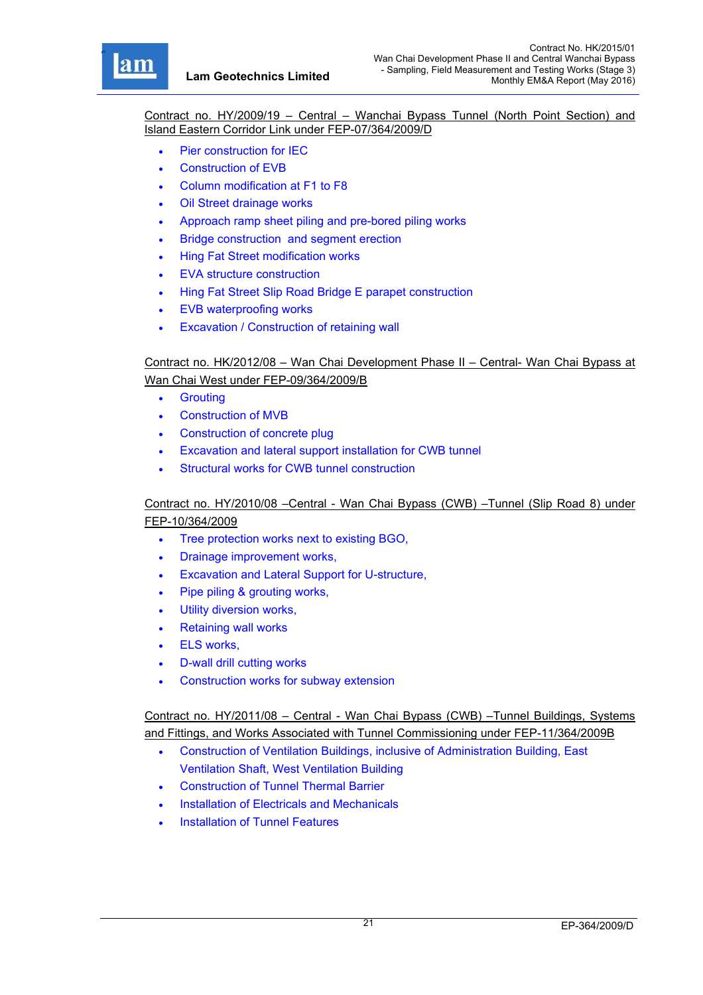r

Contract no. HY/2009/19 – Central – Wanchai Bypass Tunnel (North Point Section) and Island Eastern Corridor Link under FEP-07/364/2009/D

- Pier construction for IEC
- Construction of EVB
- Column modification at F1 to F8
- Oil Street drainage works
- Approach ramp sheet piling and pre-bored piling works
- Bridge construction and segment erection
- Hing Fat Street modification works
- EVA structure construction
- Hing Fat Street Slip Road Bridge E parapet construction
- EVB waterproofing works
- Excavation / Construction of retaining wall

Contract no. HK/2012/08 – Wan Chai Development Phase II – Central- Wan Chai Bypass at Wan Chai West under FEP-09/364/2009/B

- **•** Grouting
- Construction of MVB
- Construction of concrete plug
- Excavation and lateral support installation for CWB tunnel
- Structural works for CWB tunnel construction

## Contract no. HY/2010/08 –Central - Wan Chai Bypass (CWB) –Tunnel (Slip Road 8) under FEP-10/364/2009

- Tree protection works next to existing BGO,
- Drainage improvement works,
- Excavation and Lateral Support for U-structure,
- Pipe piling & grouting works,
- Utility diversion works,
- Retaining wall works
- ELS works,
- D-wall drill cutting works
- Construction works for subway extension

Contract no. HY/2011/08 – Central - Wan Chai Bypass (CWB) –Tunnel Buildings, Systems and Fittings, and Works Associated with Tunnel Commissioning under FEP-11/364/2009B

- Construction of Ventilation Buildings, inclusive of Administration Building, East Ventilation Shaft, West Ventilation Building
- Construction of Tunnel Thermal Barrier
- Installation of Electricals and Mechanicals
- Installation of Tunnel Features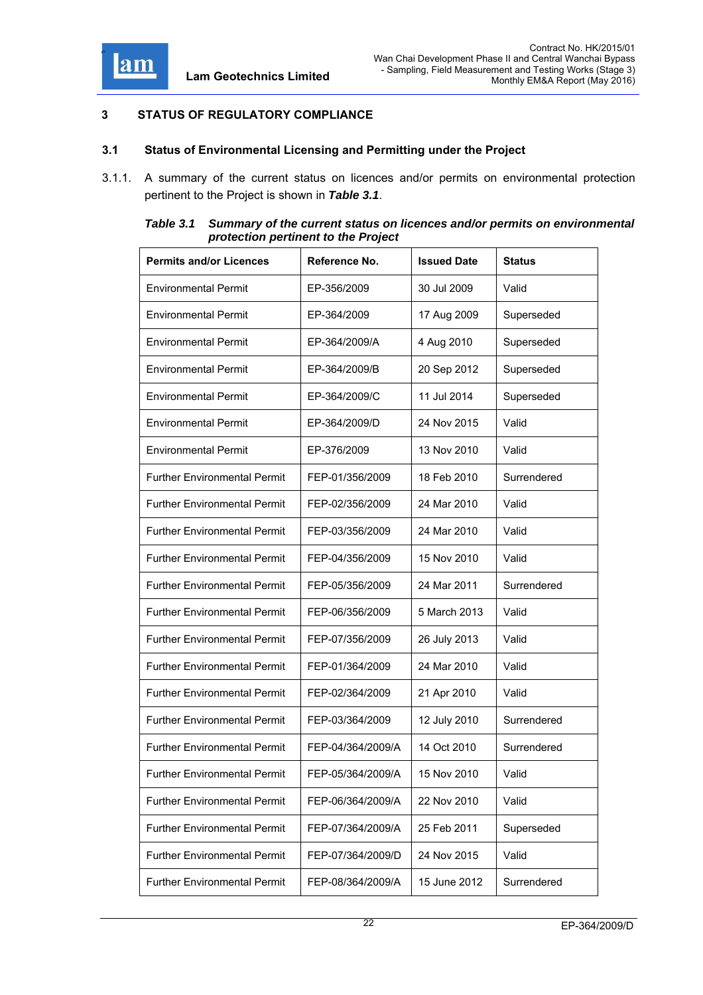

# **3 STATUS OF REGULATORY COMPLIANCE**

### **3.1 Status of Environmental Licensing and Permitting under the Project**

3.1.1. A summary of the current status on licences and/or permits on environmental protection pertinent to the Project is shown in *Table 3.1*.

| Table 3.1 | Summary of the current status on licences and/or permits on environmental |
|-----------|---------------------------------------------------------------------------|
|           | protection pertinent to the Project                                       |

| <b>Permits and/or Licences</b>      | Reference No.     | <b>Issued Date</b> | <b>Status</b> |
|-------------------------------------|-------------------|--------------------|---------------|
| <b>Environmental Permit</b>         | EP-356/2009       | 30 Jul 2009        | Valid         |
| <b>Environmental Permit</b>         | EP-364/2009       | 17 Aug 2009        | Superseded    |
| <b>Environmental Permit</b>         | EP-364/2009/A     | 4 Aug 2010         | Superseded    |
| <b>Environmental Permit</b>         | EP-364/2009/B     | 20 Sep 2012        | Superseded    |
| <b>Environmental Permit</b>         | EP-364/2009/C     | 11 Jul 2014        | Superseded    |
| <b>Environmental Permit</b>         | EP-364/2009/D     | 24 Nov 2015        | Valid         |
| <b>Environmental Permit</b>         | EP-376/2009       | 13 Nov 2010        | Valid         |
| <b>Further Environmental Permit</b> | FEP-01/356/2009   | 18 Feb 2010        | Surrendered   |
| <b>Further Environmental Permit</b> | FEP-02/356/2009   | 24 Mar 2010        | Valid         |
| <b>Further Environmental Permit</b> | FEP-03/356/2009   | 24 Mar 2010        | Valid         |
| <b>Further Environmental Permit</b> | FEP-04/356/2009   | 15 Nov 2010        | Valid         |
| <b>Further Environmental Permit</b> | FEP-05/356/2009   | 24 Mar 2011        | Surrendered   |
| <b>Further Environmental Permit</b> | FEP-06/356/2009   | 5 March 2013       | Valid         |
| <b>Further Environmental Permit</b> | FEP-07/356/2009   | 26 July 2013       | Valid         |
| <b>Further Environmental Permit</b> | FEP-01/364/2009   | 24 Mar 2010        | Valid         |
| <b>Further Environmental Permit</b> | FEP-02/364/2009   | 21 Apr 2010        | Valid         |
| <b>Further Environmental Permit</b> | FEP-03/364/2009   | 12 July 2010       | Surrendered   |
| <b>Further Environmental Permit</b> | FEP-04/364/2009/A | 14 Oct 2010        | Surrendered   |
| <b>Further Environmental Permit</b> | FEP-05/364/2009/A | 15 Nov 2010        | Valid         |
| <b>Further Environmental Permit</b> | FEP-06/364/2009/A | 22 Nov 2010        | Valid         |
| <b>Further Environmental Permit</b> | FEP-07/364/2009/A | 25 Feb 2011        | Superseded    |
| <b>Further Environmental Permit</b> | FEP-07/364/2009/D | 24 Nov 2015        | Valid         |
| <b>Further Environmental Permit</b> | FEP-08/364/2009/A | 15 June 2012       | Surrendered   |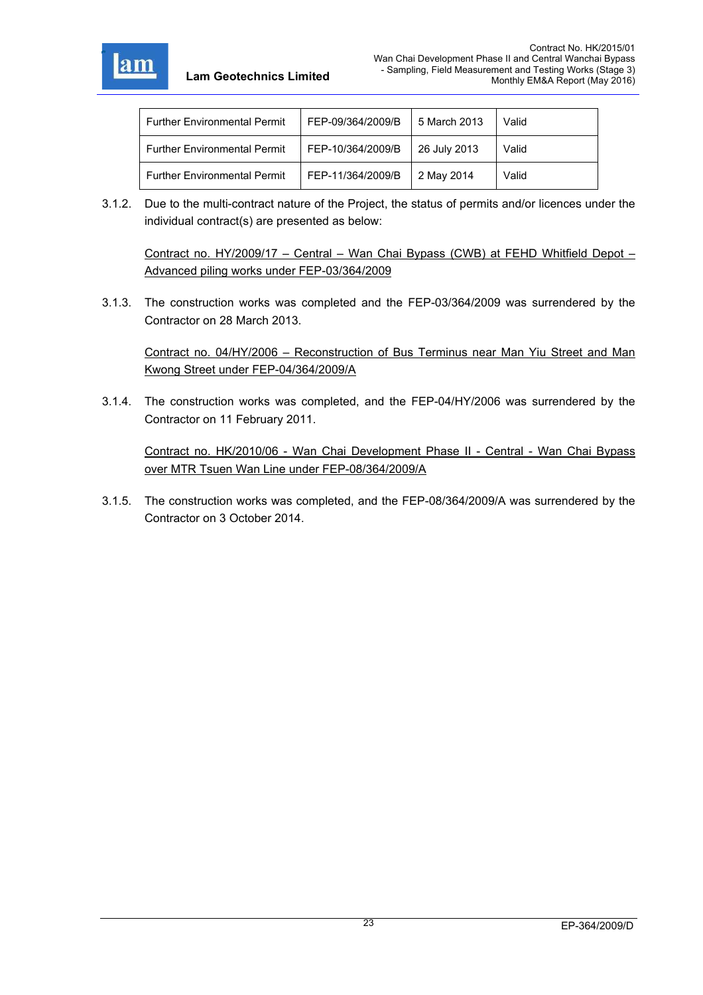

| <b>Further Environmental Permit</b> | FEP-09/364/2009/B | 5 March 2013 | Valid |
|-------------------------------------|-------------------|--------------|-------|
| <b>Further Environmental Permit</b> | FEP-10/364/2009/B | 26 July 2013 | Valid |
| <b>Further Environmental Permit</b> | FEP-11/364/2009/B | 2 May 2014   | Valid |

3.1.2. Due to the multi-contract nature of the Project, the status of permits and/or licences under the individual contract(s) are presented as below:

Contract no. HY/2009/17 – Central – Wan Chai Bypass (CWB) at FEHD Whitfield Depot – Advanced piling works under FEP-03/364/2009

3.1.3. The construction works was completed and the FEP-03/364/2009 was surrendered by the Contractor on 28 March 2013.

Contract no. 04/HY/2006 – Reconstruction of Bus Terminus near Man Yiu Street and Man Kwong Street under FEP-04/364/2009/A

3.1.4. The construction works was completed, and the FEP-04/HY/2006 was surrendered by the Contractor on 11 February 2011.

Contract no. HK/2010/06 - Wan Chai Development Phase II - Central - Wan Chai Bypass over MTR Tsuen Wan Line under FEP-08/364/2009/A

3.1.5. The construction works was completed, and the FEP-08/364/2009/A was surrendered by the Contractor on 3 October 2014.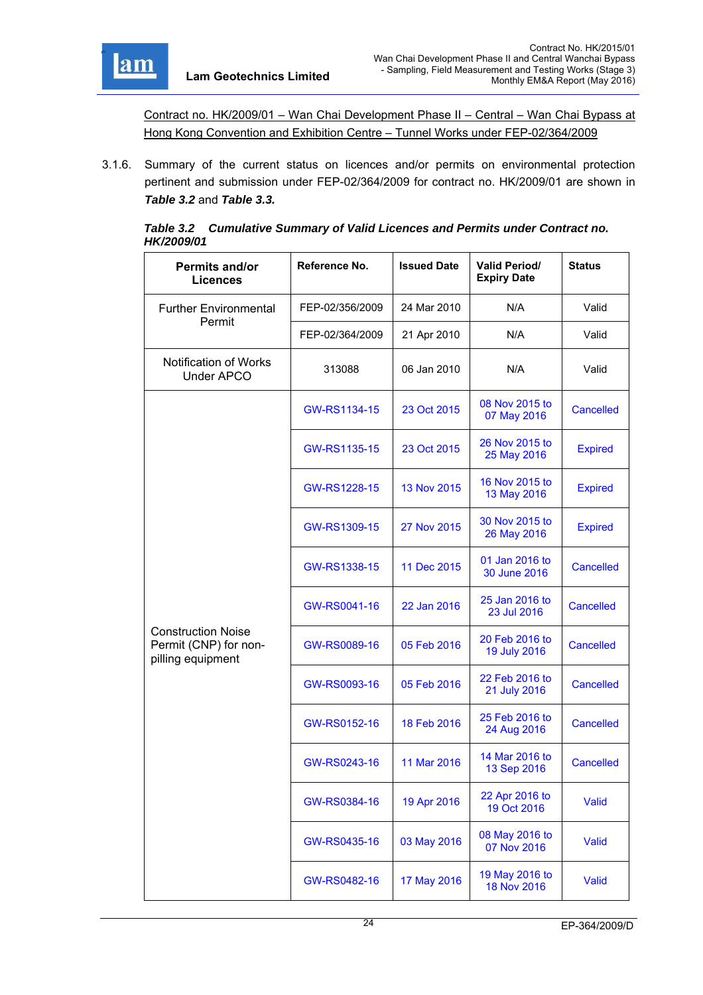

Contract no. HK/2009/01 – Wan Chai Development Phase II – Central – Wan Chai Bypass at Hong Kong Convention and Exhibition Centre – Tunnel Works under FEP-02/364/2009

3.1.6. Summary of the current status on licences and/or permits on environmental protection pertinent and submission under FEP-02/364/2009 for contract no. HK/2009/01 are shown in *Table 3.2* and *Table 3.3.*

|                   | Table 3.2 Cumulative Summary of Valid Licences and Permits under Contract no. |
|-------------------|-------------------------------------------------------------------------------|
| <b>HK/2009/01</b> |                                                                               |

| Permits and/or<br><b>Licences</b>                                       | Reference No.   | <b>Issued Date</b> | <b>Valid Period/</b><br><b>Expiry Date</b> |                  |
|-------------------------------------------------------------------------|-----------------|--------------------|--------------------------------------------|------------------|
| <b>Further Environmental</b>                                            | FEP-02/356/2009 | 24 Mar 2010        | N/A                                        | Valid            |
| Permit                                                                  | FEP-02/364/2009 | 21 Apr 2010        | N/A                                        | Valid            |
| Notification of Works<br><b>Under APCO</b>                              | 313088          | 06 Jan 2010        | N/A                                        | Valid            |
|                                                                         | GW-RS1134-15    | 23 Oct 2015        | 08 Nov 2015 to<br>07 May 2016              | Cancelled        |
|                                                                         | GW-RS1135-15    | 23 Oct 2015        | 26 Nov 2015 to<br>25 May 2016              | <b>Expired</b>   |
|                                                                         | GW-RS1228-15    | 13 Nov 2015        | 16 Nov 2015 to<br>13 May 2016              | <b>Expired</b>   |
|                                                                         | GW-RS1309-15    | 27 Nov 2015        | 30 Nov 2015 to<br>26 May 2016              | <b>Expired</b>   |
|                                                                         | GW-RS1338-15    | 11 Dec 2015        | 01 Jan 2016 to<br>30 June 2016             | Cancelled        |
|                                                                         | GW-RS0041-16    | 22 Jan 2016        | 25 Jan 2016 to<br>23 Jul 2016              | <b>Cancelled</b> |
| <b>Construction Noise</b><br>Permit (CNP) for non-<br>pilling equipment | GW-RS0089-16    | 05 Feb 2016        | 20 Feb 2016 to<br>19 July 2016             | <b>Cancelled</b> |
|                                                                         | GW-RS0093-16    | 05 Feb 2016        | 22 Feb 2016 to<br>21 July 2016             | Cancelled        |
|                                                                         | GW-RS0152-16    | 18 Feb 2016        | 25 Feb 2016 to<br>24 Aug 2016              | Cancelled        |
|                                                                         | GW-RS0243-16    | 11 Mar 2016        | 14 Mar 2016 to<br>13 Sep 2016              | Cancelled        |
|                                                                         | GW-RS0384-16    | 19 Apr 2016        | 22 Apr 2016 to<br>19 Oct 2016              | Valid            |
|                                                                         | GW-RS0435-16    | 03 May 2016        | 08 May 2016 to<br>07 Nov 2016              | Valid            |
|                                                                         | GW-RS0482-16    | 17 May 2016        | 19 May 2016 to<br>18 Nov 2016              | Valid            |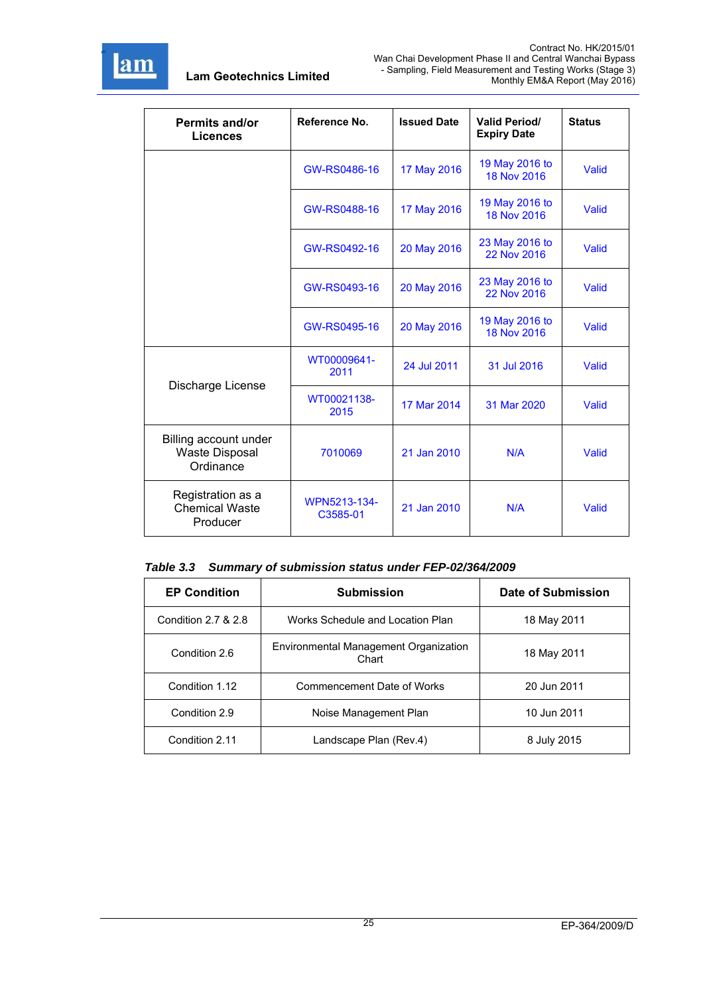

| <b>Permits and/or</b><br><b>Licences</b>                    | Reference No.            | <b>Issued Date</b> | <b>Valid Period/</b><br><b>Expiry Date</b> | <b>Status</b> |
|-------------------------------------------------------------|--------------------------|--------------------|--------------------------------------------|---------------|
|                                                             | GW-RS0486-16             | 17 May 2016        | 19 May 2016 to<br>18 Nov 2016              | Valid         |
|                                                             | GW-RS0488-16             | 17 May 2016        | 19 May 2016 to<br><b>18 Nov 2016</b>       | Valid         |
|                                                             | GW-RS0492-16             | 20 May 2016        | 23 May 2016 to<br>22 Nov 2016              | Valid         |
|                                                             | GW-RS0493-16             | 20 May 2016        | 23 May 2016 to<br>22 Nov 2016              | Valid         |
|                                                             | GW-RS0495-16             | 20 May 2016        | 19 May 2016 to<br>18 Nov 2016              | Valid         |
| Discharge License                                           | WT00009641-<br>2011      | 24 Jul 2011        | 31 Jul 2016                                | Valid         |
|                                                             | WT00021138-<br>2015      | 17 Mar 2014        | 31 Mar 2020                                | Valid         |
| Billing account under<br><b>Waste Disposal</b><br>Ordinance | 7010069                  | 21 Jan 2010        | N/A                                        | Valid         |
| Registration as a<br><b>Chemical Waste</b><br>Producer      | WPN5213-134-<br>C3585-01 | 21 Jan 2010        | N/A                                        | Valid         |

|  |  |  | Table 3.3 Summary of submission status under FEP-02/364/2009 |
|--|--|--|--------------------------------------------------------------|
|--|--|--|--------------------------------------------------------------|

| <b>EP Condition</b> | <b>Submission</b>                              | Date of Submission |
|---------------------|------------------------------------------------|--------------------|
| Condition 2.7 & 2.8 | Works Schedule and Location Plan               | 18 May 2011        |
| Condition 2.6       | Environmental Management Organization<br>Chart | 18 May 2011        |
| Condition 1.12      | Commencement Date of Works                     | 20 Jun 2011        |
| Condition 2.9       | Noise Management Plan                          | 10 Jun 2011        |
| Condition 2.11      | Landscape Plan (Rev.4)                         | 8 July 2015        |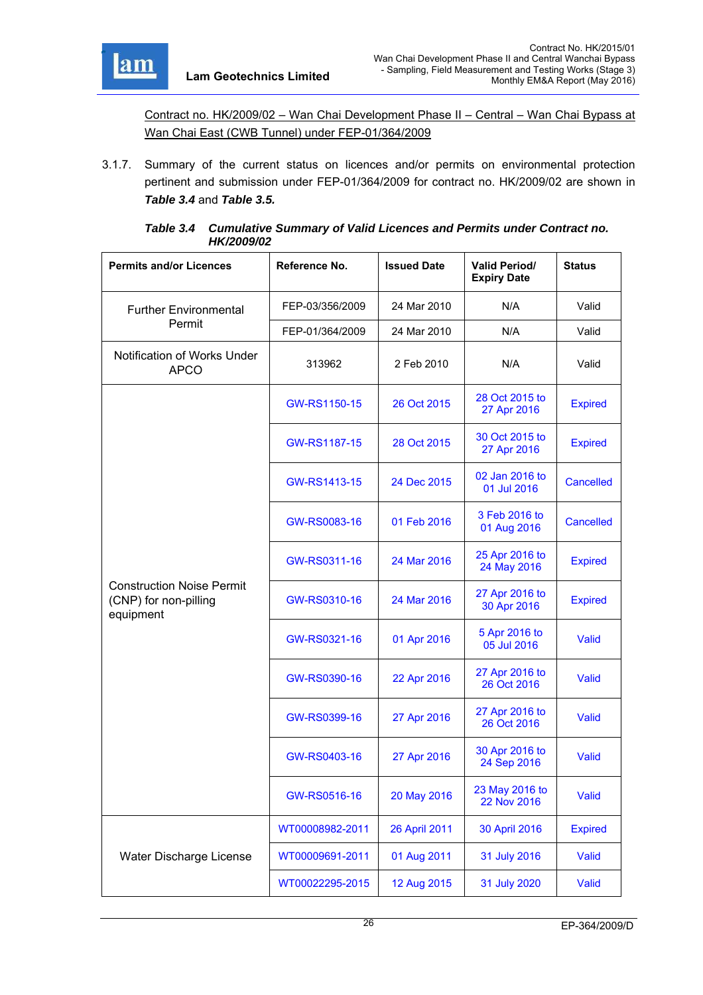

Contract no. HK/2009/02 – Wan Chai Development Phase II – Central – Wan Chai Bypass at Wan Chai East (CWB Tunnel) under FEP-01/364/2009

3.1.7. Summary of the current status on licences and/or permits on environmental protection pertinent and submission under FEP-01/364/2009 for contract no. HK/2009/02 are shown in *Table 3.4* and *Table 3.5.*

| Table 3.4 Cumulative Summary of Valid Licences and Permits under Contract no. |
|-------------------------------------------------------------------------------|
| <b>HK/2009/02</b>                                                             |

| <b>Permits and/or Licences</b>                                         | Reference No.   | <b>Issued Date</b> | <b>Valid Period/</b><br><b>Expiry Date</b> | <b>Status</b>    |
|------------------------------------------------------------------------|-----------------|--------------------|--------------------------------------------|------------------|
| <b>Further Environmental</b>                                           | FEP-03/356/2009 | 24 Mar 2010        | N/A                                        | Valid            |
| Permit                                                                 | FEP-01/364/2009 | 24 Mar 2010        | N/A                                        | Valid            |
| Notification of Works Under<br><b>APCO</b>                             | 313962          | 2 Feb 2010         | N/A                                        | Valid            |
|                                                                        | GW-RS1150-15    | 26 Oct 2015        | 28 Oct 2015 to<br>27 Apr 2016              | <b>Expired</b>   |
|                                                                        | GW-RS1187-15    | 28 Oct 2015        | 30 Oct 2015 to<br>27 Apr 2016              | <b>Expired</b>   |
|                                                                        | GW-RS1413-15    | 24 Dec 2015        | 02 Jan 2016 to<br>01 Jul 2016              | <b>Cancelled</b> |
|                                                                        | GW-RS0083-16    | 01 Feb 2016        | 3 Feb 2016 to<br>01 Aug 2016               | <b>Cancelled</b> |
|                                                                        | GW-RS0311-16    | 24 Mar 2016        | 25 Apr 2016 to<br>24 May 2016              | <b>Expired</b>   |
| <b>Construction Noise Permit</b><br>(CNP) for non-pilling<br>equipment | GW-RS0310-16    | 24 Mar 2016        | 27 Apr 2016 to<br>30 Apr 2016              | <b>Expired</b>   |
|                                                                        | GW-RS0321-16    | 01 Apr 2016        | 5 Apr 2016 to<br>05 Jul 2016               | Valid            |
|                                                                        | GW-RS0390-16    | 22 Apr 2016        | 27 Apr 2016 to<br>26 Oct 2016              | <b>Valid</b>     |
|                                                                        | GW-RS0399-16    | 27 Apr 2016        | 27 Apr 2016 to<br>26 Oct 2016              | Valid            |
|                                                                        | GW-RS0403-16    | 27 Apr 2016        | 30 Apr 2016 to<br>24 Sep 2016              | Valid            |
|                                                                        | GW-RS0516-16    | 20 May 2016        | 23 May 2016 to<br><b>22 Nov 2016</b>       | Valid            |
|                                                                        | WT00008982-2011 | 26 April 2011      | 30 April 2016                              | <b>Expired</b>   |
| Water Discharge License                                                | WT00009691-2011 | 01 Aug 2011        | 31 July 2016                               | Valid            |
|                                                                        | WT00022295-2015 | 12 Aug 2015        | 31 July 2020                               | Valid            |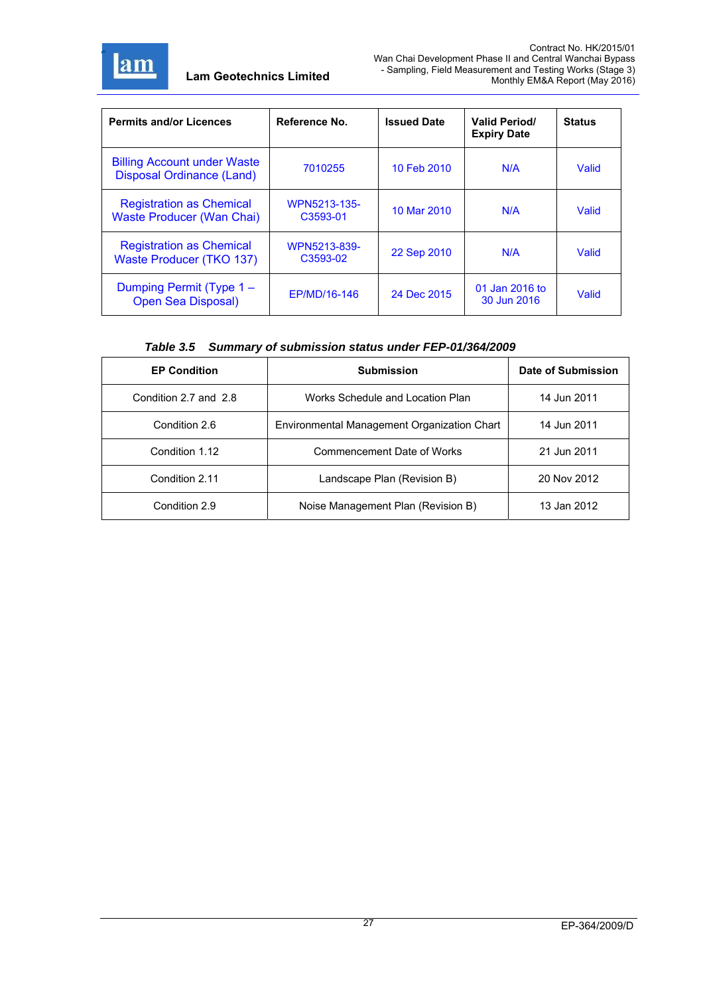

| <b>Permits and/or Licences</b>                                         | Reference No.            | <b>Issued Date</b> | <b>Valid Period/</b><br><b>Expiry Date</b> | <b>Status</b> |
|------------------------------------------------------------------------|--------------------------|--------------------|--------------------------------------------|---------------|
| <b>Billing Account under Waste</b><br><b>Disposal Ordinance (Land)</b> | 7010255                  | 10 Feb 2010        | N/A                                        | Valid         |
| <b>Registration as Chemical</b><br><b>Waste Producer (Wan Chai)</b>    | WPN5213-135-<br>C3593-01 | 10 Mar 2010        | N/A                                        | Valid         |
| <b>Registration as Chemical</b><br>Waste Producer (TKO 137)            | WPN5213-839-<br>C3593-02 | 22 Sep 2010        | N/A                                        | Valid         |
| Dumping Permit (Type 1 –<br><b>Open Sea Disposal)</b>                  | EP/MD/16-146             | 24 Dec 2015        | 01 Jan 2016 to<br>30 Jun 2016              | Valid         |

### *Table 3.5 Summary of submission status under FEP-01/364/2009*

| <b>EP Condition</b>                                          | <b>Submission</b>                  | Date of Submission |
|--------------------------------------------------------------|------------------------------------|--------------------|
| Condition 2.7 and 2.8                                        | Works Schedule and Location Plan   | 14 Jun 2011        |
| Environmental Management Organization Chart<br>Condition 2.6 |                                    | 14 Jun 2011        |
| Condition 1.12                                               | Commencement Date of Works         | 21 Jun 2011        |
| Condition 2.11                                               | Landscape Plan (Revision B)        | 20 Nov 2012        |
| Condition 2.9                                                | Noise Management Plan (Revision B) | 13 Jan 2012        |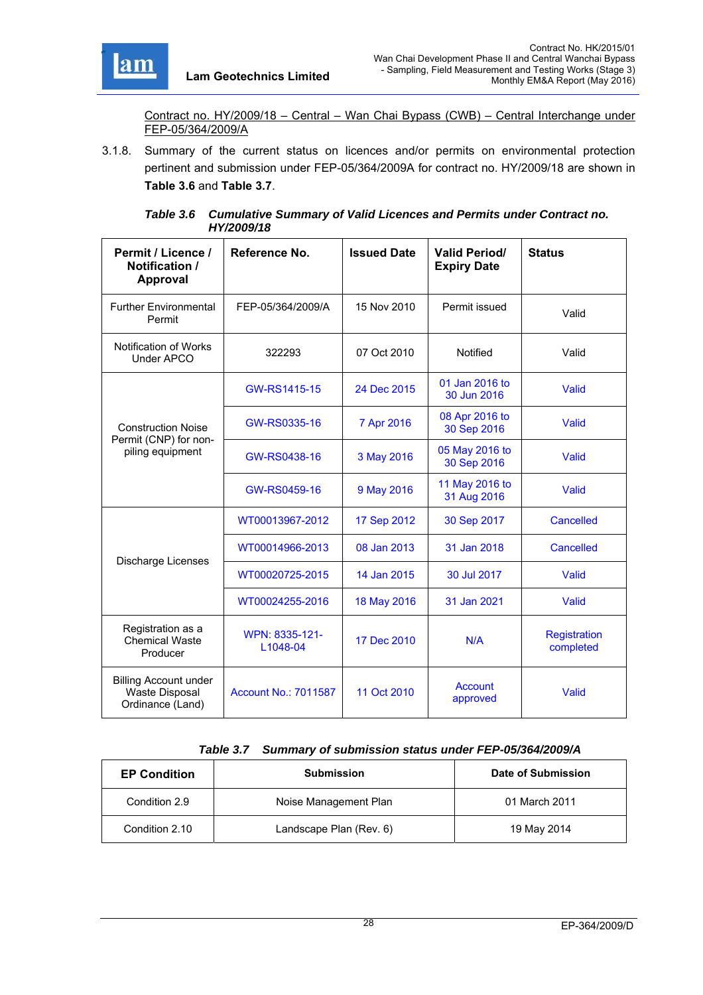

Contract no. HY/2009/18 – Central – Wan Chai Bypass (CWB) – Central Interchange under FEP-05/364/2009/A

3.1.8. Summary of the current status on licences and/or permits on environmental protection pertinent and submission under FEP-05/364/2009A for contract no. HY/2009/18 are shown in **Table 3.6** and **Table 3.7**.

| Permit / Licence /<br>Notification /<br>Approval                          | Reference No.               | <b>Issued Date</b> | <b>Valid Period/</b><br><b>Expiry Date</b> | <b>Status</b>                    |
|---------------------------------------------------------------------------|-----------------------------|--------------------|--------------------------------------------|----------------------------------|
| <b>Further Environmental</b><br>Permit                                    | FEP-05/364/2009/A           | 15 Nov 2010        | Permit issued                              | Valid                            |
| Notification of Works<br>Under APCO                                       | 322293                      | 07 Oct 2010        | Notified                                   | Valid                            |
|                                                                           | GW-RS1415-15                | 24 Dec 2015        | 01 Jan 2016 to<br>30 Jun 2016              | Valid                            |
| <b>Construction Noise</b><br>Permit (CNP) for non-                        | GW-RS0335-16                | 7 Apr 2016         | 08 Apr 2016 to<br>30 Sep 2016              | Valid                            |
| piling equipment                                                          | GW-RS0438-16                | 3 May 2016         | 05 May 2016 to<br>30 Sep 2016              | Valid                            |
|                                                                           | GW-RS0459-16                | 9 May 2016         | 11 May 2016 to<br>31 Aug 2016              | Valid                            |
|                                                                           | WT00013967-2012             | 17 Sep 2012        | 30 Sep 2017                                | <b>Cancelled</b>                 |
| Discharge Licenses                                                        | WT00014966-2013             | 08 Jan 2013        | 31 Jan 2018                                | Cancelled                        |
|                                                                           | WT00020725-2015             | 14 Jan 2015        | 30 Jul 2017                                | Valid                            |
|                                                                           | WT00024255-2016             | 18 May 2016        | 31 Jan 2021                                | Valid                            |
| Registration as a<br><b>Chemical Waste</b><br>Producer                    | WPN: 8335-121-<br>L1048-04  | 17 Dec 2010        | N/A                                        | <b>Registration</b><br>completed |
| <b>Billing Account under</b><br><b>Waste Disposal</b><br>Ordinance (Land) | <b>Account No.: 7011587</b> | 11 Oct 2010        | <b>Account</b><br>approved                 | Valid                            |

*Table 3.6 Cumulative Summary of Valid Licences and Permits under Contract no. HY/2009/18* 

#### *Table 3.7 Summary of submission status under FEP-05/364/2009/A*

| <b>EP Condition</b> | <b>Submission</b>       | Date of Submission |
|---------------------|-------------------------|--------------------|
| Condition 2.9       | Noise Management Plan   | 01 March 2011      |
| Condition 2.10      | Landscape Plan (Rev. 6) | 19 May 2014        |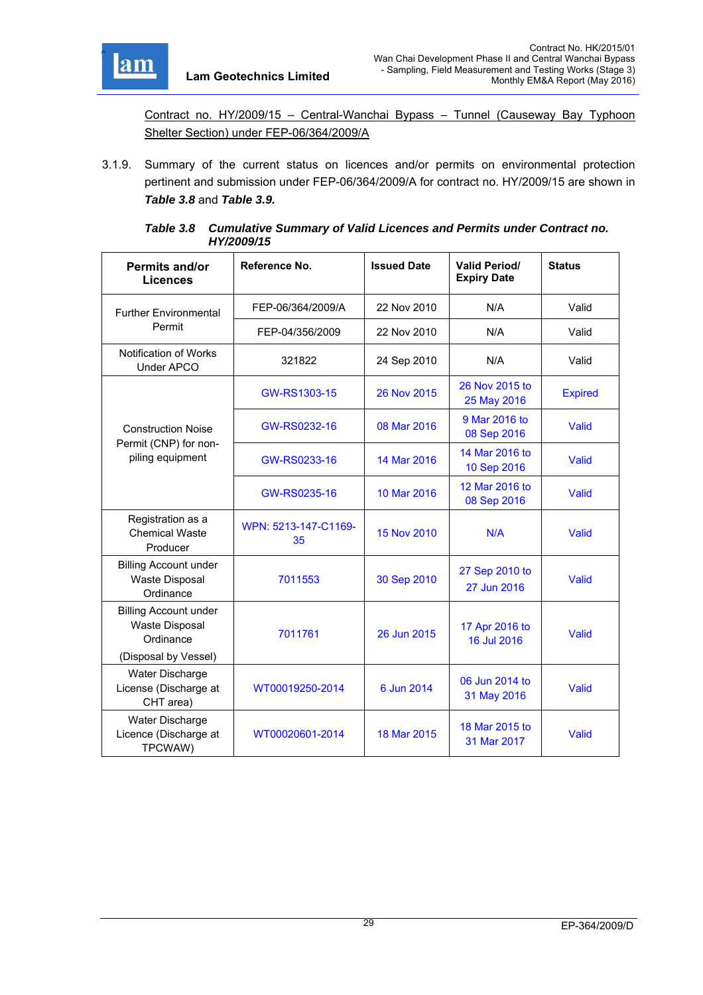

Contract no. HY/2009/15 – Central-Wanchai Bypass – Tunnel (Causeway Bay Typhoon Shelter Section) under FEP-06/364/2009/A

3.1.9. Summary of the current status on licences and/or permits on environmental protection pertinent and submission under FEP-06/364/2009/A for contract no. HY/2009/15 are shown in *Table 3.8* and *Table 3.9.*

| Table 3.8 Cumulative Summary of Valid Licences and Permits under Contract no. |
|-------------------------------------------------------------------------------|
| <b>HY/2009/15</b>                                                             |

| Permits and/or<br><b>Licences</b>                                                          | Reference No.              | <b>Issued Date</b> | <b>Valid Period/</b><br><b>Expiry Date</b> | <b>Status</b>  |
|--------------------------------------------------------------------------------------------|----------------------------|--------------------|--------------------------------------------|----------------|
| <b>Further Environmental</b>                                                               | FEP-06/364/2009/A          | 22 Nov 2010        | N/A                                        | Valid          |
| Permit                                                                                     | FEP-04/356/2009            | 22 Nov 2010        | N/A                                        | Valid          |
| Notification of Works<br><b>Under APCO</b>                                                 | 321822                     | 24 Sep 2010        | N/A                                        | Valid          |
|                                                                                            | GW-RS1303-15               | 26 Nov 2015        | 26 Nov 2015 to<br>25 May 2016              | <b>Expired</b> |
| <b>Construction Noise</b>                                                                  | GW-RS0232-16               | 08 Mar 2016        | 9 Mar 2016 to<br>08 Sep 2016               | Valid          |
| Permit (CNP) for non-<br>piling equipment                                                  | GW-RS0233-16               | 14 Mar 2016        | 14 Mar 2016 to<br>10 Sep 2016              | Valid          |
|                                                                                            | GW-RS0235-16               | 10 Mar 2016        | 12 Mar 2016 to<br>08 Sep 2016              | Valid          |
| Registration as a<br><b>Chemical Waste</b><br>Producer                                     | WPN: 5213-147-C1169-<br>35 | 15 Nov 2010        | N/A                                        | Valid          |
| <b>Billing Account under</b><br><b>Waste Disposal</b><br>Ordinance                         | 7011553                    | 30 Sep 2010        | 27 Sep 2010 to<br>27 Jun 2016              | Valid          |
| <b>Billing Account under</b><br><b>Waste Disposal</b><br>Ordinance<br>(Disposal by Vessel) | 7011761                    | 26 Jun 2015        | 17 Apr 2016 to<br>16 Jul 2016              | Valid          |
| Water Discharge<br>License (Discharge at<br>CHT area)                                      | WT00019250-2014            | 6 Jun 2014         | 06 Jun 2014 to<br>31 May 2016              | Valid          |
| Water Discharge<br>Licence (Discharge at<br>TPCWAW)                                        | WT00020601-2014            | 18 Mar 2015        | 18 Mar 2015 to<br>31 Mar 2017              | Valid          |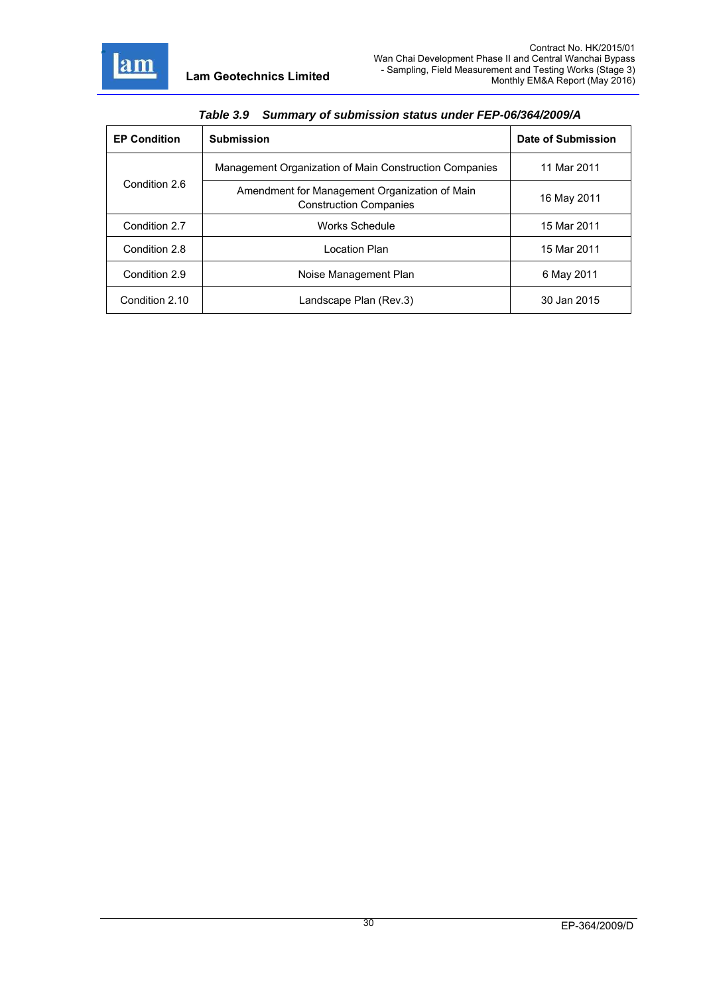

| $14000$ $0.0$ and $10000$ and $10000$ and $10000$ and $10000$ |                                                                                |                    |  |  |  |
|---------------------------------------------------------------|--------------------------------------------------------------------------------|--------------------|--|--|--|
| <b>EP Condition</b>                                           | <b>Submission</b>                                                              | Date of Submission |  |  |  |
|                                                               | Management Organization of Main Construction Companies                         | 11 Mar 2011        |  |  |  |
| Condition 2.6                                                 | Amendment for Management Organization of Main<br><b>Construction Companies</b> | 16 May 2011        |  |  |  |
| Condition 2.7                                                 | Works Schedule                                                                 | 15 Mar 2011        |  |  |  |
| Condition 2.8                                                 | Location Plan                                                                  | 15 Mar 2011        |  |  |  |
| Condition 2.9                                                 | Noise Management Plan                                                          | 6 May 2011         |  |  |  |
| Condition 2.10                                                | Landscape Plan (Rev.3)                                                         | 30 Jan 2015        |  |  |  |

*Table 3.9 Summary of submission status under FEP-06/364/2009/A*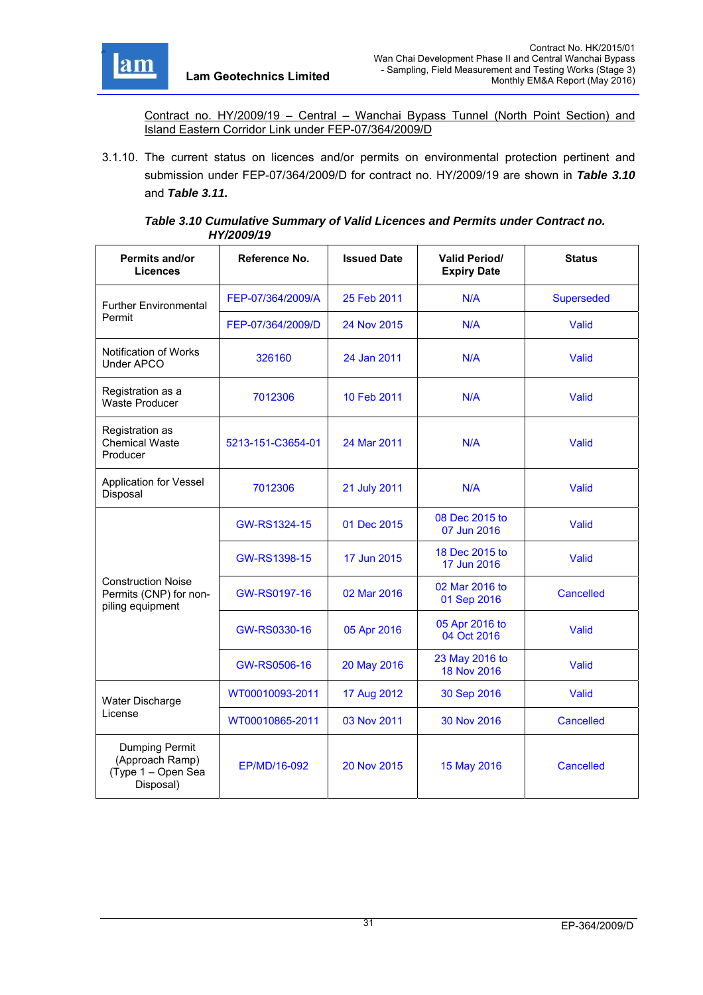

Contract no. HY/2009/19 – Central – Wanchai Bypass Tunnel (North Point Section) and Island Eastern Corridor Link under FEP-07/364/2009/D

3.1.10. The current status on licences and/or permits on environmental protection pertinent and submission under FEP-07/364/2009/D for contract no. HY/2009/19 are shown in *Table 3.10*  and *Table 3.11.*

### *Table 3.10 Cumulative Summary of Valid Licences and Permits under Contract no. HY/2009/19*

| <b>Permits and/or</b><br><b>Licences</b>                                | Reference No.     | <b>Issued Date</b> | <b>Valid Period/</b><br><b>Expiry Date</b> | <b>Status</b>     |
|-------------------------------------------------------------------------|-------------------|--------------------|--------------------------------------------|-------------------|
| <b>Further Environmental</b>                                            | FEP-07/364/2009/A | 25 Feb 2011        | N/A                                        | <b>Superseded</b> |
| Permit                                                                  | FEP-07/364/2009/D | 24 Nov 2015        | N/A                                        | Valid             |
| Notification of Works<br>Under APCO                                     | 326160            | 24 Jan 2011        | N/A                                        | Valid             |
| Registration as a<br><b>Waste Producer</b>                              | 7012306           | 10 Feb 2011        | N/A                                        | Valid             |
| Registration as<br><b>Chemical Waste</b><br>Producer                    | 5213-151-C3654-01 | 24 Mar 2011        | N/A                                        | Valid             |
| <b>Application for Vessel</b><br>Disposal                               | 7012306           | 21 July 2011       | N/A                                        | Valid             |
|                                                                         | GW-RS1324-15      | 01 Dec 2015        | 08 Dec 2015 to<br>07 Jun 2016              | Valid             |
|                                                                         | GW-RS1398-15      | 17 Jun 2015        | 18 Dec 2015 to<br>17 Jun 2016              | Valid             |
| <b>Construction Noise</b><br>Permits (CNP) for non-<br>piling equipment | GW-RS0197-16      | 02 Mar 2016        | 02 Mar 2016 to<br>01 Sep 2016              | Cancelled         |
|                                                                         | GW-RS0330-16      | 05 Apr 2016        | 05 Apr 2016 to<br>04 Oct 2016              | Valid             |
|                                                                         | GW-RS0506-16      | 20 May 2016        | 23 May 2016 to<br>18 Nov 2016              | Valid             |
| Water Discharge                                                         | WT00010093-2011   | 17 Aug 2012        | 30 Sep 2016                                | Valid             |
| License                                                                 | WT00010865-2011   | 03 Nov 2011        | 30 Nov 2016                                | Cancelled         |
| Dumping Permit<br>(Approach Ramp)<br>(Type 1 - Open Sea<br>Disposal)    | EP/MD/16-092      | 20 Nov 2015        | 15 May 2016                                | <b>Cancelled</b>  |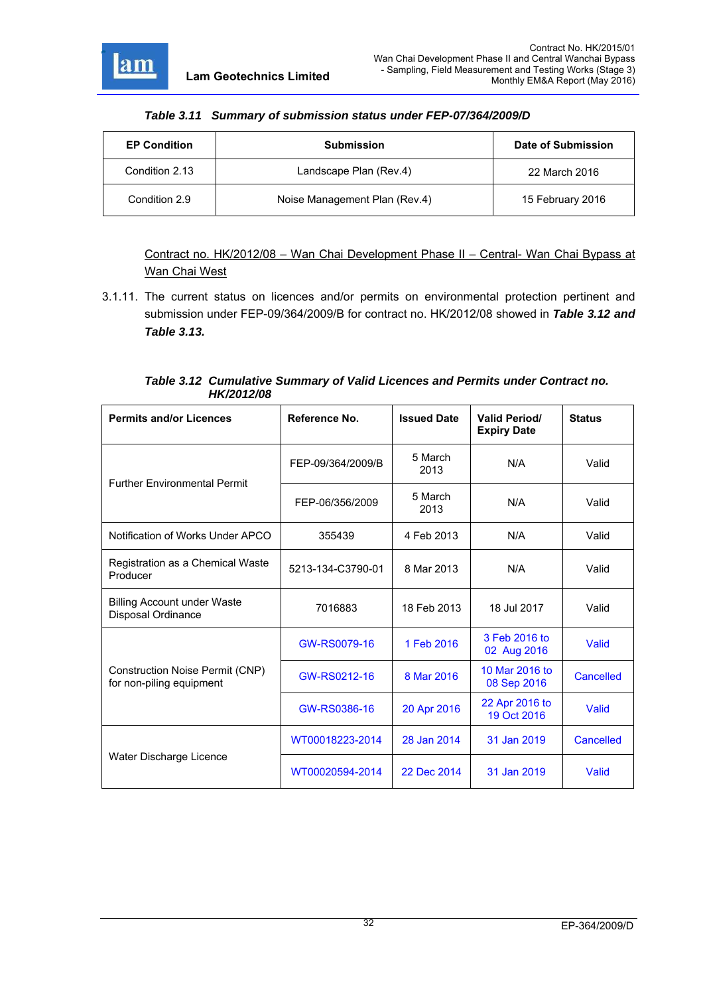

| <b>EP Condition</b> | <b>Submission</b>             | Date of Submission |
|---------------------|-------------------------------|--------------------|
| Condition 2.13      | Landscape Plan (Rev.4)        | 22 March 2016      |
| Condition 2.9       | Noise Management Plan (Rev.4) | 15 February 2016   |

Contract no. HK/2012/08 – Wan Chai Development Phase II – Central- Wan Chai Bypass at Wan Chai West

3.1.11. The current status on licences and/or permits on environmental protection pertinent and submission under FEP-09/364/2009/B for contract no. HK/2012/08 showed in *Table 3.12 and Table 3.13.*

| Table 3.12 Cumulative Summary of Valid Licences and Permits under Contract no. |
|--------------------------------------------------------------------------------|
| <b>HK/2012/08</b>                                                              |

| <b>Permits and/or Licences</b>                              | Reference No.     | <b>Issued Date</b> | <b>Valid Period/</b><br><b>Expiry Date</b> | <b>Status</b> |
|-------------------------------------------------------------|-------------------|--------------------|--------------------------------------------|---------------|
| <b>Further Environmental Permit</b>                         | FEP-09/364/2009/B | 5 March<br>2013    | N/A                                        | Valid         |
|                                                             | FEP-06/356/2009   | 5 March<br>2013    | N/A                                        | Valid         |
| Notification of Works Under APCO                            | 355439            | 4 Feb 2013         | N/A                                        | Valid         |
| Registration as a Chemical Waste<br>Producer                | 5213-134-C3790-01 | 8 Mar 2013         | N/A                                        | Valid         |
| <b>Billing Account under Waste</b><br>Disposal Ordinance    | 7016883           | 18 Feb 2013        | 18 Jul 2017                                | Valid         |
|                                                             | GW-RS0079-16      | 1 Feb 2016         | 3 Feb 2016 to<br>02 Aug 2016               | Valid         |
| Construction Noise Permit (CNP)<br>for non-piling equipment | GW-RS0212-16      | 8 Mar 2016         | 10 Mar 2016 to<br>08 Sep 2016              | Cancelled     |
|                                                             | GW-RS0386-16      | 20 Apr 2016        | 22 Apr 2016 to<br>19 Oct 2016              | Valid         |
|                                                             | WT00018223-2014   | 28 Jan 2014        | 31 Jan 2019                                | Cancelled     |
| Water Discharge Licence                                     | WT00020594-2014   | 22 Dec 2014        | 31 Jan 2019                                | Valid         |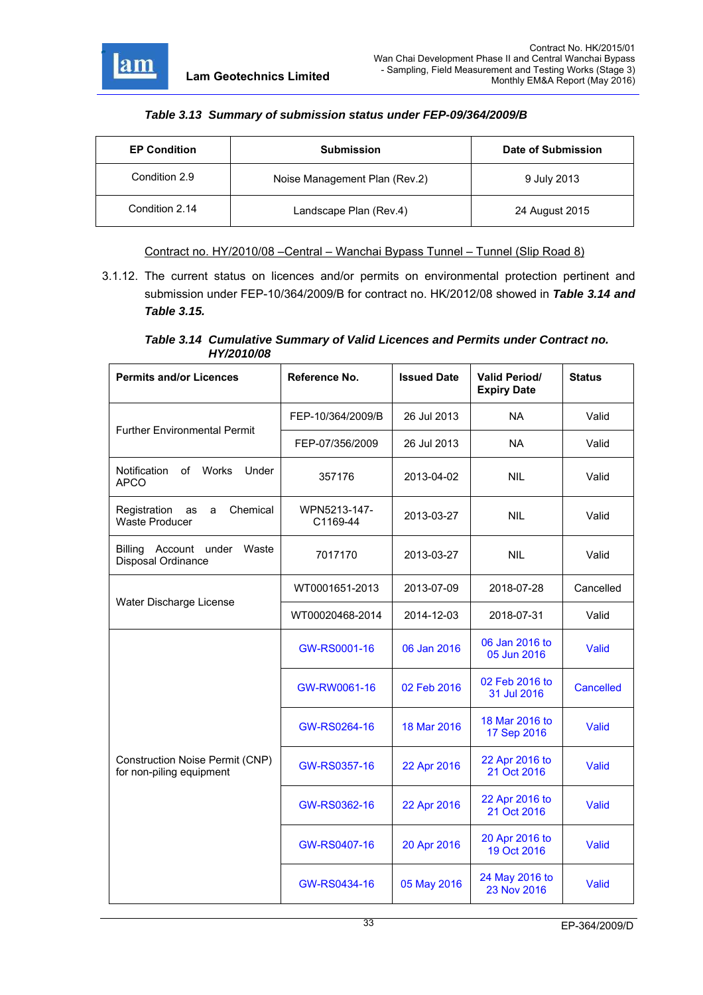

## *Table 3.13 Summary of submission status under FEP-09/364/2009/B*

| <b>EP Condition</b> | <b>Submission</b>             | Date of Submission |
|---------------------|-------------------------------|--------------------|
| Condition 2.9       | Noise Management Plan (Rev.2) | 9 July 2013        |
| Condition 2.14      | Landscape Plan (Rev.4)        | 24 August 2015     |

Contract no. HY/2010/08 –Central – Wanchai Bypass Tunnel – Tunnel (Slip Road 8)

3.1.12. The current status on licences and/or permits on environmental protection pertinent and submission under FEP-10/364/2009/B for contract no. HK/2012/08 showed in *Table 3.14 and Table 3.15.*

### *Table 3.14 Cumulative Summary of Valid Licences and Permits under Contract no. HY/2010/08*

| <b>Permits and/or Licences</b>                                     | Reference No.            | <b>Issued Date</b> | <b>Valid Period/</b><br><b>Expiry Date</b> | <b>Status</b>    |
|--------------------------------------------------------------------|--------------------------|--------------------|--------------------------------------------|------------------|
| <b>Further Environmental Permit</b>                                | FEP-10/364/2009/B        | 26 Jul 2013        | <b>NA</b>                                  | Valid            |
|                                                                    | FEP-07/356/2009          | 26 Jul 2013        | <b>NA</b>                                  | Valid            |
| <b>Notification</b><br>of<br><b>Works</b><br>Under<br><b>APCO</b>  | 357176                   | 2013-04-02         | <b>NIL</b>                                 | Valid            |
| Chemical<br>Registration<br>as<br>a<br><b>Waste Producer</b>       | WPN5213-147-<br>C1169-44 | 2013-03-27         | <b>NIL</b>                                 | Valid            |
| Waste<br>Billing Account under<br>Disposal Ordinance               | 7017170                  | 2013-03-27         | <b>NIL</b>                                 | Valid            |
| Water Discharge License                                            | WT0001651-2013           | 2013-07-09         | 2018-07-28                                 | Cancelled        |
|                                                                    | WT00020468-2014          | 2014-12-03         | 2018-07-31                                 | Valid            |
|                                                                    | GW-RS0001-16             | 06 Jan 2016        | 06 Jan 2016 to<br>05 Jun 2016              | Valid            |
|                                                                    | GW-RW0061-16             | 02 Feb 2016        | 02 Feb 2016 to<br>31 Jul 2016              | <b>Cancelled</b> |
|                                                                    | GW-RS0264-16             | 18 Mar 2016        | 18 Mar 2016 to<br>17 Sep 2016              | Valid            |
| <b>Construction Noise Permit (CNP)</b><br>for non-piling equipment | GW-RS0357-16             | 22 Apr 2016        | 22 Apr 2016 to<br>21 Oct 2016              | Valid            |
|                                                                    | GW-RS0362-16             | 22 Apr 2016        | 22 Apr 2016 to<br>21 Oct 2016              | Valid            |
|                                                                    | GW-RS0407-16             | 20 Apr 2016        | 20 Apr 2016 to<br>19 Oct 2016              | Valid            |
|                                                                    | GW-RS0434-16             | 05 May 2016        | 24 May 2016 to<br>23 Nov 2016              | <b>Valid</b>     |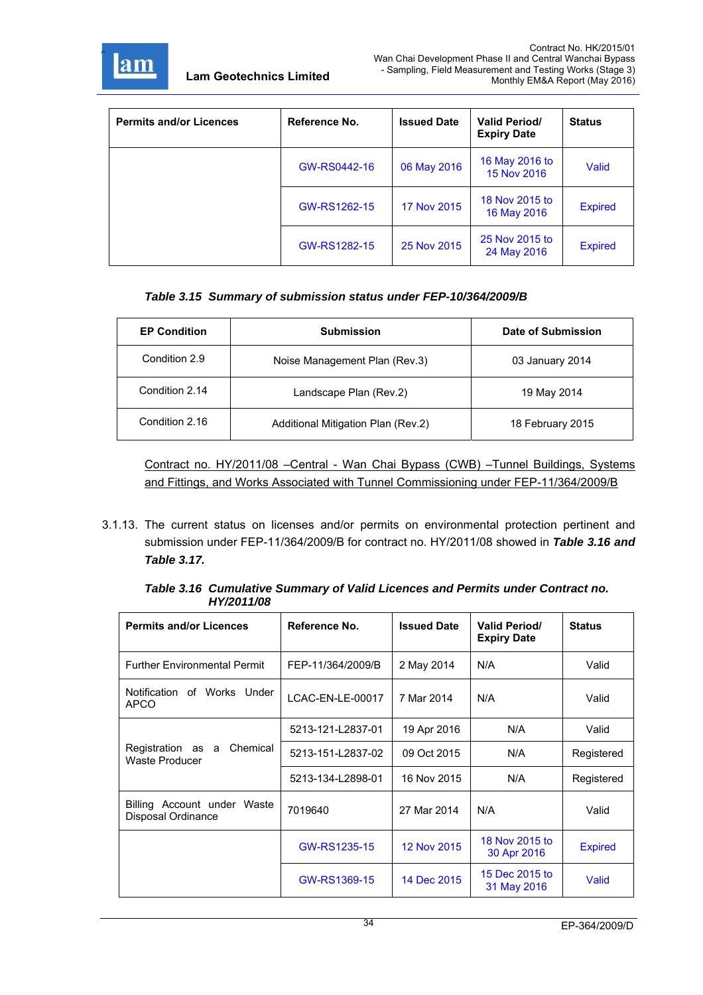

| <b>Permits and/or Licences</b> | Reference No. | <b>Issued Date</b> | <b>Valid Period/</b><br><b>Expiry Date</b> | <b>Status</b>  |
|--------------------------------|---------------|--------------------|--------------------------------------------|----------------|
|                                | GW-RS0442-16  | 06 May 2016        | 16 May 2016 to<br>15 Nov 2016              | Valid          |
|                                | GW-RS1262-15  | 17 Nov 2015        | 18 Nov 2015 to<br>16 May 2016              | <b>Expired</b> |
|                                | GW-RS1282-15  | 25 Nov 2015        | 25 Nov 2015 to<br>24 May 2016              | <b>Expired</b> |

# *Table 3.15 Summary of submission status under FEP-10/364/2009/B*

| <b>EP Condition</b> | <b>Submission</b>                  | Date of Submission |
|---------------------|------------------------------------|--------------------|
| Condition 2.9       | Noise Management Plan (Rev.3)      | 03 January 2014    |
| Condition 2.14      | Landscape Plan (Rev.2)             | 19 May 2014        |
| Condition 2.16      | Additional Mitigation Plan (Rev.2) | 18 February 2015   |

Contract no. HY/2011/08 –Central - Wan Chai Bypass (CWB) –Tunnel Buildings, Systems and Fittings, and Works Associated with Tunnel Commissioning under FEP-11/364/2009/B

3.1.13. The current status on licenses and/or permits on environmental protection pertinent and submission under FEP-11/364/2009/B for contract no. HY/2011/08 showed in *Table 3.16 and Table 3.17.*

| <b>Permits and/or Licences</b>                         | Reference No.     | <b>Issued Date</b> | <b>Valid Period/</b><br><b>Expiry Date</b> | <b>Status</b>  |
|--------------------------------------------------------|-------------------|--------------------|--------------------------------------------|----------------|
| <b>Further Environmental Permit</b>                    | FEP-11/364/2009/B | 2 May 2014         | N/A                                        | Valid          |
| Notification of Works Under<br><b>APCO</b>             | LCAC-EN-LE-00017  | 7 Mar 2014         | N/A                                        | Valid          |
|                                                        | 5213-121-L2837-01 | 19 Apr 2016        | N/A                                        | Valid          |
| Registration as a<br>Chemical<br><b>Waste Producer</b> | 5213-151-L2837-02 | 09 Oct 2015        | N/A                                        | Registered     |
|                                                        | 5213-134-L2898-01 | 16 Nov 2015        | N/A                                        | Registered     |
| Billing Account under Waste<br>Disposal Ordinance      | 7019640           | 27 Mar 2014        | N/A                                        | Valid          |
|                                                        | GW-RS1235-15      | 12 Nov 2015        | 18 Nov 2015 to<br>30 Apr 2016              | <b>Expired</b> |
|                                                        | GW-RS1369-15      | 14 Dec 2015        | 15 Dec 2015 to<br>31 May 2016              | Valid          |

*Table 3.16 Cumulative Summary of Valid Licences and Permits under Contract no. HY/2011/08*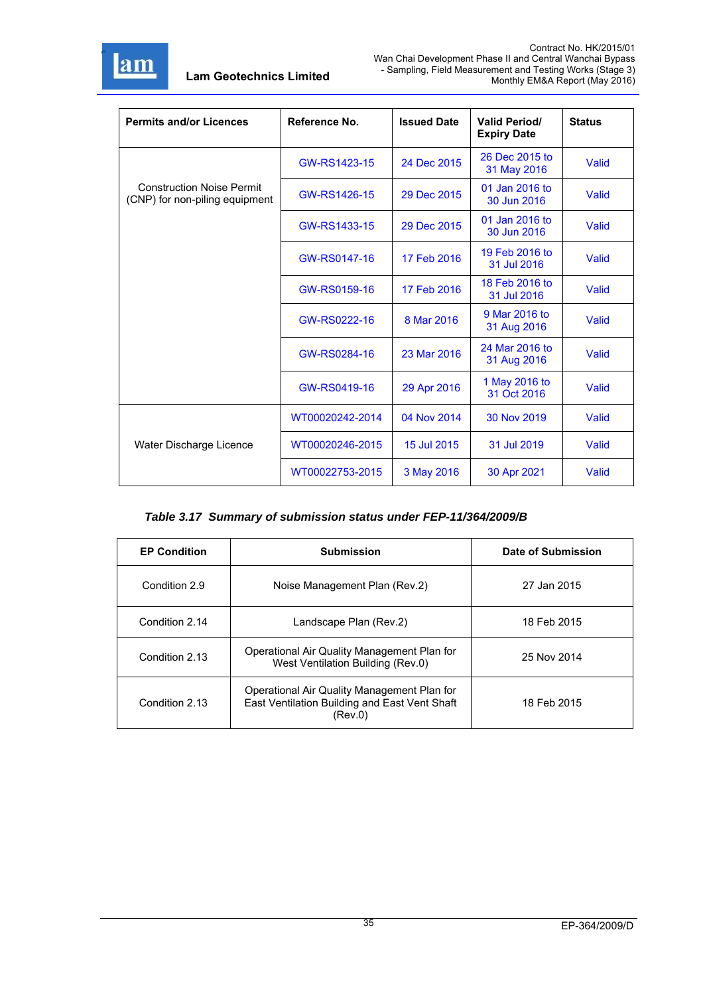

| <b>Permits and/or Licences</b>                                     | Reference No.   | <b>Issued Date</b> | <b>Valid Period/</b><br><b>Expiry Date</b> | <b>Status</b> |
|--------------------------------------------------------------------|-----------------|--------------------|--------------------------------------------|---------------|
|                                                                    | GW-RS1423-15    | 24 Dec 2015        | 26 Dec 2015 to<br>31 May 2016              | Valid         |
| <b>Construction Noise Permit</b><br>(CNP) for non-piling equipment | GW-RS1426-15    | 29 Dec 2015        | 01 Jan 2016 to<br>30 Jun 2016              | Valid         |
|                                                                    | GW-RS1433-15    | 29 Dec 2015        | 01 Jan 2016 to<br>30 Jun 2016              | Valid         |
|                                                                    | GW-RS0147-16    | 17 Feb 2016        | 19 Feb 2016 to<br>31 Jul 2016              | Valid         |
|                                                                    | GW-RS0159-16    | 17 Feb 2016        | 18 Feb 2016 to<br>31 Jul 2016              | Valid         |
|                                                                    | GW-RS0222-16    | 8 Mar 2016         | 9 Mar 2016 to<br>31 Aug 2016               | Valid         |
|                                                                    | GW-RS0284-16    | 23 Mar 2016        | 24 Mar 2016 to<br>31 Aug 2016              | Valid         |
|                                                                    | GW-RS0419-16    | 29 Apr 2016        | 1 May 2016 to<br>31 Oct 2016               | Valid         |
|                                                                    | WT00020242-2014 | 04 Nov 2014        | 30 Nov 2019                                | Valid         |
| Water Discharge Licence                                            | WT00020246-2015 | 15 Jul 2015        | 31 Jul 2019                                | Valid         |
|                                                                    | WT00022753-2015 | 3 May 2016         | 30 Apr 2021                                | Valid         |

# *Table 3.17 Summary of submission status under FEP-11/364/2009/B*

| <b>EP Condition</b> | <b>Submission</b>                                                                                       | Date of Submission |
|---------------------|---------------------------------------------------------------------------------------------------------|--------------------|
| Condition 2.9       | Noise Management Plan (Rev.2)                                                                           | 27 Jan 2015        |
| Condition 2.14      | Landscape Plan (Rev.2)                                                                                  | 18 Feb 2015        |
| Condition 2.13      | Operational Air Quality Management Plan for<br>West Ventilation Building (Rev.0)                        | 25 Nov 2014        |
| Condition 2.13      | Operational Air Quality Management Plan for<br>East Ventilation Building and East Vent Shaft<br>(Rev.0) | 18 Feb 2015        |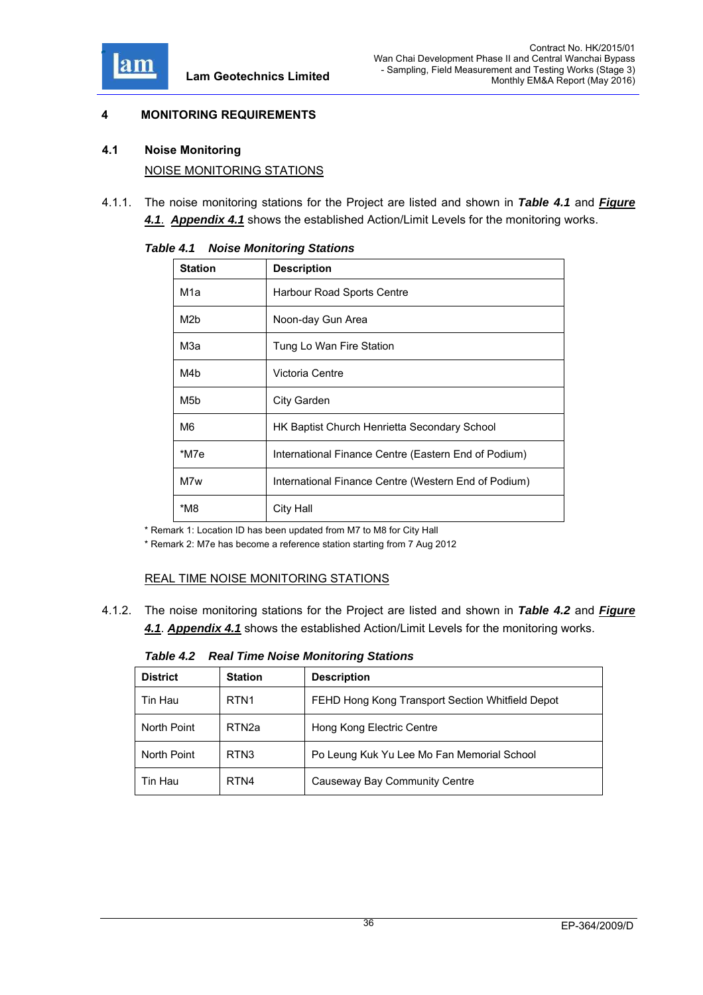

# **4 MONITORING REQUIREMENTS**

## **4.1 Noise Monitoring**

NOISE MONITORING STATIONS

4.1.1. The noise monitoring stations for the Project are listed and shown in *Table 4.1* and *Figure 4.1*. *Appendix 4.1* shows the established Action/Limit Levels for the monitoring works.

| <b>Station</b>   | <b>Description</b>                                   |  |
|------------------|------------------------------------------------------|--|
| M1a              | Harbour Road Sports Centre                           |  |
| M <sub>2</sub> b | Noon-day Gun Area                                    |  |
| МЗа              | Tung Lo Wan Fire Station                             |  |
| M4b              | Victoria Centre                                      |  |
| M <sub>5</sub> b | City Garden                                          |  |
| M6               | HK Baptist Church Henrietta Secondary School         |  |
| *M7e             | International Finance Centre (Eastern End of Podium) |  |
| M7w              | International Finance Centre (Western End of Podium) |  |
| *M8<br>City Hall |                                                      |  |

*Table 4.1 Noise Monitoring Stations* 

\* Remark 1: Location ID has been updated from M7 to M8 for City Hall

\* Remark 2: M7e has become a reference station starting from 7 Aug 2012

# REAL TIME NOISE MONITORING STATIONS

4.1.2. The noise monitoring stations for the Project are listed and shown in *Table 4.2* and *Figure 4.1*. *Appendix 4.1* shows the established Action/Limit Levels for the monitoring works.

*Table 4.2 Real Time Noise Monitoring Stations* 

| <b>District</b> | <b>Station</b>    | <b>Description</b>                               |
|-----------------|-------------------|--------------------------------------------------|
| Tin Hau         | RTN <sub>1</sub>  | FEHD Hong Kong Transport Section Whitfield Depot |
| North Point     | RTN <sub>2a</sub> | Hong Kong Electric Centre                        |
| North Point     | RTN <sub>3</sub>  | Po Leung Kuk Yu Lee Mo Fan Memorial School       |
| Tin Hau         | RTN4              | Causeway Bay Community Centre                    |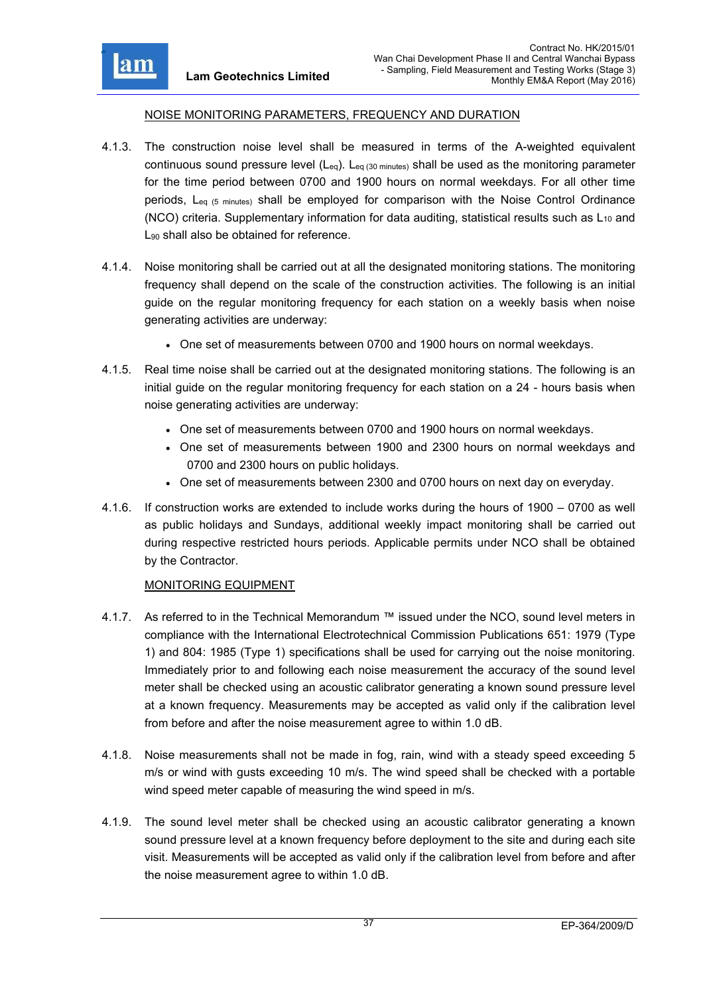

### NOISE MONITORING PARAMETERS, FREQUENCY AND DURATION

- 4.1.3. The construction noise level shall be measured in terms of the A-weighted equivalent continuous sound pressure level  $(L_{eq})$ .  $L_{eq}$  (30 minutes) shall be used as the monitoring parameter for the time period between 0700 and 1900 hours on normal weekdays. For all other time periods, L<sub>eq (5 minutes)</sub> shall be employed for comparison with the Noise Control Ordinance (NCO) criteria. Supplementary information for data auditing, statistical results such as  $L_{10}$  and L<sub>90</sub> shall also be obtained for reference.
- 4.1.4. Noise monitoring shall be carried out at all the designated monitoring stations. The monitoring frequency shall depend on the scale of the construction activities. The following is an initial guide on the regular monitoring frequency for each station on a weekly basis when noise generating activities are underway:
	- One set of measurements between 0700 and 1900 hours on normal weekdays.
- 4.1.5. Real time noise shall be carried out at the designated monitoring stations. The following is an initial guide on the regular monitoring frequency for each station on a 24 - hours basis when noise generating activities are underway:
	- One set of measurements between 0700 and 1900 hours on normal weekdays.
	- One set of measurements between 1900 and 2300 hours on normal weekdays and 0700 and 2300 hours on public holidays.
	- One set of measurements between 2300 and 0700 hours on next day on everyday.
- 4.1.6. If construction works are extended to include works during the hours of 1900 0700 as well as public holidays and Sundays, additional weekly impact monitoring shall be carried out during respective restricted hours periods. Applicable permits under NCO shall be obtained by the Contractor.

# MONITORING EQUIPMENT

- 4.1.7. As referred to in the Technical Memorandum ™ issued under the NCO, sound level meters in compliance with the International Electrotechnical Commission Publications 651: 1979 (Type 1) and 804: 1985 (Type 1) specifications shall be used for carrying out the noise monitoring. Immediately prior to and following each noise measurement the accuracy of the sound level meter shall be checked using an acoustic calibrator generating a known sound pressure level at a known frequency. Measurements may be accepted as valid only if the calibration level from before and after the noise measurement agree to within 1.0 dB.
- 4.1.8. Noise measurements shall not be made in fog, rain, wind with a steady speed exceeding 5 m/s or wind with gusts exceeding 10 m/s. The wind speed shall be checked with a portable wind speed meter capable of measuring the wind speed in m/s.
- 4.1.9. The sound level meter shall be checked using an acoustic calibrator generating a known sound pressure level at a known frequency before deployment to the site and during each site visit. Measurements will be accepted as valid only if the calibration level from before and after the noise measurement agree to within 1.0 dB.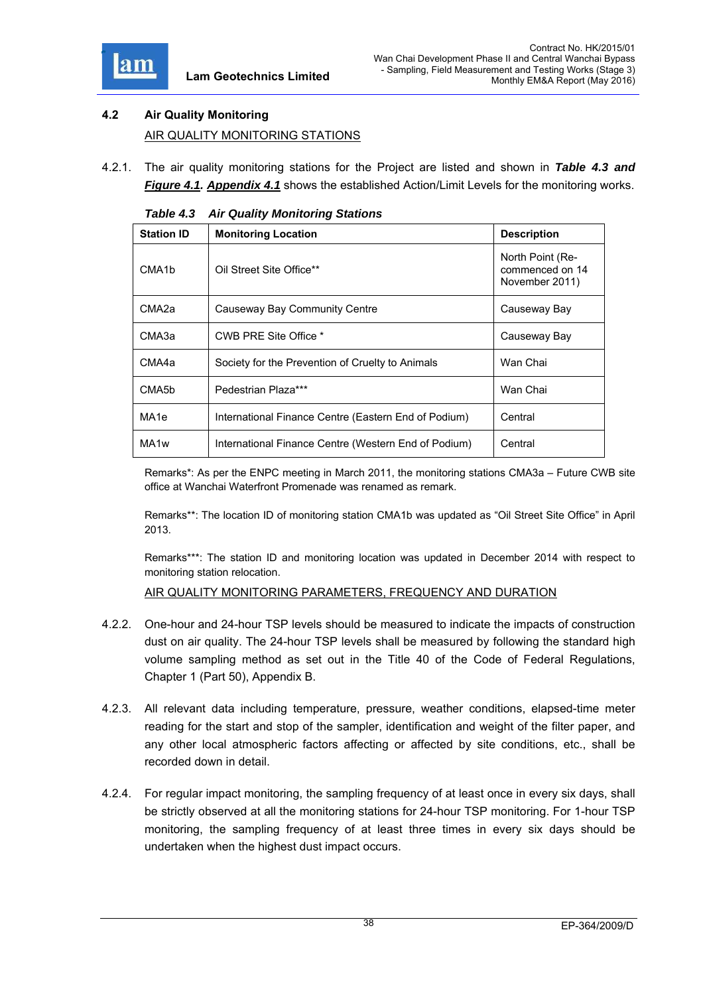

# **4.2 Air Quality Monitoring**  AIR QUALITY MONITORING STATIONS

4.2.1. The air quality monitoring stations for the Project are listed and shown in *Table 4.3 and Figure 4.1. Appendix 4.1* shows the established Action/Limit Levels for the monitoring works.

| $100 - 4000$       |                                                      |                                                       |
|--------------------|------------------------------------------------------|-------------------------------------------------------|
| <b>Station ID</b>  | <b>Monitoring Location</b>                           | <b>Description</b>                                    |
| CMA <sub>1</sub> b | Oil Street Site Office**                             | North Point (Re-<br>commenced on 14<br>November 2011) |
| CMA <sub>2a</sub>  | Causeway Bay Community Centre                        | Causeway Bay                                          |
| CMA3a              | CWB PRE Site Office *                                | Causeway Bay                                          |
| CMA4a              | Society for the Prevention of Cruelty to Animals     | Wan Chai                                              |
| CMA <sub>5</sub> b | Pedestrian Plaza***                                  | Wan Chai                                              |
| MA <sub>1e</sub>   | International Finance Centre (Eastern End of Podium) | Central                                               |
| MA <sub>1w</sub>   | International Finance Centre (Western End of Podium) | Central                                               |

*Table 4.3 Air Quality Monitoring Stations* 

Remarks\*: As per the ENPC meeting in March 2011, the monitoring stations CMA3a – Future CWB site office at Wanchai Waterfront Promenade was renamed as remark.

Remarks\*\*: The location ID of monitoring station CMA1b was updated as "Oil Street Site Office" in April 2013.

Remarks\*\*\*: The station ID and monitoring location was updated in December 2014 with respect to monitoring station relocation.

AIR QUALITY MONITORING PARAMETERS, FREQUENCY AND DURATION

- 4.2.2. One-hour and 24-hour TSP levels should be measured to indicate the impacts of construction dust on air quality. The 24-hour TSP levels shall be measured by following the standard high volume sampling method as set out in the Title 40 of the Code of Federal Regulations, Chapter 1 (Part 50), Appendix B.
- 4.2.3. All relevant data including temperature, pressure, weather conditions, elapsed-time meter reading for the start and stop of the sampler, identification and weight of the filter paper, and any other local atmospheric factors affecting or affected by site conditions, etc., shall be recorded down in detail.
- 4.2.4. For regular impact monitoring, the sampling frequency of at least once in every six days, shall be strictly observed at all the monitoring stations for 24-hour TSP monitoring. For 1-hour TSP monitoring, the sampling frequency of at least three times in every six days should be undertaken when the highest dust impact occurs.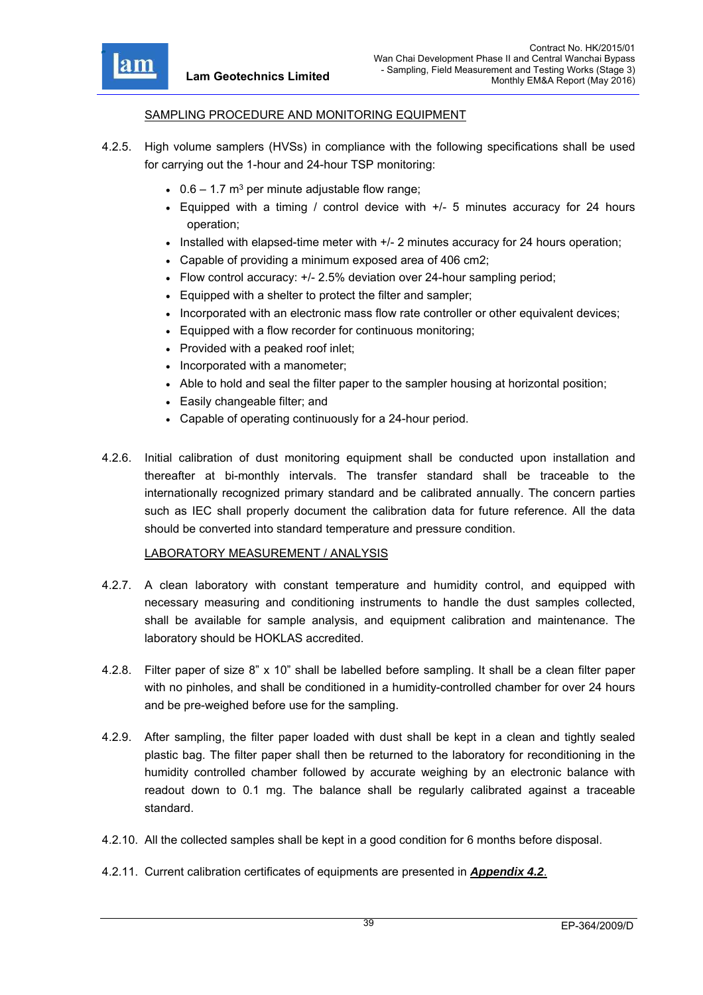

#### SAMPLING PROCEDURE AND MONITORING EQUIPMENT

- 4.2.5. High volume samplers (HVSs) in compliance with the following specifications shall be used for carrying out the 1-hour and 24-hour TSP monitoring:
	- $\cdot$  0.6 1.7 m<sup>3</sup> per minute adjustable flow range;
	- Equipped with a timing / control device with +/- 5 minutes accuracy for 24 hours operation;
	- $\bullet$  Installed with elapsed-time meter with  $+/$  2 minutes accuracy for 24 hours operation;
	- Capable of providing a minimum exposed area of 406 cm2;
	- Flow control accuracy: +/- 2.5% deviation over 24-hour sampling period;
	- Equipped with a shelter to protect the filter and sampler;
	- Incorporated with an electronic mass flow rate controller or other equivalent devices;
	- Equipped with a flow recorder for continuous monitoring;
	- Provided with a peaked roof inlet;
	- Incorporated with a manometer;
	- Able to hold and seal the filter paper to the sampler housing at horizontal position;
	- Easily changeable filter; and
	- Capable of operating continuously for a 24-hour period.
- 4.2.6. Initial calibration of dust monitoring equipment shall be conducted upon installation and thereafter at bi-monthly intervals. The transfer standard shall be traceable to the internationally recognized primary standard and be calibrated annually. The concern parties such as IEC shall properly document the calibration data for future reference. All the data should be converted into standard temperature and pressure condition.

#### LABORATORY MEASUREMENT / ANALYSIS

- 4.2.7. A clean laboratory with constant temperature and humidity control, and equipped with necessary measuring and conditioning instruments to handle the dust samples collected, shall be available for sample analysis, and equipment calibration and maintenance. The laboratory should be HOKLAS accredited.
- 4.2.8. Filter paper of size 8" x 10" shall be labelled before sampling. It shall be a clean filter paper with no pinholes, and shall be conditioned in a humidity-controlled chamber for over 24 hours and be pre-weighed before use for the sampling.
- 4.2.9. After sampling, the filter paper loaded with dust shall be kept in a clean and tightly sealed plastic bag. The filter paper shall then be returned to the laboratory for reconditioning in the humidity controlled chamber followed by accurate weighing by an electronic balance with readout down to 0.1 mg. The balance shall be regularly calibrated against a traceable standard.
- 4.2.10. All the collected samples shall be kept in a good condition for 6 months before disposal.
- 4.2.11. Current calibration certificates of equipments are presented in *Appendix 4.2*.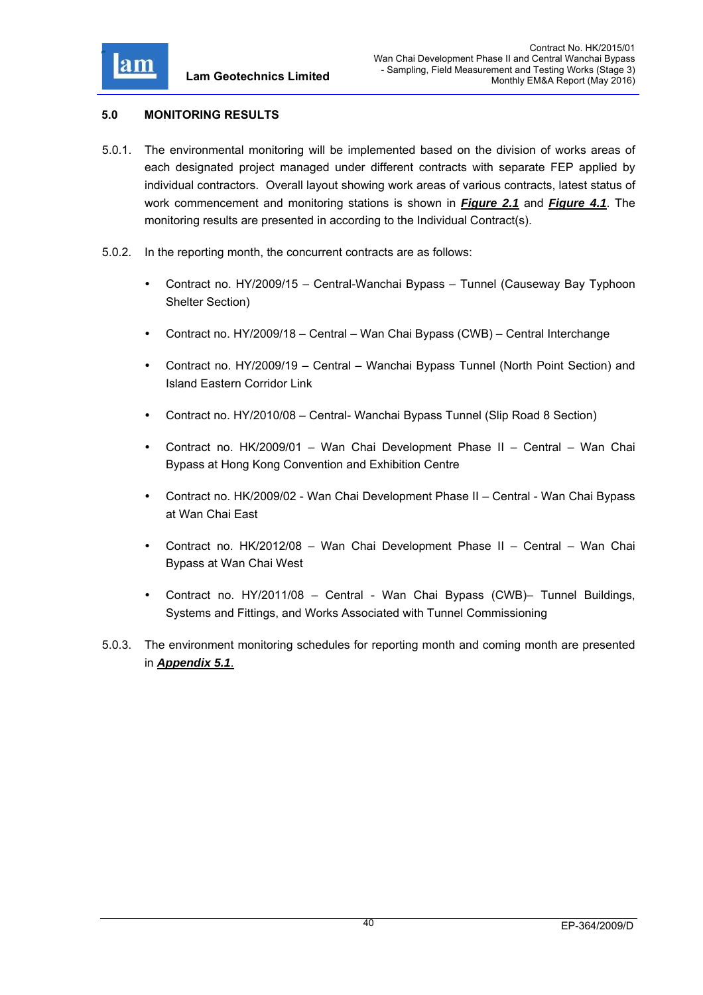

# **5.0 MONITORING RESULTS**

- 5.0.1. The environmental monitoring will be implemented based on the division of works areas of each designated project managed under different contracts with separate FEP applied by individual contractors. Overall layout showing work areas of various contracts, latest status of work commencement and monitoring stations is shown in *Figure 2.1* and *Figure 4.1*. The monitoring results are presented in according to the Individual Contract(s).
- 5.0.2. In the reporting month, the concurrent contracts are as follows:
	- Contract no. HY/2009/15 Central-Wanchai Bypass Tunnel (Causeway Bay Typhoon Shelter Section)
	- Contract no. HY/2009/18 Central Wan Chai Bypass (CWB) Central Interchange
	- Contract no. HY/2009/19 Central Wanchai Bypass Tunnel (North Point Section) and Island Eastern Corridor Link
	- Contract no. HY/2010/08 Central- Wanchai Bypass Tunnel (Slip Road 8 Section)
	- Contract no. HK/2009/01 Wan Chai Development Phase II Central Wan Chai Bypass at Hong Kong Convention and Exhibition Centre
	- Contract no. HK/2009/02 Wan Chai Development Phase II Central Wan Chai Bypass at Wan Chai East
	- Contract no. HK/2012/08 Wan Chai Development Phase II Central Wan Chai Bypass at Wan Chai West
	- Contract no. HY/2011/08 Central Wan Chai Bypass (CWB)– Tunnel Buildings, Systems and Fittings, and Works Associated with Tunnel Commissioning
- 5.0.3. The environment monitoring schedules for reporting month and coming month are presented in *Appendix 5.1*.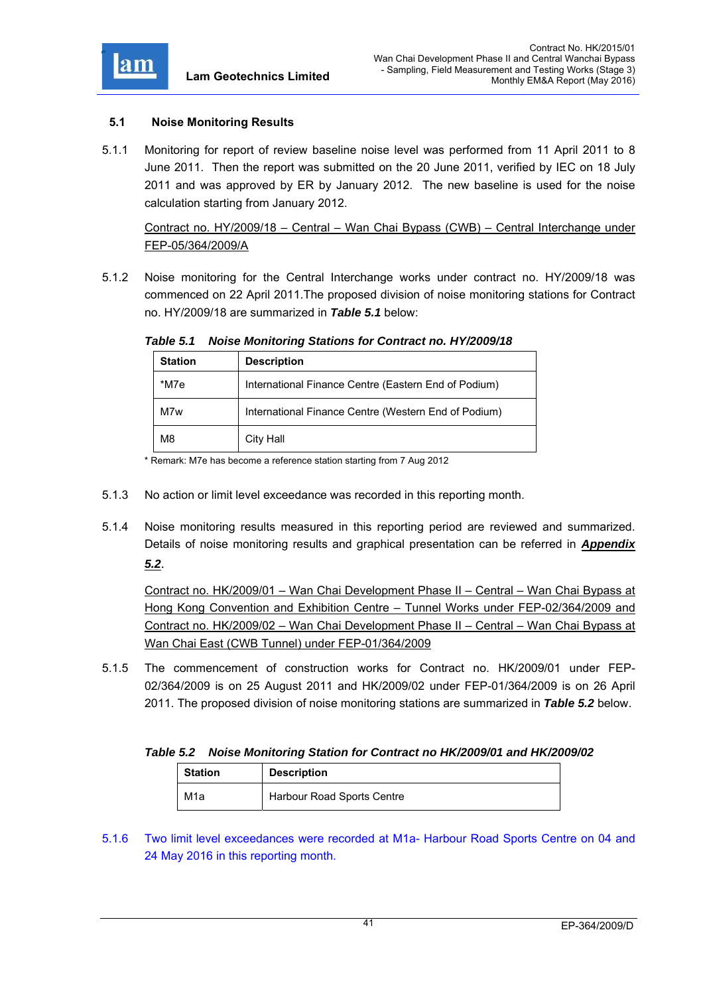

# **5.1 Noise Monitoring Results**

5.1.1 Monitoring for report of review baseline noise level was performed from 11 April 2011 to 8 June 2011. Then the report was submitted on the 20 June 2011, verified by IEC on 18 July 2011 and was approved by ER by January 2012. The new baseline is used for the noise calculation starting from January 2012.

Contract no. HY/2009/18 – Central – Wan Chai Bypass (CWB) – Central Interchange under FEP-05/364/2009/A

5.1.2 Noise monitoring for the Central Interchange works under contract no. HY/2009/18 was commenced on 22 April 2011.The proposed division of noise monitoring stations for Contract no. HY/2009/18 are summarized in *Table 5.1* below:

| <b>Station</b> | <b>Description</b>                                   |  |
|----------------|------------------------------------------------------|--|
| *M7e           | International Finance Centre (Eastern End of Podium) |  |
| M7w            | International Finance Centre (Western End of Podium) |  |
| M8             | City Hall                                            |  |

*Table 5.1 Noise Monitoring Stations for Contract no. HY/2009/18* 

\* Remark: M7e has become a reference station starting from 7 Aug 2012

- 5.1.3 No action or limit level exceedance was recorded in this reporting month.
- 5.1.4 Noise monitoring results measured in this reporting period are reviewed and summarized. Details of noise monitoring results and graphical presentation can be referred in *Appendix*

*5.2*.

Contract no. HK/2009/01 – Wan Chai Development Phase II – Central – Wan Chai Bypass at Hong Kong Convention and Exhibition Centre – Tunnel Works under FEP-02/364/2009 and Contract no. HK/2009/02 – Wan Chai Development Phase II – Central – Wan Chai Bypass at Wan Chai East (CWB Tunnel) under FEP-01/364/2009

5.1.5 The commencement of construction works for Contract no. HK/2009/01 under FEP-02/364/2009 is on 25 August 2011 and HK/2009/02 under FEP-01/364/2009 is on 26 April 2011. The proposed division of noise monitoring stations are summarized in *Table 5.2* below.

#### *Table 5.2 Noise Monitoring Station for Contract no HK/2009/01 and HK/2009/02*

| <b>Station</b> | <b>Description</b>                |
|----------------|-----------------------------------|
| M1a            | <b>Harbour Road Sports Centre</b> |

<sup>5.1.6</sup> Two limit level exceedances were recorded at M1a- Harbour Road Sports Centre on 04 and 24 May 2016 in this reporting month.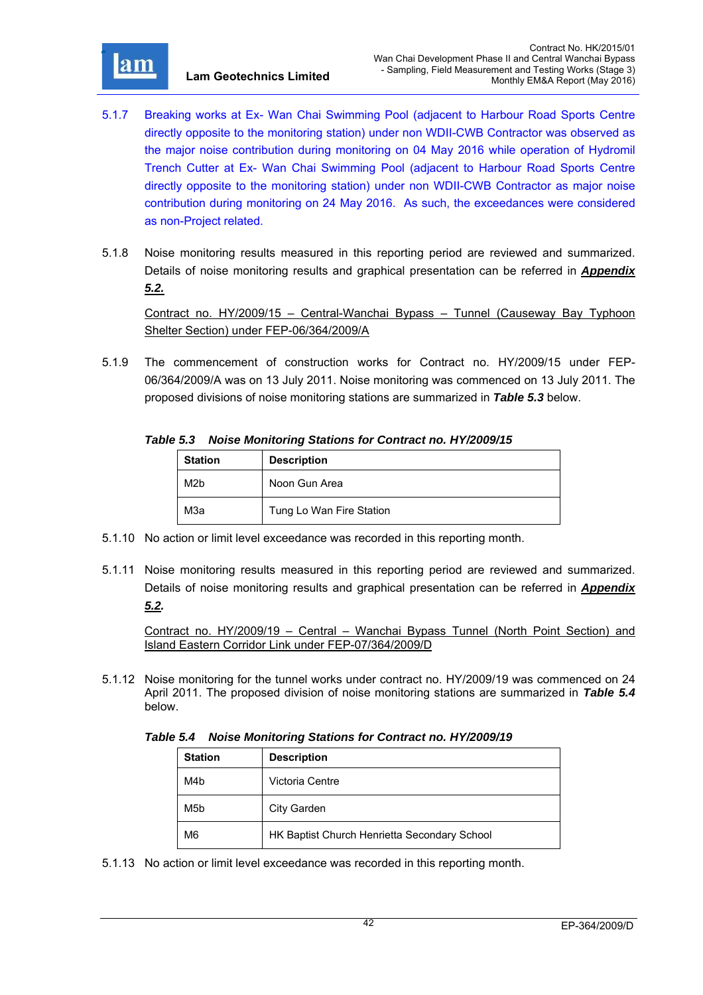

- 5.1.7 Breaking works at Ex- Wan Chai Swimming Pool (adjacent to Harbour Road Sports Centre directly opposite to the monitoring station) under non WDII-CWB Contractor was observed as the major noise contribution during monitoring on 04 May 2016 while operation of Hydromil Trench Cutter at Ex- Wan Chai Swimming Pool (adjacent to Harbour Road Sports Centre directly opposite to the monitoring station) under non WDII-CWB Contractor as major noise contribution during monitoring on 24 May 2016. As such, the exceedances were considered as non-Project related.
- 5.1.8 Noise monitoring results measured in this reporting period are reviewed and summarized. Details of noise monitoring results and graphical presentation can be referred in *Appendix 5.2.*

Contract no. HY/2009/15 – Central-Wanchai Bypass – Tunnel (Causeway Bay Typhoon Shelter Section) under FEP-06/364/2009/A

5.1.9 The commencement of construction works for Contract no. HY/2009/15 under FEP-06/364/2009/A was on 13 July 2011. Noise monitoring was commenced on 13 July 2011. The proposed divisions of noise monitoring stations are summarized in *Table 5.3* below.

# *Table 5.3 Noise Monitoring Stations for Contract no. HY/2009/15*

| <b>Station</b><br><b>Description</b> |                          |
|--------------------------------------|--------------------------|
| M <sub>2</sub> b                     | Noon Gun Area            |
| МЗа                                  | Tung Lo Wan Fire Station |

- 5.1.10 No action or limit level exceedance was recorded in this reporting month.
- 5.1.11 Noise monitoring results measured in this reporting period are reviewed and summarized. Details of noise monitoring results and graphical presentation can be referred in *Appendix 5.2.*

Contract no. HY/2009/19 – Central – Wanchai Bypass Tunnel (North Point Section) and Island Eastern Corridor Link under FEP-07/364/2009/D

5.1.12 Noise monitoring for the tunnel works under contract no. HY/2009/19 was commenced on 24 April 2011. The proposed division of noise monitoring stations are summarized in *Table 5.4* below.

*Table 5.4 Noise Monitoring Stations for Contract no. HY/2009/19* 

| <b>Station</b>  | <b>Description</b>                           |
|-----------------|----------------------------------------------|
| M4 <sub>b</sub> | Victoria Centre                              |
| M5b             | City Garden                                  |
| M <sub>6</sub>  | HK Baptist Church Henrietta Secondary School |

5.1.13 No action or limit level exceedance was recorded in this reporting month.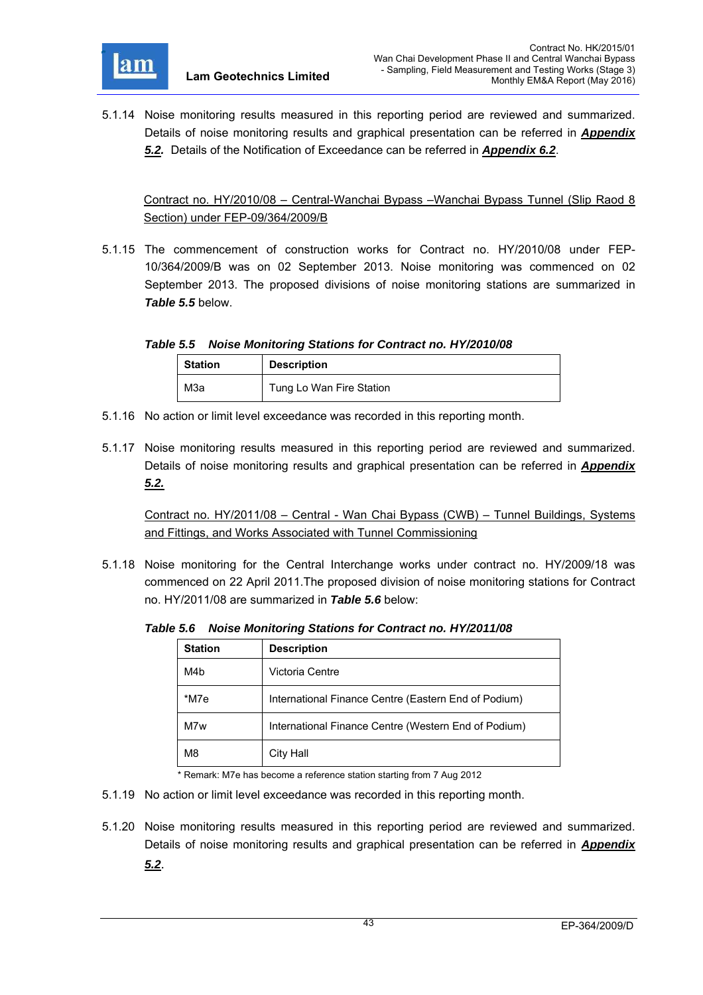

5.1.14 Noise monitoring results measured in this reporting period are reviewed and summarized. Details of noise monitoring results and graphical presentation can be referred in *Appendix 5.2.* Details of the Notification of Exceedance can be referred in *Appendix 6.2*.

Contract no. HY/2010/08 – Central-Wanchai Bypass –Wanchai Bypass Tunnel (Slip Raod 8 Section) under FEP-09/364/2009/B

5.1.15 The commencement of construction works for Contract no. HY/2010/08 under FEP-10/364/2009/B was on 02 September 2013. Noise monitoring was commenced on 02 September 2013. The proposed divisions of noise monitoring stations are summarized in *Table 5.5* below.

*Table 5.5 Noise Monitoring Stations for Contract no. HY/2010/08* 

| <b>Station</b> | <b>Description</b>       |  |
|----------------|--------------------------|--|
| МЗа            | Tung Lo Wan Fire Station |  |

- 5.1.16 No action or limit level exceedance was recorded in this reporting month.
- 5.1.17 Noise monitoring results measured in this reporting period are reviewed and summarized. Details of noise monitoring results and graphical presentation can be referred in *Appendix 5.2.*

Contract no. HY/2011/08 – Central - Wan Chai Bypass (CWB) – Tunnel Buildings, Systems and Fittings, and Works Associated with Tunnel Commissioning

5.1.18 Noise monitoring for the Central Interchange works under contract no. HY/2009/18 was commenced on 22 April 2011.The proposed division of noise monitoring stations for Contract no. HY/2011/08 are summarized in *Table 5.6* below:

*Table 5.6 Noise Monitoring Stations for Contract no. HY/2011/08* 

| <b>Station</b> | <b>Description</b>                                   |  |
|----------------|------------------------------------------------------|--|
| M4b            | Victoria Centre                                      |  |
| *M7e           | International Finance Centre (Eastern End of Podium) |  |
| M7w            | International Finance Centre (Western End of Podium) |  |
| M <sub>8</sub> | City Hall                                            |  |

\* Remark: M7e has become a reference station starting from 7 Aug 2012

- 5.1.19 No action or limit level exceedance was recorded in this reporting month.
- 5.1.20 Noise monitoring results measured in this reporting period are reviewed and summarized. Details of noise monitoring results and graphical presentation can be referred in *Appendix 5.2*.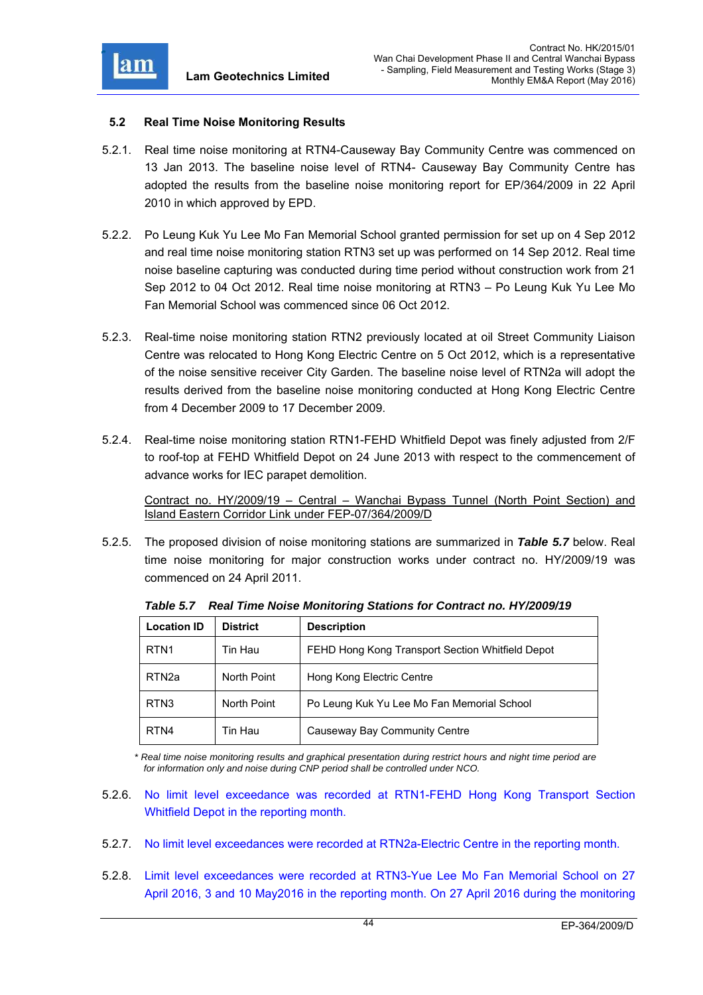

### **5.2 Real Time Noise Monitoring Results**

- 5.2.1. Real time noise monitoring at RTN4-Causeway Bay Community Centre was commenced on 13 Jan 2013. The baseline noise level of RTN4- Causeway Bay Community Centre has adopted the results from the baseline noise monitoring report for EP/364/2009 in 22 April 2010 in which approved by EPD.
- 5.2.2. Po Leung Kuk Yu Lee Mo Fan Memorial School granted permission for set up on 4 Sep 2012 and real time noise monitoring station RTN3 set up was performed on 14 Sep 2012. Real time noise baseline capturing was conducted during time period without construction work from 21 Sep 2012 to 04 Oct 2012. Real time noise monitoring at RTN3 – Po Leung Kuk Yu Lee Mo Fan Memorial School was commenced since 06 Oct 2012.
- 5.2.3. Real-time noise monitoring station RTN2 previously located at oil Street Community Liaison Centre was relocated to Hong Kong Electric Centre on 5 Oct 2012, which is a representative of the noise sensitive receiver City Garden. The baseline noise level of RTN2a will adopt the results derived from the baseline noise monitoring conducted at Hong Kong Electric Centre from 4 December 2009 to 17 December 2009.
- 5.2.4. Real-time noise monitoring station RTN1-FEHD Whitfield Depot was finely adjusted from 2/F to roof-top at FEHD Whitfield Depot on 24 June 2013 with respect to the commencement of advance works for IEC parapet demolition.

Contract no. HY/2009/19 – Central – Wanchai Bypass Tunnel (North Point Section) and Island Eastern Corridor Link under FEP-07/364/2009/D

5.2.5. The proposed division of noise monitoring stations are summarized in *Table 5.7* below. Real time noise monitoring for major construction works under contract no. HY/2009/19 was commenced on 24 April 2011.

| <b>Location ID</b> | District    | <b>Description</b>                               |
|--------------------|-------------|--------------------------------------------------|
| RTN <sub>1</sub>   | Tin Hau     | FEHD Hong Kong Transport Section Whitfield Depot |
| RTN <sub>2a</sub>  | North Point | Hong Kong Electric Centre                        |
| RTN <sub>3</sub>   | North Point | Po Leung Kuk Yu Lee Mo Fan Memorial School       |
| RTN4               | Tin Hau     | Causeway Bay Community Centre                    |

*Table 5.7 Real Time Noise Monitoring Stations for Contract no. HY/2009/19* 

*\* Real time noise monitoring results and graphical presentation during restrict hours and night time period are for information only and noise during CNP period shall be controlled under NCO.* 

- 5.2.6. No limit level exceedance was recorded at RTN1-FEHD Hong Kong Transport Section Whitfield Depot in the reporting month.
- 5.2.7. No limit level exceedances were recorded at RTN2a-Electric Centre in the reporting month.
- 5.2.8. Limit level exceedances were recorded at RTN3-Yue Lee Mo Fan Memorial School on 27 April 2016, 3 and 10 May2016 in the reporting month. On 27 April 2016 during the monitoring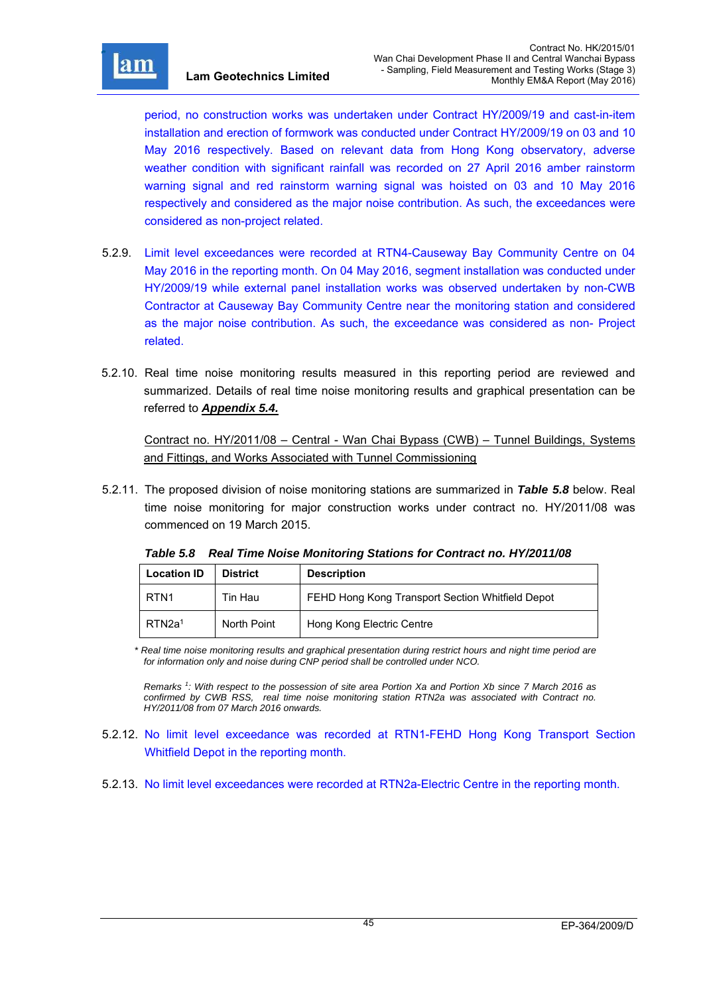

r

period, no construction works was undertaken under Contract HY/2009/19 and cast-in-item installation and erection of formwork was conducted under Contract HY/2009/19 on 03 and 10 May 2016 respectively. Based on relevant data from Hong Kong observatory, adverse weather condition with significant rainfall was recorded on 27 April 2016 amber rainstorm warning signal and red rainstorm warning signal was hoisted on 03 and 10 May 2016 respectively and considered as the major noise contribution. As such, the exceedances were considered as non-project related.

- 5.2.9. Limit level exceedances were recorded at RTN4-Causeway Bay Community Centre on 04 May 2016 in the reporting month. On 04 May 2016, segment installation was conducted under HY/2009/19 while external panel installation works was observed undertaken by non-CWB Contractor at Causeway Bay Community Centre near the monitoring station and considered as the major noise contribution. As such, the exceedance was considered as non- Project related.
- 5.2.10. Real time noise monitoring results measured in this reporting period are reviewed and summarized. Details of real time noise monitoring results and graphical presentation can be referred to *Appendix 5.4.*

Contract no. HY/2011/08 – Central - Wan Chai Bypass (CWB) – Tunnel Buildings, Systems and Fittings, and Works Associated with Tunnel Commissioning

5.2.11. The proposed division of noise monitoring stations are summarized in *Table 5.8* below. Real time noise monitoring for major construction works under contract no. HY/2011/08 was commenced on 19 March 2015.

| <b>Location ID</b> | <b>District</b> | <b>Description</b>                               |  |
|--------------------|-----------------|--------------------------------------------------|--|
| l RTN1             | Tin Hau         | FEHD Hong Kong Transport Section Whitfield Depot |  |
| RTN2a <sup>1</sup> | North Point     | Hong Kong Electric Centre                        |  |

*Table 5.8 Real Time Noise Monitoring Stations for Contract no. HY/2011/08* 

*\* Real time noise monitoring results and graphical presentation during restrict hours and night time period are for information only and noise during CNP period shall be controlled under NCO.* 

*Remarks 1 : With respect to the possession of site area Portion Xa and Portion Xb since 7 March 2016 as confirmed by CWB RSS, real time noise monitoring station RTN2a was associated with Contract no. HY/2011/08 from 07 March 2016 onwards.* 

- 5.2.12. No limit level exceedance was recorded at RTN1-FEHD Hong Kong Transport Section Whitfield Depot in the reporting month.
- 5.2.13. No limit level exceedances were recorded at RTN2a-Electric Centre in the reporting month.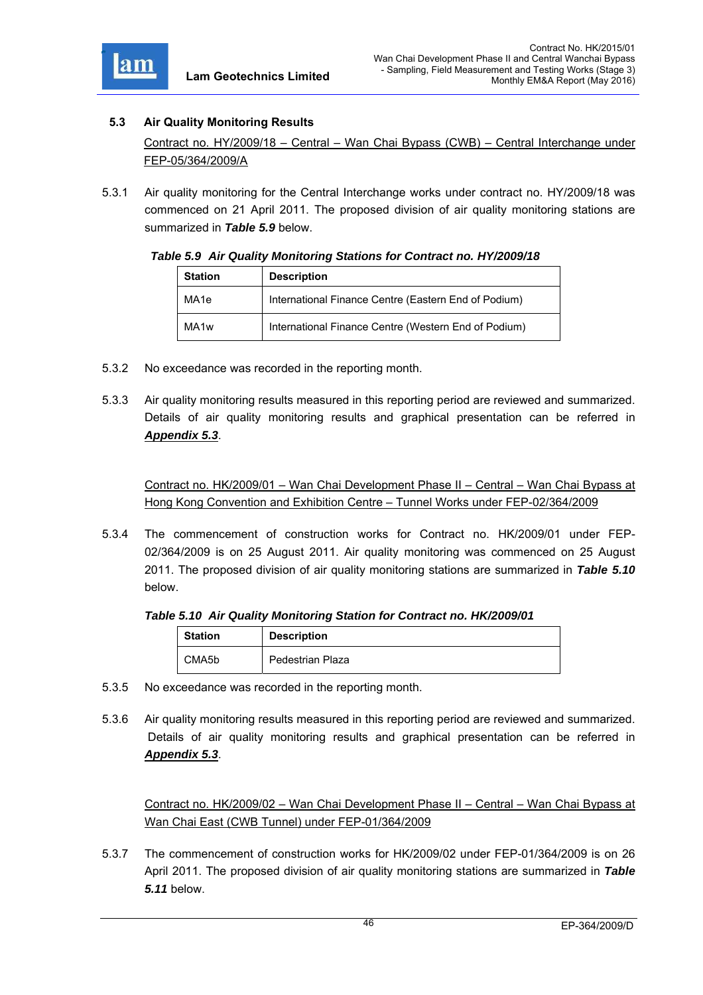

# **5.3 Air Quality Monitoring Results**

Contract no. HY/2009/18 – Central – Wan Chai Bypass (CWB) – Central Interchange under FEP-05/364/2009/A

5.3.1 Air quality monitoring for the Central Interchange works under contract no. HY/2009/18 was commenced on 21 April 2011. The proposed division of air quality monitoring stations are summarized in *Table 5.9* below.

#### *Table 5.9 Air Quality Monitoring Stations for Contract no. HY/2009/18*

| <b>Station</b>   | <b>Description</b>                                   |  |
|------------------|------------------------------------------------------|--|
| MA1e             | International Finance Centre (Eastern End of Podium) |  |
| MA <sub>1w</sub> | International Finance Centre (Western End of Podium) |  |

- 5.3.2 No exceedance was recorded in the reporting month.
- 5.3.3 Air quality monitoring results measured in this reporting period are reviewed and summarized. Details of air quality monitoring results and graphical presentation can be referred in *Appendix 5.3*.

Contract no. HK/2009/01 – Wan Chai Development Phase II – Central – Wan Chai Bypass at Hong Kong Convention and Exhibition Centre – Tunnel Works under FEP-02/364/2009

5.3.4 The commencement of construction works for Contract no. HK/2009/01 under FEP-02/364/2009 is on 25 August 2011. Air quality monitoring was commenced on 25 August 2011. The proposed division of air quality monitoring stations are summarized in *Table 5.10* below.

# *Table 5.10 Air Quality Monitoring Station for Contract no. HK/2009/01*

| <b>Station</b> | <b>Description</b> |
|----------------|--------------------|
| CMA5b          | Pedestrian Plaza   |

- 5.3.5 No exceedance was recorded in the reporting month.
- 5.3.6 Air quality monitoring results measured in this reporting period are reviewed and summarized. Details of air quality monitoring results and graphical presentation can be referred in *Appendix 5.3*.

Contract no. HK/2009/02 – Wan Chai Development Phase II – Central – Wan Chai Bypass at Wan Chai East (CWB Tunnel) under FEP-01/364/2009

5.3.7 The commencement of construction works for HK/2009/02 under FEP-01/364/2009 is on 26 April 2011. The proposed division of air quality monitoring stations are summarized in *Table 5.11* below.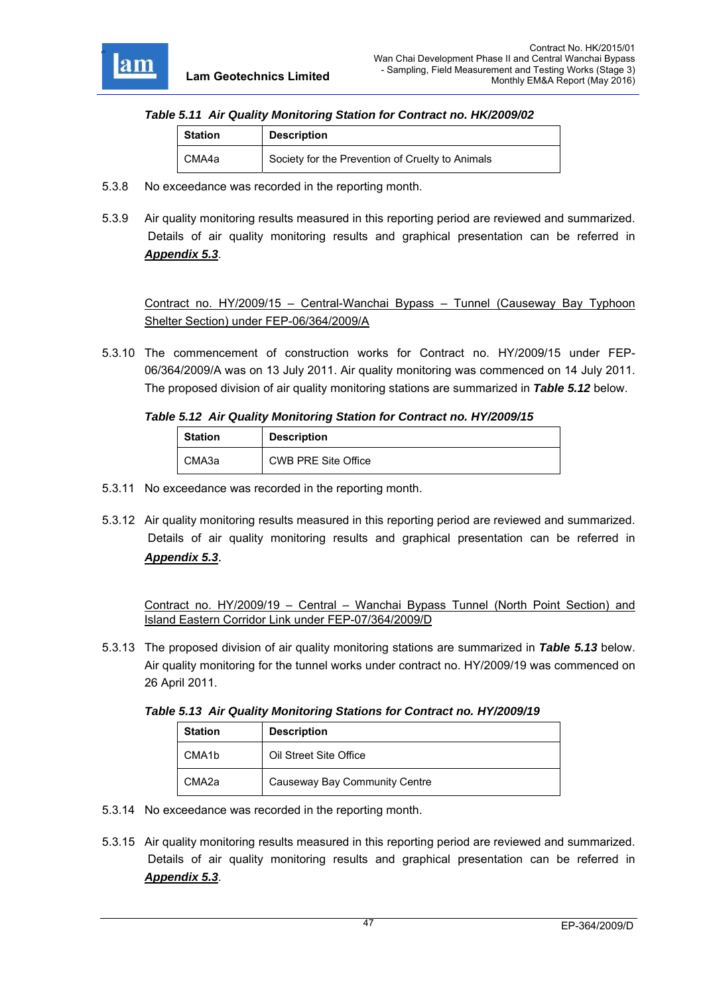

### *Table 5.11 Air Quality Monitoring Station for Contract no. HK/2009/02*

| <b>Description</b><br><b>Station</b> |                                                  |
|--------------------------------------|--------------------------------------------------|
| CMA4a                                | Society for the Prevention of Cruelty to Animals |

- 5.3.8 No exceedance was recorded in the reporting month.
- 5.3.9 Air quality monitoring results measured in this reporting period are reviewed and summarized. Details of air quality monitoring results and graphical presentation can be referred in *Appendix 5.3*.

Contract no. HY/2009/15 – Central-Wanchai Bypass – Tunnel (Causeway Bay Typhoon Shelter Section) under FEP-06/364/2009/A

5.3.10 The commencement of construction works for Contract no. HY/2009/15 under FEP-06/364/2009/A was on 13 July 2011. Air quality monitoring was commenced on 14 July 2011. The proposed division of air quality monitoring stations are summarized in *Table 5.12* below.

#### *Table 5.12 Air Quality Monitoring Station for Contract no. HY/2009/15*

| <b>Station</b> | <b>Description</b>         |  |
|----------------|----------------------------|--|
| CMA3a          | <b>CWB PRE Site Office</b> |  |

- 5.3.11 No exceedance was recorded in the reporting month.
- 5.3.12 Air quality monitoring results measured in this reporting period are reviewed and summarized. Details of air quality monitoring results and graphical presentation can be referred in *Appendix 5.3*.

Contract no. HY/2009/19 – Central – Wanchai Bypass Tunnel (North Point Section) and Island Eastern Corridor Link under FEP-07/364/2009/D

5.3.13 The proposed division of air quality monitoring stations are summarized in *Table 5.13* below. Air quality monitoring for the tunnel works under contract no. HY/2009/19 was commenced on 26 April 2011.

*Table 5.13 Air Quality Monitoring Stations for Contract no. HY/2009/19* 

| <b>Station</b>     | <b>Description</b>            |  |
|--------------------|-------------------------------|--|
| CMA <sub>1</sub> b | Oil Street Site Office        |  |
| CMA <sub>2a</sub>  | Causeway Bay Community Centre |  |

- 5.3.14 No exceedance was recorded in the reporting month.
- 5.3.15 Air quality monitoring results measured in this reporting period are reviewed and summarized. Details of air quality monitoring results and graphical presentation can be referred in *Appendix 5.3*.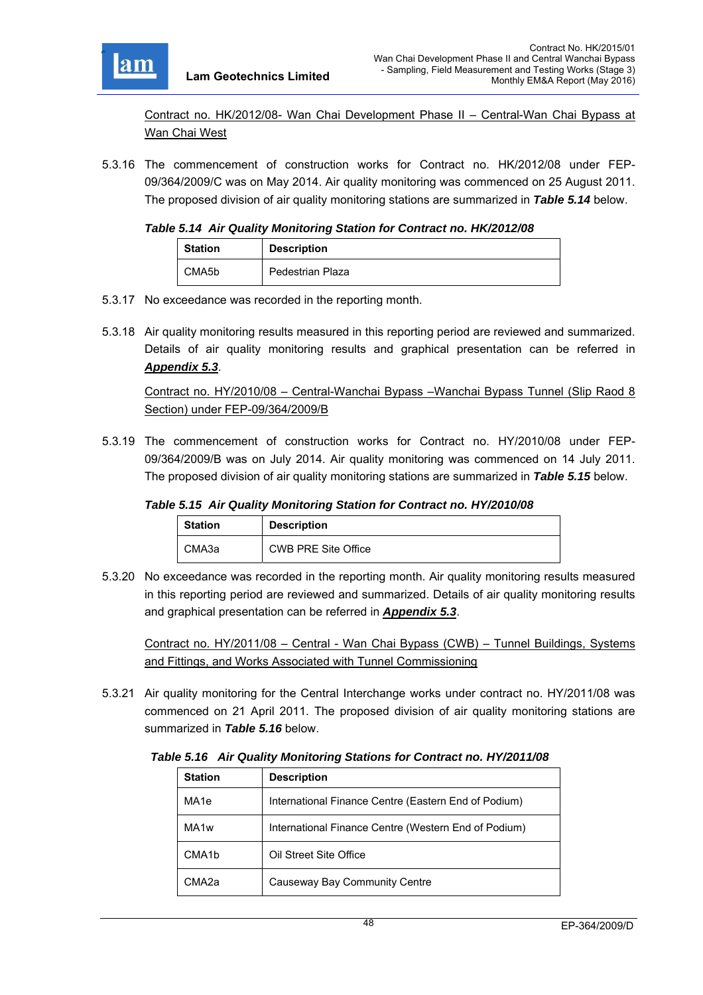

Contract no. HK/2012/08- Wan Chai Development Phase II – Central-Wan Chai Bypass at Wan Chai West

5.3.16 The commencement of construction works for Contract no. HK/2012/08 under FEP-09/364/2009/C was on May 2014. Air quality monitoring was commenced on 25 August 2011. The proposed division of air quality monitoring stations are summarized in *Table 5.14* below.

### *Table 5.14 Air Quality Monitoring Station for Contract no. HK/2012/08*

| <b>Station</b> | <b>Description</b> |
|----------------|--------------------|
| CMA5b          | Pedestrian Plaza   |

- 5.3.17 No exceedance was recorded in the reporting month.
- 5.3.18 Air quality monitoring results measured in this reporting period are reviewed and summarized. Details of air quality monitoring results and graphical presentation can be referred in *Appendix 5.3*.

Contract no. HY/2010/08 – Central-Wanchai Bypass –Wanchai Bypass Tunnel (Slip Raod 8 Section) under FEP-09/364/2009/B

5.3.19 The commencement of construction works for Contract no. HY/2010/08 under FEP-09/364/2009/B was on July 2014. Air quality monitoring was commenced on 14 July 2011. The proposed division of air quality monitoring stations are summarized in *Table 5.15* below.

## *Table 5.15 Air Quality Monitoring Station for Contract no. HY/2010/08*

| <b>Station</b> | <b>Description</b>         |
|----------------|----------------------------|
| СМАЗа          | <b>CWB PRE Site Office</b> |

5.3.20 No exceedance was recorded in the reporting month. Air quality monitoring results measured in this reporting period are reviewed and summarized. Details of air quality monitoring results and graphical presentation can be referred in *Appendix 5.3*.

Contract no. HY/2011/08 – Central - Wan Chai Bypass (CWB) – Tunnel Buildings, Systems and Fittings, and Works Associated with Tunnel Commissioning

5.3.21 Air quality monitoring for the Central Interchange works under contract no. HY/2011/08 was commenced on 21 April 2011. The proposed division of air quality monitoring stations are summarized in *Table 5.16* below.

*Table 5.16 Air Quality Monitoring Stations for Contract no. HY/2011/08* 

| <b>Station</b>     | <b>Description</b>                                   |
|--------------------|------------------------------------------------------|
| MA <sub>1e</sub>   | International Finance Centre (Eastern End of Podium) |
| MA <sub>1w</sub>   | International Finance Centre (Western End of Podium) |
| CMA <sub>1</sub> b | Oil Street Site Office                               |
| CMA2a              | Causeway Bay Community Centre                        |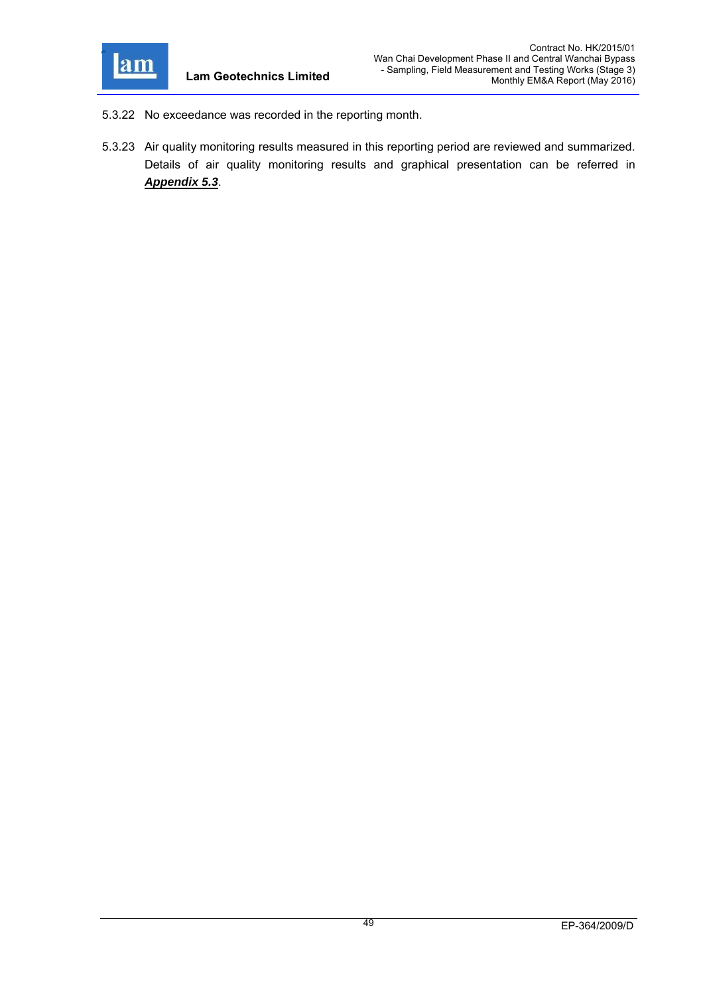

- 5.3.22 No exceedance was recorded in the reporting month.
- 5.3.23 Air quality monitoring results measured in this reporting period are reviewed and summarized. Details of air quality monitoring results and graphical presentation can be referred in *Appendix 5.3*.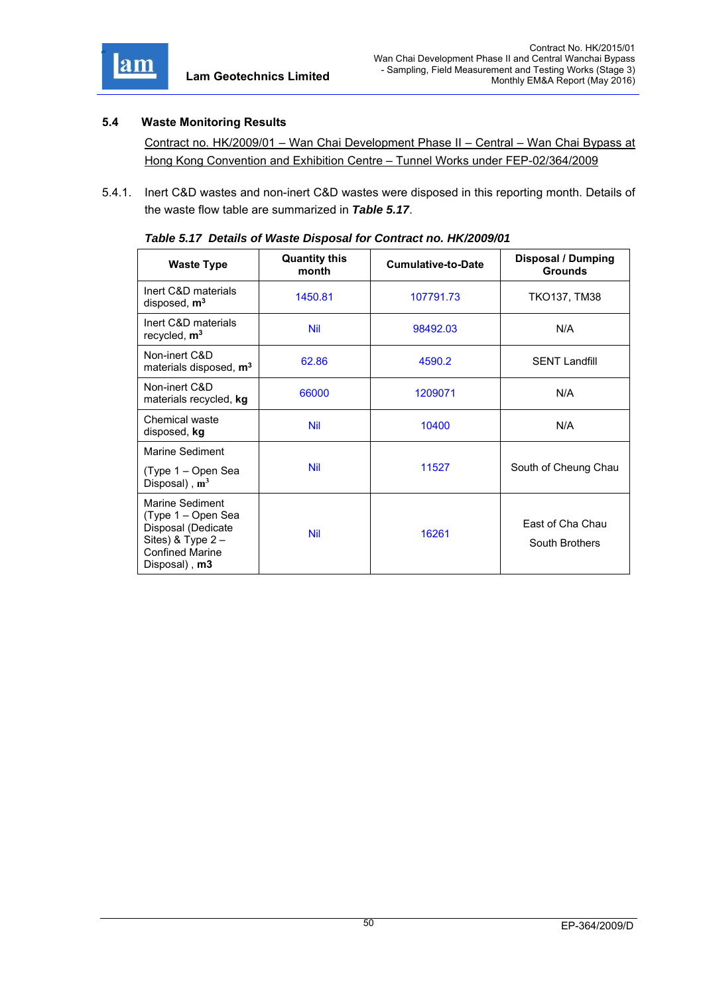

# **5.4 Waste Monitoring Results**

Contract no. HK/2009/01 – Wan Chai Development Phase II – Central – Wan Chai Bypass at Hong Kong Convention and Exhibition Centre – Tunnel Works under FEP-02/364/2009

5.4.1. Inert C&D wastes and non-inert C&D wastes were disposed in this reporting month. Details of the waste flow table are summarized in *Table 5.17*.

| <b>Waste Type</b>                                                                                                                 | <b>Quantity this</b><br>month | <b>Cumulative-to-Date</b> | <b>Disposal / Dumping</b><br><b>Grounds</b> |
|-----------------------------------------------------------------------------------------------------------------------------------|-------------------------------|---------------------------|---------------------------------------------|
| Inert C&D materials<br>disposed, $m3$                                                                                             | 1450.81                       | 107791.73                 | <b>TKO137, TM38</b>                         |
| Inert C&D materials<br>recycled, m <sup>3</sup>                                                                                   | <b>Nil</b>                    | 98492.03                  | N/A                                         |
| Non-inert C&D<br>materials disposed, m <sup>3</sup>                                                                               | 62.86                         | 4590.2                    | <b>SENT Landfill</b>                        |
| Non-inert C&D<br>materials recycled, kg                                                                                           | 66000                         | 1209071                   | N/A                                         |
| Chemical waste<br>disposed, kg                                                                                                    | Nil                           | 10400                     | N/A                                         |
| Marine Sediment                                                                                                                   |                               |                           |                                             |
| (Type 1 – Open Sea<br>Disposal), $m^3$                                                                                            | <b>Nil</b>                    | 11527                     | South of Cheung Chau                        |
| Marine Sediment<br>(Type 1 – Open Sea<br>Disposal (Dedicate<br>Sites) & Type 2-<br><b>Confined Marine</b><br>Disposal), <b>m3</b> | <b>Nil</b>                    | 16261                     | East of Cha Chau<br>South Brothers          |

| Table 5.17 Details of Waste Disposal for Contract no. HK/2009/01 |  |  |
|------------------------------------------------------------------|--|--|
|                                                                  |  |  |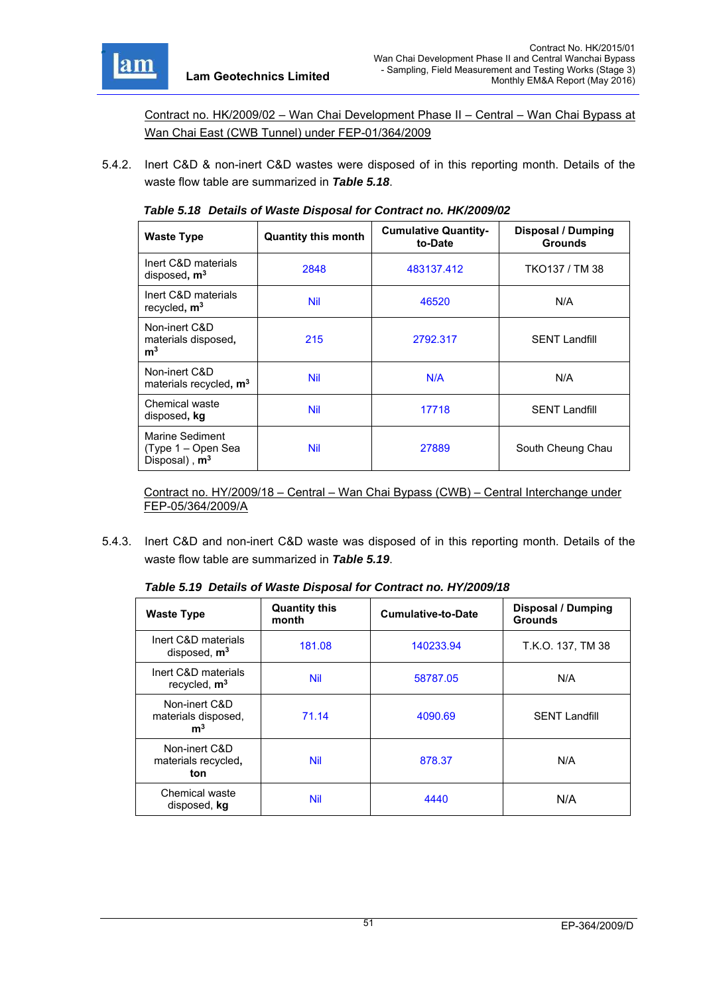

**m3**

Non-inert C&D

Chemical waste

Marine Sediment (Type 1 – Open Sea Disposal) , **m3**

Contract no. HK/2009/02 – Wan Chai Development Phase II – Central – Wan Chai Bypass at Wan Chai East (CWB Tunnel) under FEP-01/364/2009

5.4.2. Inert C&D & non-inert C&D wastes were disposed of in this reporting month. Details of the waste flow table are summarized in *Table 5.18*.

| <b>Waste Type</b>                     | <b>Quantity this month</b> | <b>Cumulative Quantity-</b><br>to-Date | <b>Disposal / Dumping</b><br><b>Grounds</b> |
|---------------------------------------|----------------------------|----------------------------------------|---------------------------------------------|
| Inert C&D materials<br>disposed, $m3$ | 2848                       | 483137.412                             | TKO137 / TM 38                              |
| Inert C&D materials<br>recycled, $m3$ | Nil                        | 46520                                  | N/A                                         |
| Non-inert C&D<br>materials disposed,  | 215                        | 2792.317                               | <b>SENT Landfill</b>                        |

materials recycled**, m3** Nil N/A N/A

Chemical waste<br>disposed, kg<br>
also Nil 17718 | SENT Landfill

*Table 5.18 Details of Waste Disposal for Contract no. HK/2009/02* 

Contract no. HY/2009/18 – Central – Wan Chai Bypass (CWB) – Central Interchange under FEP-05/364/2009/A

Nil 27889 South Cheung Chau

5.4.3. Inert C&D and non-inert C&D waste was disposed of in this reporting month. Details of the waste flow table are summarized in *Table 5.19*.

| <b>Waste Type</b>                                      | <b>Quantity this</b><br>month | <b>Cumulative-to-Date</b> | Disposal / Dumping<br><b>Grounds</b> |
|--------------------------------------------------------|-------------------------------|---------------------------|--------------------------------------|
| Inert C&D materials<br>disposed, $m3$                  | 181.08                        | 140233.94                 | T.K.O. 137, TM 38                    |
| Inert C&D materials<br>recycled, $m3$                  | <b>Nil</b>                    | 58787.05                  | N/A                                  |
| Non-inert C&D<br>materials disposed,<br>m <sup>3</sup> | 71.14                         | 4090.69                   | <b>SENT Landfill</b>                 |
| Non-inert C&D<br>materials recycled,<br>ton            | <b>Nil</b>                    | 878.37                    | N/A                                  |
| Chemical waste<br>disposed, kg                         | <b>Nil</b>                    | 4440                      | N/A                                  |

*Table 5.19 Details of Waste Disposal for Contract no. HY/2009/18*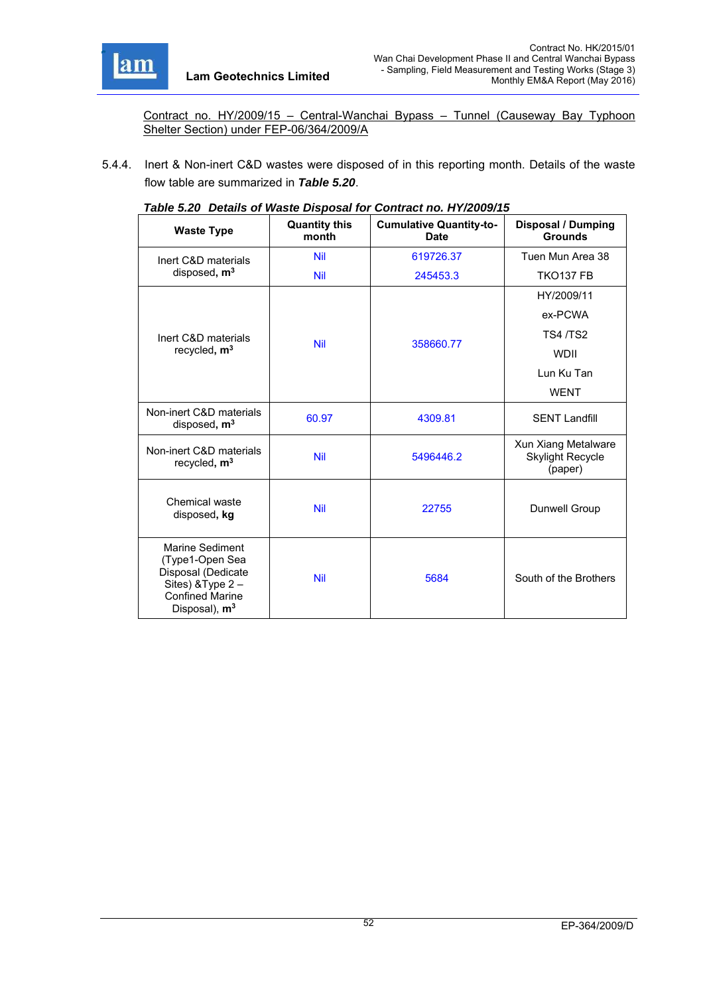

Contract no. HY/2009/15 – Central-Wanchai Bypass – Tunnel (Causeway Bay Typhoon Shelter Section) under FEP-06/364/2009/A

5.4.4. Inert & Non-inert C&D wastes were disposed of in this reporting month. Details of the waste flow table are summarized in *Table 5.20*.

| $1800$ $0.20$ Detains of Fraste Disposal for Obtitual fib. 117/2003/10                                                                     |                               |                                               |                                                    |  |
|--------------------------------------------------------------------------------------------------------------------------------------------|-------------------------------|-----------------------------------------------|----------------------------------------------------|--|
| <b>Waste Type</b>                                                                                                                          | <b>Quantity this</b><br>month | <b>Cumulative Quantity-to-</b><br><b>Date</b> | <b>Disposal / Dumping</b><br><b>Grounds</b>        |  |
| Inert C&D materials                                                                                                                        | <b>Nil</b>                    | 619726.37                                     | Tuen Mun Area 38                                   |  |
| disposed, m <sup>3</sup>                                                                                                                   | <b>Nil</b>                    | 245453.3                                      | <b>TKO137 FB</b>                                   |  |
|                                                                                                                                            |                               |                                               | HY/2009/11                                         |  |
|                                                                                                                                            |                               |                                               | ex-PCWA                                            |  |
| Inert C&D materials                                                                                                                        |                               |                                               | <b>TS4/TS2</b>                                     |  |
| recycled, m <sup>3</sup>                                                                                                                   | <b>Nil</b>                    | 358660.77                                     | <b>WDII</b>                                        |  |
|                                                                                                                                            |                               |                                               | Lun Ku Tan                                         |  |
|                                                                                                                                            |                               |                                               | <b>WENT</b>                                        |  |
| Non-inert C&D materials<br>disposed, $m3$                                                                                                  | 60.97                         | 4309.81                                       | <b>SENT Landfill</b>                               |  |
| Non-inert C&D materials<br>recycled, m <sup>3</sup>                                                                                        | <b>Nil</b>                    | 5496446.2                                     | Xun Xiang Metalware<br>Skylight Recycle<br>(paper) |  |
| Chemical waste<br>disposed, kg                                                                                                             | <b>Nil</b>                    | 22755                                         | Dunwell Group                                      |  |
| <b>Marine Sediment</b><br>(Type1-Open Sea<br>Disposal (Dedicate<br>Sites) & Type 2-<br><b>Confined Marine</b><br>Disposal), m <sup>3</sup> | <b>Nil</b>                    | 5684                                          | South of the Brothers                              |  |

| Table 5.20 Details of Waste Disposal for Contract no. HY/2009/15 |  |
|------------------------------------------------------------------|--|
|                                                                  |  |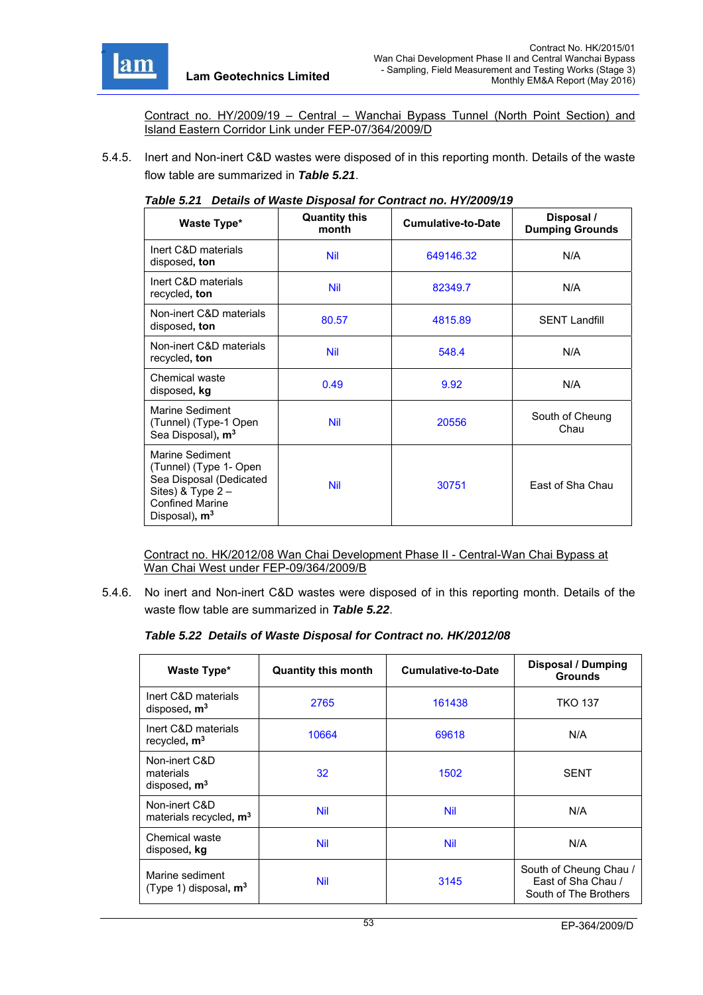

Contract no. HY/2009/19 – Central – Wanchai Bypass Tunnel (North Point Section) and Island Eastern Corridor Link under FEP-07/364/2009/D

5.4.5. Inert and Non-inert C&D wastes were disposed of in this reporting month. Details of the waste flow table are summarized in *Table 5.21*.

| Waste Type*                                                                                                                                        | <b>Quantity this</b><br>month | <b>Cumulative-to-Date</b> | Disposal /<br><b>Dumping Grounds</b> |
|----------------------------------------------------------------------------------------------------------------------------------------------------|-------------------------------|---------------------------|--------------------------------------|
| Inert C&D materials<br>disposed, ton                                                                                                               | <b>Nil</b>                    | 649146.32                 | N/A                                  |
| Inert C&D materials<br>recycled, ton                                                                                                               | <b>Nil</b>                    | 82349.7                   | N/A                                  |
| Non-inert C&D materials<br>disposed, ton                                                                                                           | 80.57                         | 4815.89                   | <b>SENT Landfill</b>                 |
| Non-inert C&D materials<br>recycled, ton                                                                                                           | <b>Nil</b>                    | 548.4                     | N/A                                  |
| Chemical waste<br>disposed, kg                                                                                                                     | 0.49                          | 9.92                      | N/A                                  |
| Marine Sediment<br>(Tunnel) (Type-1 Open<br>Sea Disposal), m <sup>3</sup>                                                                          | <b>Nil</b>                    | 20556                     | South of Cheung<br>Chau              |
| Marine Sediment<br>(Tunnel) (Type 1- Open<br>Sea Disposal (Dedicated<br>Sites) & Type $2 -$<br><b>Confined Marine</b><br>Disposal), m <sup>3</sup> | <b>Nil</b>                    | 30751                     | East of Sha Chau                     |

#### *Table 5.21 Details of Waste Disposal for Contract no. HY/2009/19*

Contract no. HK/2012/08 Wan Chai Development Phase II - Central-Wan Chai Bypass at Wan Chai West under FEP-09/364/2009/B

5.4.6. No inert and Non-inert C&D wastes were disposed of in this reporting month. Details of the waste flow table are summarized in *Table 5.22*.

#### *Table 5.22 Details of Waste Disposal for Contract no. HK/2012/08*

| Waste Type*                                         | <b>Quantity this month</b> | Cumulative-to-Date | <b>Disposal / Dumping</b><br><b>Grounds</b>                           |
|-----------------------------------------------------|----------------------------|--------------------|-----------------------------------------------------------------------|
| Inert C&D materials<br>disposed, m <sup>3</sup>     | 2765                       | 161438             | <b>TKO 137</b>                                                        |
| Inert C&D materials<br>recycled, $m3$               | 10664                      | 69618              | N/A                                                                   |
| Non-inert C&D<br>materials<br>disposed, $m3$        | 32                         | 1502               | <b>SENT</b>                                                           |
| Non-inert C&D<br>materials recycled, m <sup>3</sup> | <b>Nil</b>                 | Nil                | N/A                                                                   |
| Chemical waste<br>disposed, kg                      | <b>Nil</b>                 | Nil                | N/A                                                                   |
| Marine sediment<br>(Type 1) disposal, $m3$          | <b>Nil</b>                 | 3145               | South of Cheung Chau /<br>Fast of Sha Chau /<br>South of The Brothers |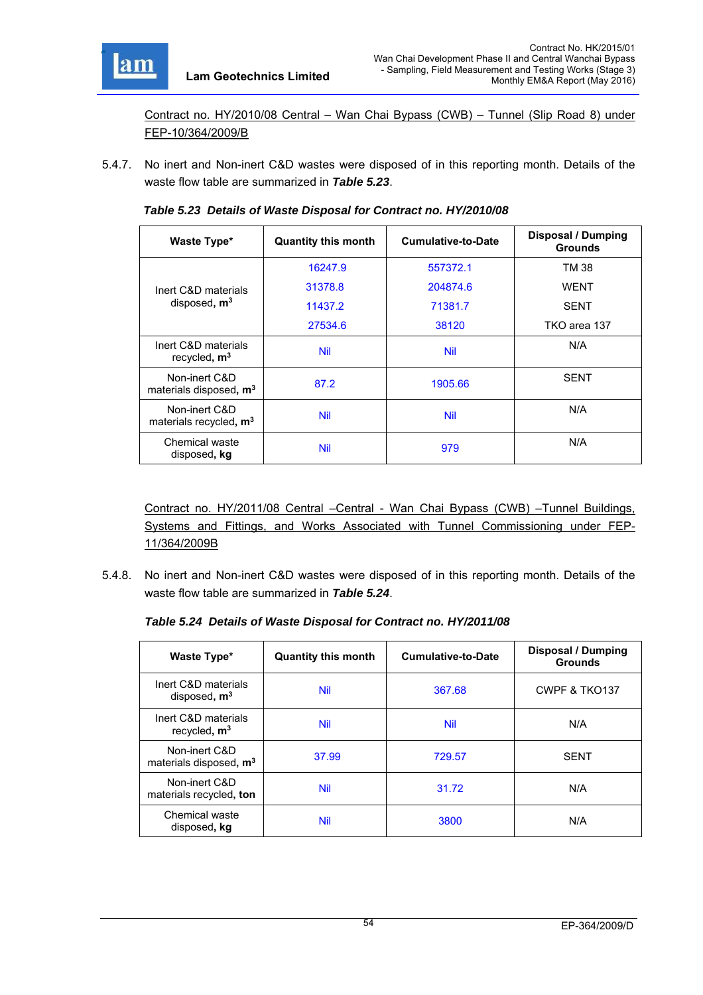

Contract no. HY/2010/08 Central – Wan Chai Bypass (CWB) – Tunnel (Slip Road 8) under FEP-10/364/2009/B

5.4.7. No inert and Non-inert C&D wastes were disposed of in this reporting month. Details of the waste flow table are summarized in *Table 5.23*.

| Waste Type*                                         | <b>Quantity this month</b> | <b>Cumulative-to-Date</b> | <b>Disposal / Dumping</b><br><b>Grounds</b> |
|-----------------------------------------------------|----------------------------|---------------------------|---------------------------------------------|
|                                                     | 16247.9                    | 557372.1                  | TM 38                                       |
| Inert C&D materials                                 | 31378.8                    | 204874.6                  | <b>WENT</b>                                 |
| disposed, $m3$                                      | 11437.2                    | 71381.7                   | <b>SENT</b>                                 |
|                                                     | 27534.6                    | 38120                     | TKO area 137                                |
| Inert C&D materials<br>recycled, $m3$               | <b>Nil</b>                 | Nil                       | N/A                                         |
| Non-inert C&D<br>materials disposed, m <sup>3</sup> | 87.2                       | 1905.66                   | <b>SENT</b>                                 |
| Non-inert C&D<br>materials recycled, $m3$           | <b>Nil</b>                 | Nil                       | N/A                                         |
| Chemical waste<br>disposed, kg                      | <b>Nil</b>                 | 979                       | N/A                                         |

*Table 5.23 Details of Waste Disposal for Contract no. HY/2010/08* 

Contract no. HY/2011/08 Central –Central - Wan Chai Bypass (CWB) –Tunnel Buildings, Systems and Fittings, and Works Associated with Tunnel Commissioning under FEP-11/364/2009B

5.4.8. No inert and Non-inert C&D wastes were disposed of in this reporting month. Details of the waste flow table are summarized in *Table 5.24*.

*Table 5.24 Details of Waste Disposal for Contract no. HY/2011/08* 

| Waste Type*                                         | <b>Quantity this month</b> | <b>Cumulative-to-Date</b> | <b>Disposal / Dumping</b><br><b>Grounds</b> |
|-----------------------------------------------------|----------------------------|---------------------------|---------------------------------------------|
| Inert C&D materials<br>disposed, $m3$               | <b>Nil</b>                 | 367.68                    | CWPF & TKO137                               |
| Inert C&D materials<br>recycled, $m3$               | <b>Nil</b>                 | Nil                       | N/A                                         |
| Non-inert C&D<br>materials disposed, m <sup>3</sup> | 37.99                      | 729.57                    | <b>SENT</b>                                 |
| Non-inert C&D<br>materials recycled, ton            | <b>Nil</b>                 | 31.72                     | N/A                                         |
| Chemical waste<br>disposed, kg                      | Nil                        | 3800                      | N/A                                         |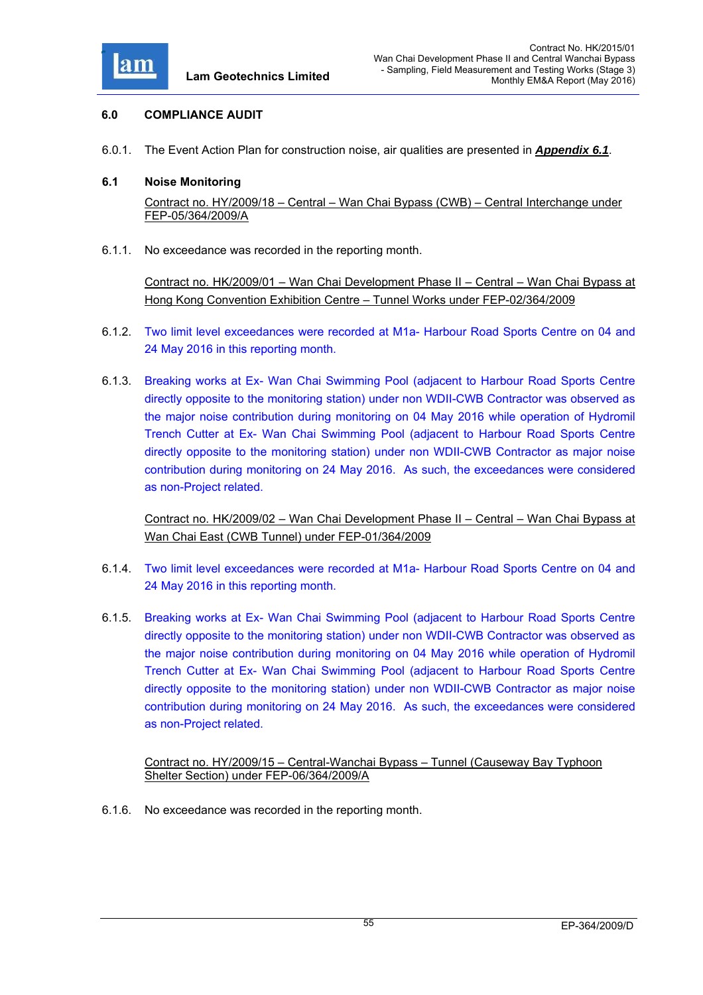

# **6.0 COMPLIANCE AUDIT**

6.0.1. The Event Action Plan for construction noise, air qualities are presented in *Appendix 6.1*.

### **6.1 Noise Monitoring**

Contract no. HY/2009/18 – Central – Wan Chai Bypass (CWB) – Central Interchange under FEP-05/364/2009/A

6.1.1. No exceedance was recorded in the reporting month.

Contract no. HK/2009/01 – Wan Chai Development Phase II – Central – Wan Chai Bypass at Hong Kong Convention Exhibition Centre – Tunnel Works under FEP-02/364/2009

- 6.1.2. Two limit level exceedances were recorded at M1a- Harbour Road Sports Centre on 04 and 24 May 2016 in this reporting month.
- 6.1.3. Breaking works at Ex- Wan Chai Swimming Pool (adjacent to Harbour Road Sports Centre directly opposite to the monitoring station) under non WDII-CWB Contractor was observed as the major noise contribution during monitoring on 04 May 2016 while operation of Hydromil Trench Cutter at Ex- Wan Chai Swimming Pool (adjacent to Harbour Road Sports Centre directly opposite to the monitoring station) under non WDII-CWB Contractor as major noise contribution during monitoring on 24 May 2016. As such, the exceedances were considered as non-Project related.

Contract no. HK/2009/02 – Wan Chai Development Phase II – Central – Wan Chai Bypass at Wan Chai East (CWB Tunnel) under FEP-01/364/2009

- 6.1.4. Two limit level exceedances were recorded at M1a- Harbour Road Sports Centre on 04 and 24 May 2016 in this reporting month.
- 6.1.5. Breaking works at Ex- Wan Chai Swimming Pool (adjacent to Harbour Road Sports Centre directly opposite to the monitoring station) under non WDII-CWB Contractor was observed as the major noise contribution during monitoring on 04 May 2016 while operation of Hydromil Trench Cutter at Ex- Wan Chai Swimming Pool (adjacent to Harbour Road Sports Centre directly opposite to the monitoring station) under non WDII-CWB Contractor as major noise contribution during monitoring on 24 May 2016. As such, the exceedances were considered as non-Project related.

Contract no. HY/2009/15 – Central-Wanchai Bypass – Tunnel (Causeway Bay Typhoon Shelter Section) under FEP-06/364/2009/A

6.1.6. No exceedance was recorded in the reporting month.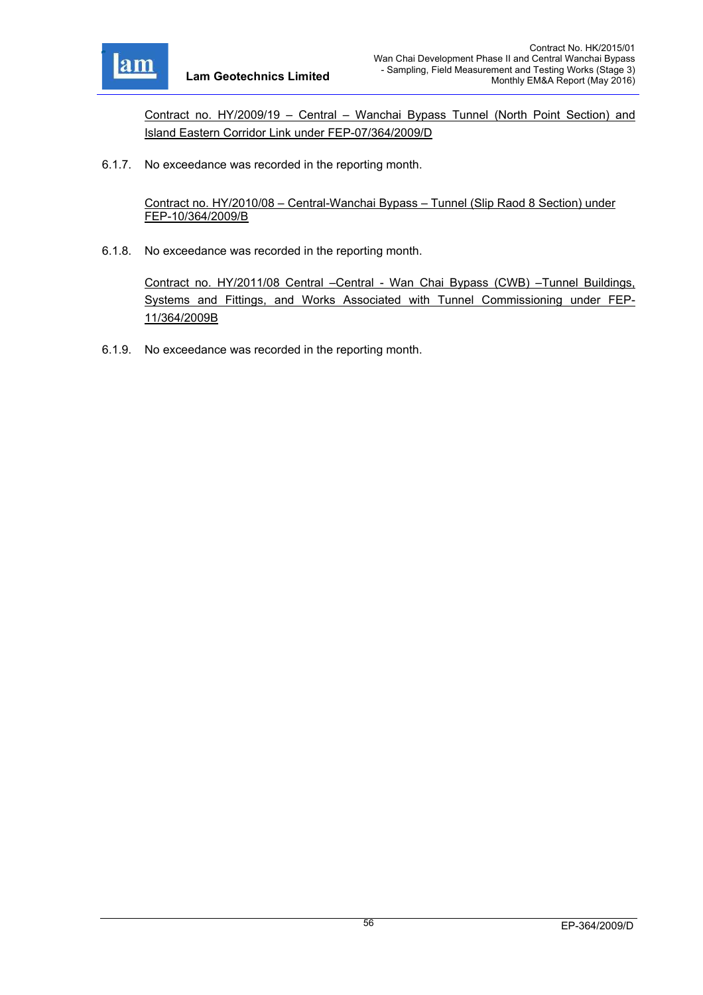

Contract no. HY/2009/19 – Central – Wanchai Bypass Tunnel (North Point Section) and Island Eastern Corridor Link under FEP-07/364/2009/D

6.1.7. No exceedance was recorded in the reporting month.

Contract no. HY/2010/08 – Central-Wanchai Bypass – Tunnel (Slip Raod 8 Section) under FEP-10/364/2009/B

6.1.8. No exceedance was recorded in the reporting month.

Contract no. HY/2011/08 Central –Central - Wan Chai Bypass (CWB) –Tunnel Buildings, Systems and Fittings, and Works Associated with Tunnel Commissioning under FEP-11/364/2009B

6.1.9. No exceedance was recorded in the reporting month.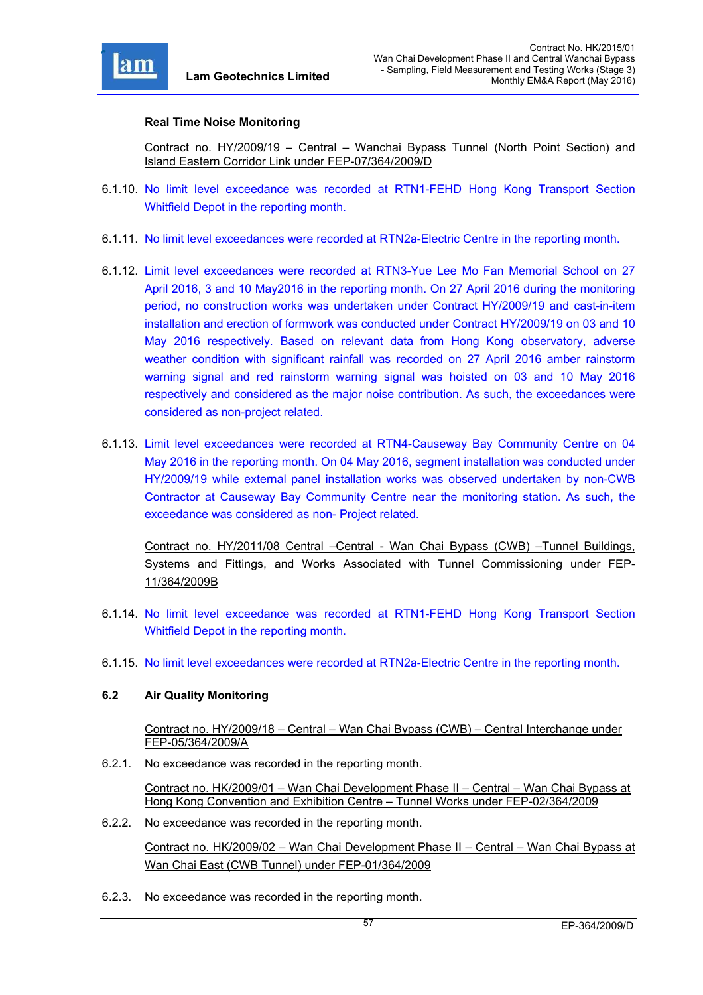

### **Real Time Noise Monitoring**

Contract no. HY/2009/19 – Central – Wanchai Bypass Tunnel (North Point Section) and Island Eastern Corridor Link under FEP-07/364/2009/D

- 6.1.10. No limit level exceedance was recorded at RTN1-FEHD Hong Kong Transport Section Whitfield Depot in the reporting month.
- 6.1.11. No limit level exceedances were recorded at RTN2a-Electric Centre in the reporting month.
- 6.1.12. Limit level exceedances were recorded at RTN3-Yue Lee Mo Fan Memorial School on 27 April 2016, 3 and 10 May2016 in the reporting month. On 27 April 2016 during the monitoring period, no construction works was undertaken under Contract HY/2009/19 and cast-in-item installation and erection of formwork was conducted under Contract HY/2009/19 on 03 and 10 May 2016 respectively. Based on relevant data from Hong Kong observatory, adverse weather condition with significant rainfall was recorded on 27 April 2016 amber rainstorm warning signal and red rainstorm warning signal was hoisted on 03 and 10 May 2016 respectively and considered as the major noise contribution. As such, the exceedances were considered as non-project related.
- 6.1.13. Limit level exceedances were recorded at RTN4-Causeway Bay Community Centre on 04 May 2016 in the reporting month. On 04 May 2016, segment installation was conducted under HY/2009/19 while external panel installation works was observed undertaken by non-CWB Contractor at Causeway Bay Community Centre near the monitoring station. As such, the exceedance was considered as non- Project related.

Contract no. HY/2011/08 Central –Central - Wan Chai Bypass (CWB) –Tunnel Buildings, Systems and Fittings, and Works Associated with Tunnel Commissioning under FEP-11/364/2009B

- 6.1.14. No limit level exceedance was recorded at RTN1-FEHD Hong Kong Transport Section Whitfield Depot in the reporting month.
- 6.1.15. No limit level exceedances were recorded at RTN2a-Electric Centre in the reporting month.

# **6.2 Air Quality Monitoring**

Contract no. HY/2009/18 – Central – Wan Chai Bypass (CWB) – Central Interchange under FEP-05/364/2009/A

6.2.1. No exceedance was recorded in the reporting month.

Contract no. HK/2009/01 – Wan Chai Development Phase II – Central – Wan Chai Bypass at Hong Kong Convention and Exhibition Centre – Tunnel Works under FEP-02/364/2009

6.2.2. No exceedance was recorded in the reporting month.

Contract no. HK/2009/02 – Wan Chai Development Phase II – Central – Wan Chai Bypass at Wan Chai East (CWB Tunnel) under FEP-01/364/2009

6.2.3. No exceedance was recorded in the reporting month.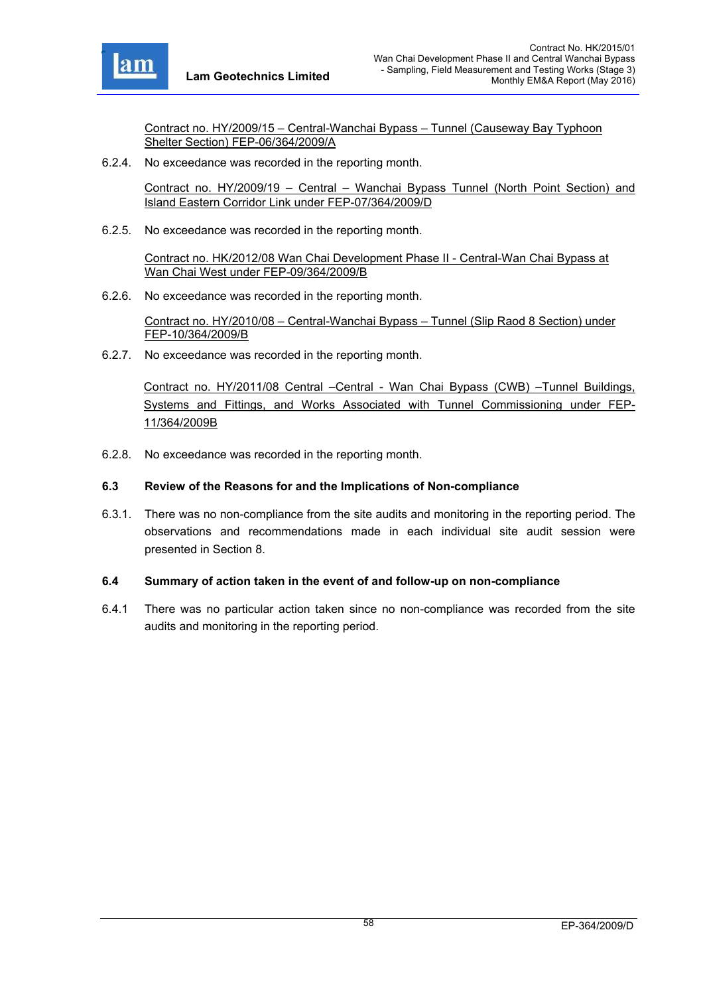

Contract no. HY/2009/15 – Central-Wanchai Bypass – Tunnel (Causeway Bay Typhoon Shelter Section) FEP-06/364/2009/A

6.2.4. No exceedance was recorded in the reporting month.

Contract no. HY/2009/19 – Central – Wanchai Bypass Tunnel (North Point Section) and Island Eastern Corridor Link under FEP-07/364/2009/D

6.2.5. No exceedance was recorded in the reporting month.

Contract no. HK/2012/08 Wan Chai Development Phase II - Central-Wan Chai Bypass at Wan Chai West under FEP-09/364/2009/B

6.2.6. No exceedance was recorded in the reporting month.

Contract no. HY/2010/08 – Central-Wanchai Bypass – Tunnel (Slip Raod 8 Section) under FEP-10/364/2009/B

6.2.7. No exceedance was recorded in the reporting month.

Contract no. HY/2011/08 Central –Central - Wan Chai Bypass (CWB) –Tunnel Buildings, Systems and Fittings, and Works Associated with Tunnel Commissioning under FEP-11/364/2009B

6.2.8. No exceedance was recorded in the reporting month.

### **6.3 Review of the Reasons for and the Implications of Non-compliance**

6.3.1. There was no non-compliance from the site audits and monitoring in the reporting period. The observations and recommendations made in each individual site audit session were presented in Section 8.

#### **6.4 Summary of action taken in the event of and follow-up on non-compliance**

6.4.1 There was no particular action taken since no non-compliance was recorded from the site audits and monitoring in the reporting period.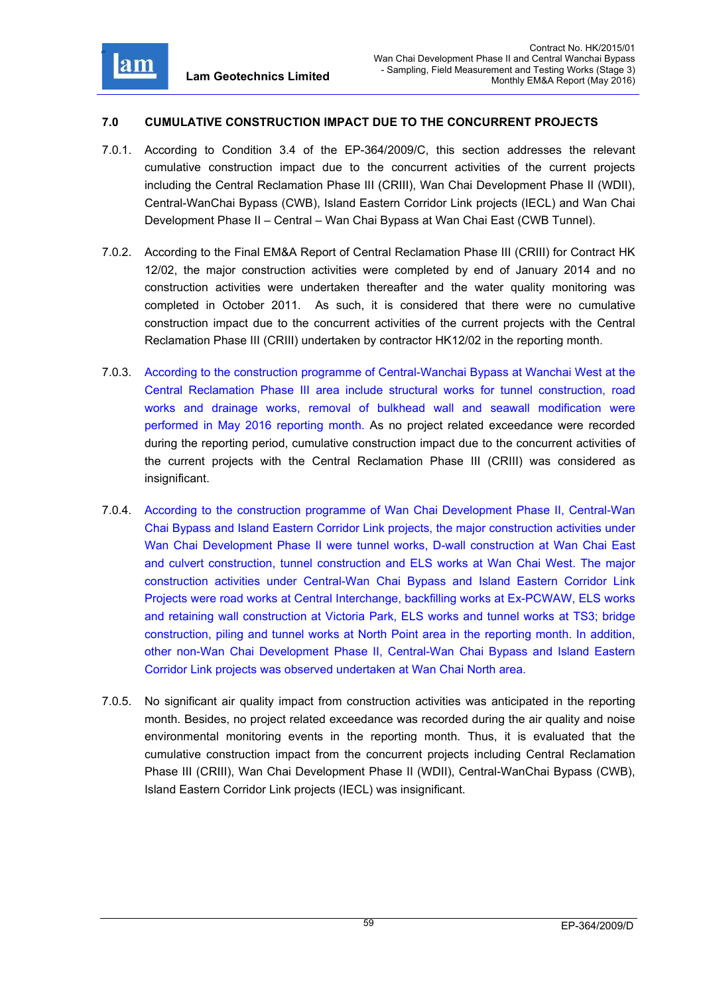

# **7.0 CUMULATIVE CONSTRUCTION IMPACT DUE TO THE CONCURRENT PROJECTS**

- 7.0.1. According to Condition 3.4 of the EP-364/2009/C, this section addresses the relevant cumulative construction impact due to the concurrent activities of the current projects including the Central Reclamation Phase III (CRIII), Wan Chai Development Phase II (WDII), Central-WanChai Bypass (CWB), Island Eastern Corridor Link projects (IECL) and Wan Chai Development Phase II – Central – Wan Chai Bypass at Wan Chai East (CWB Tunnel).
- 7.0.2. According to the Final EM&A Report of Central Reclamation Phase III (CRIII) for Contract HK 12/02, the major construction activities were completed by end of January 2014 and no construction activities were undertaken thereafter and the water quality monitoring was completed in October 2011. As such, it is considered that there were no cumulative construction impact due to the concurrent activities of the current projects with the Central Reclamation Phase III (CRIII) undertaken by contractor HK12/02 in the reporting month.
- 7.0.3. According to the construction programme of Central-Wanchai Bypass at Wanchai West at the Central Reclamation Phase III area include structural works for tunnel construction, road works and drainage works, removal of bulkhead wall and seawall modification were performed in May 2016 reporting month. As no project related exceedance were recorded during the reporting period, cumulative construction impact due to the concurrent activities of the current projects with the Central Reclamation Phase III (CRIII) was considered as insignificant.
- 7.0.4. According to the construction programme of Wan Chai Development Phase II, Central-Wan Chai Bypass and Island Eastern Corridor Link projects, the major construction activities under Wan Chai Development Phase II were tunnel works, D-wall construction at Wan Chai East and culvert construction, tunnel construction and ELS works at Wan Chai West. The major construction activities under Central-Wan Chai Bypass and Island Eastern Corridor Link Projects were road works at Central Interchange, backfilling works at Ex-PCWAW, ELS works and retaining wall construction at Victoria Park, ELS works and tunnel works at TS3; bridge construction, piling and tunnel works at North Point area in the reporting month. In addition, other non-Wan Chai Development Phase II, Central-Wan Chai Bypass and Island Eastern Corridor Link projects was observed undertaken at Wan Chai North area.
- 7.0.5. No significant air quality impact from construction activities was anticipated in the reporting month. Besides, no project related exceedance was recorded during the air quality and noise environmental monitoring events in the reporting month. Thus, it is evaluated that the cumulative construction impact from the concurrent projects including Central Reclamation Phase III (CRIII), Wan Chai Development Phase II (WDII), Central-WanChai Bypass (CWB), Island Eastern Corridor Link projects (IECL) was insignificant.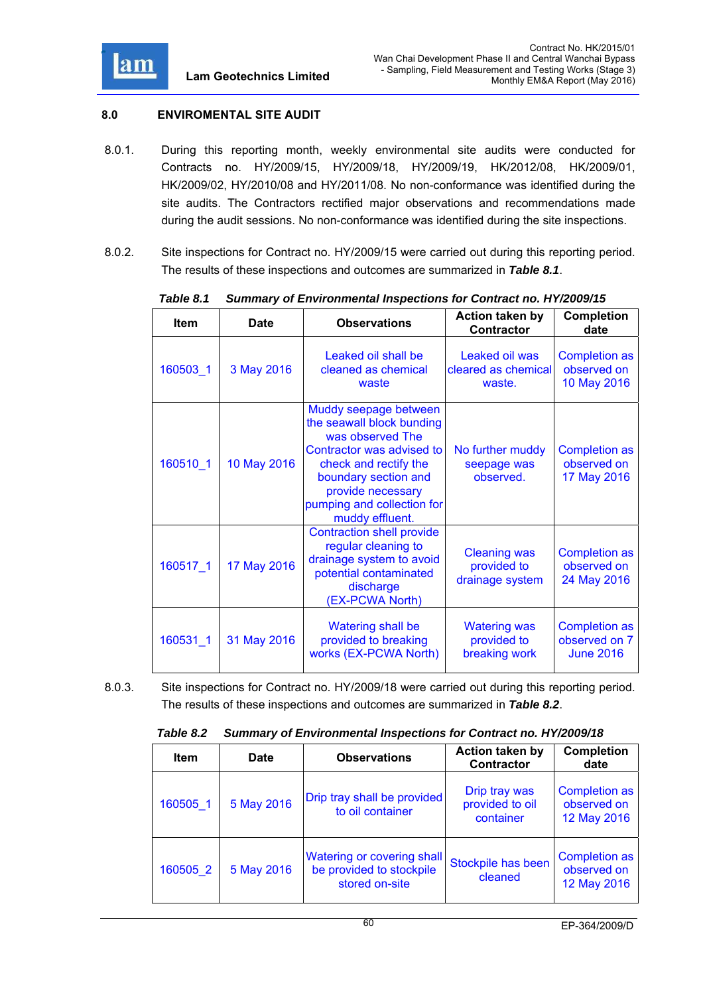

# **8.0 ENVIROMENTAL SITE AUDIT**

- 8.0.1. During this reporting month, weekly environmental site audits were conducted for Contracts no. HY/2009/15, HY/2009/18, HY/2009/19, HK/2012/08, HK/2009/01, HK/2009/02, HY/2010/08 and HY/2011/08. No non-conformance was identified during the site audits. The Contractors rectified major observations and recommendations made during the audit sessions. No non-conformance was identified during the site inspections.
- 8.0.2. Site inspections for Contract no. HY/2009/15 were carried out during this reporting period. The results of these inspections and outcomes are summarized in *Table 8.1*.

| <b>Item</b> | <b>Date</b> | <b>Observations</b>                                                                                                                                                                                                        | <b>Action taken by</b><br><b>Contractor</b>           | <b>Completion</b><br>date                                 |
|-------------|-------------|----------------------------------------------------------------------------------------------------------------------------------------------------------------------------------------------------------------------------|-------------------------------------------------------|-----------------------------------------------------------|
| 160503_1    | 3 May 2016  | Leaked oil shall be<br>cleaned as chemical<br>waste                                                                                                                                                                        | Leaked oil was<br>cleared as chemical<br>waste.       | <b>Completion as</b><br>observed on<br>10 May 2016        |
| 160510 1    | 10 May 2016 | Muddy seepage between<br>the seawall block bunding<br>was observed The<br>Contractor was advised to<br>check and rectify the<br>boundary section and<br>provide necessary<br>pumping and collection for<br>muddy effluent. | No further muddy<br>seepage was<br>observed.          | <b>Completion as</b><br>observed on<br>17 May 2016        |
| 160517 1    | 17 May 2016 | <b>Contraction shell provide</b><br>regular cleaning to<br>drainage system to avoid<br>potential contaminated<br>discharge<br>(EX-PCWA North)                                                                              | <b>Cleaning was</b><br>provided to<br>drainage system | <b>Completion as</b><br>observed on<br>24 May 2016        |
| 160531 1    | 31 May 2016 | <b>Watering shall be</b><br>provided to breaking<br>works (EX-PCWA North)                                                                                                                                                  | <b>Watering was</b><br>provided to<br>breaking work   | <b>Completion as</b><br>observed on 7<br><b>June 2016</b> |

*Table 8.1 Summary of Environmental Inspections for Contract no. HY/2009/15* 

8.0.3. Site inspections for Contract no. HY/2009/18 were carried out during this reporting period. The results of these inspections and outcomes are summarized in *Table 8.2*.

| Table 8.2 | <b>Summary of Environmental Inspections for Contract no. HY/2009/18</b> |
|-----------|-------------------------------------------------------------------------|
|           |                                                                         |

| <b>Item</b> | <b>Date</b> | <b>Observations</b>                                                      | <b>Action taken by</b><br>Contractor          | <b>Completion</b><br>date                          |
|-------------|-------------|--------------------------------------------------------------------------|-----------------------------------------------|----------------------------------------------------|
| 160505 1    | 5 May 2016  | Drip tray shall be provided<br>to oil container                          | Drip tray was<br>provided to oil<br>container | <b>Completion as</b><br>observed on<br>12 May 2016 |
| 160505 2    | 5 May 2016  | Watering or covering shall<br>be provided to stockpile<br>stored on-site | Stockpile has been<br>cleaned                 | <b>Completion as</b><br>observed on<br>12 May 2016 |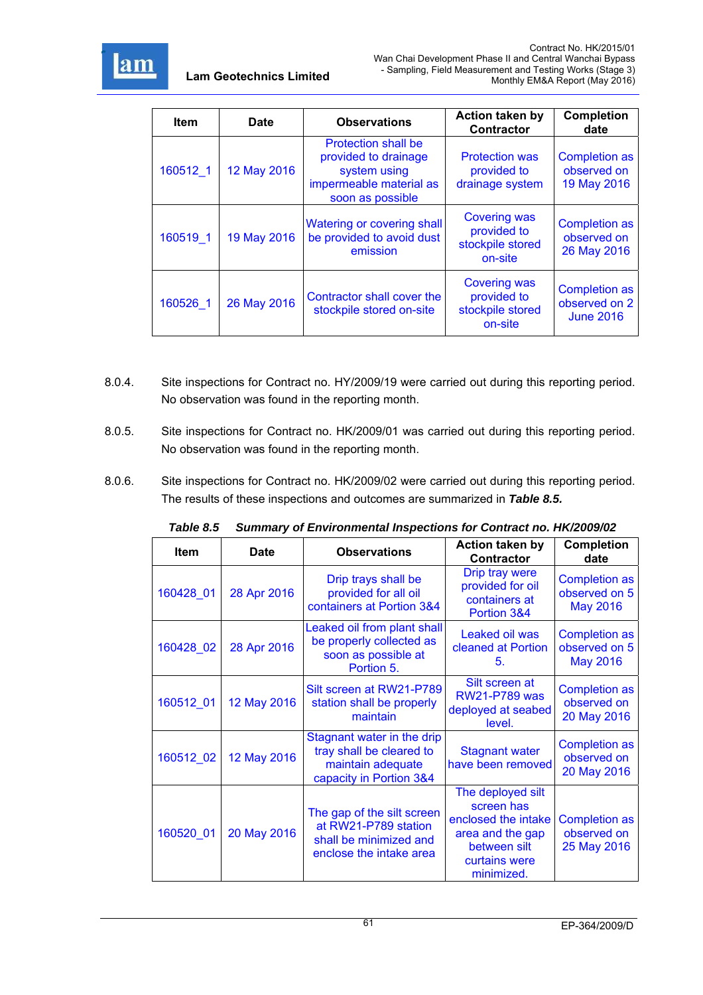

| <b>Item</b> | <b>Date</b> | <b>Observations</b>                                                                                        | <b>Action taken by</b><br><b>Contractor</b>                       | <b>Completion</b><br>date                                 |
|-------------|-------------|------------------------------------------------------------------------------------------------------------|-------------------------------------------------------------------|-----------------------------------------------------------|
| 160512 1    | 12 May 2016 | Protection shall be<br>provided to drainage<br>system using<br>impermeable material as<br>soon as possible | <b>Protection was</b><br>provided to<br>drainage system           | <b>Completion as</b><br>observed on<br>19 May 2016        |
| 160519 1    | 19 May 2016 | Watering or covering shall<br>be provided to avoid dust<br>emission                                        | <b>Covering was</b><br>provided to<br>stockpile stored<br>on-site | <b>Completion as</b><br>observed on<br>26 May 2016        |
| 160526 1    | 26 May 2016 | Contractor shall cover the<br>stockpile stored on-site                                                     | <b>Covering was</b><br>provided to<br>stockpile stored<br>on-site | <b>Completion as</b><br>observed on 2<br><b>June 2016</b> |

- 8.0.4. Site inspections for Contract no. HY/2009/19 were carried out during this reporting period. No observation was found in the reporting month.
- 8.0.5. Site inspections for Contract no. HK/2009/01 was carried out during this reporting period. No observation was found in the reporting month.
- 8.0.6. Site inspections for Contract no. HK/2009/02 were carried out during this reporting period. The results of these inspections and outcomes are summarized in *Table 8.5.*

| <b>Item</b> | <b>Date</b> | <b>Observations</b>                                                                                     | <b>Action taken by</b><br><b>Contractor</b>                                                                               | <b>Completion</b><br>date                                |
|-------------|-------------|---------------------------------------------------------------------------------------------------------|---------------------------------------------------------------------------------------------------------------------------|----------------------------------------------------------|
| 160428 01   | 28 Apr 2016 | Drip trays shall be<br>provided for all oil<br>containers at Portion 3&4                                | Drip tray were<br>provided for oil<br>containers at<br>Portion 3&4                                                        | <b>Completion as</b><br>observed on 5<br><b>May 2016</b> |
| 160428 02   | 28 Apr 2016 | Leaked oil from plant shall<br>be properly collected as<br>soon as possible at<br>Portion 5.            | Leaked oil was<br>cleaned at Portion<br>5.                                                                                | <b>Completion as</b><br>observed on 5<br><b>May 2016</b> |
| 160512 01   | 12 May 2016 | Silt screen at RW21-P789<br>station shall be properly<br>maintain                                       | Silt screen at<br><b>RW21-P789 was</b><br>deployed at seabed<br>level.                                                    | <b>Completion as</b><br>observed on<br>20 May 2016       |
| 160512 02   | 12 May 2016 | Stagnant water in the drip<br>tray shall be cleared to<br>maintain adequate<br>capacity in Portion 3&4  | <b>Stagnant water</b><br>have been removed                                                                                | <b>Completion as</b><br>observed on<br>20 May 2016       |
| 160520 01   | 20 May 2016 | The gap of the silt screen<br>at RW21-P789 station<br>shall be minimized and<br>enclose the intake area | The deployed silt<br>screen has<br>enclosed the intake<br>area and the gap<br>between silt<br>curtains were<br>minimized. | <b>Completion as</b><br>observed on<br>25 May 2016       |

*Table 8.5 Summary of Environmental Inspections for Contract no. HK/2009/02*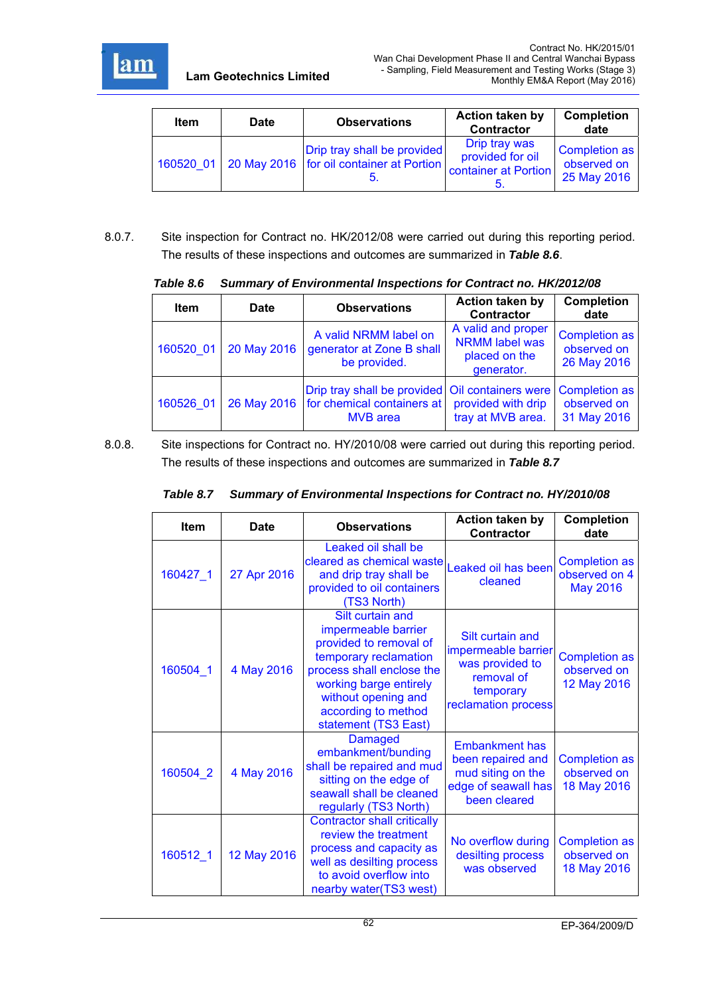

| <b>Item</b> | Date | <b>Observations</b>                                                                   | Action taken by<br><b>Contractor</b>                      | <b>Completion</b><br>date                   |
|-------------|------|---------------------------------------------------------------------------------------|-----------------------------------------------------------|---------------------------------------------|
|             |      | Drip tray shall be provided<br>160520 01   20 May 2016   for oil container at Portion | Drip tray was<br>provided for oil<br>container at Portion | Completion as<br>observed on<br>25 May 2016 |

8.0.7. Site inspection for Contract no. HK/2012/08 were carried out during this reporting period. The results of these inspections and outcomes are summarized in *Table 8.6*.

| <b>Item</b> | <b>Date</b> | <b>Observations</b>                                                                              | <b>Action taken by</b><br><b>Contractor</b>                                | <b>Completion</b><br>date                          |
|-------------|-------------|--------------------------------------------------------------------------------------------------|----------------------------------------------------------------------------|----------------------------------------------------|
| 160520 01   | 20 May 2016 | A valid NRMM label on<br>generator at Zone B shall<br>be provided.                               | A valid and proper<br><b>NRMM</b> label was<br>placed on the<br>generator. | <b>Completion as</b><br>observed on<br>26 May 2016 |
| 160526 01   | 26 May 2016 | Drip tray shall be provided Oil containers were<br>for chemical containers at<br><b>MVB</b> area | provided with drip<br>tray at MVB area.                                    | <b>Completion as</b><br>observed on<br>31 May 2016 |

 *Table 8.6 Summary of Environmental Inspections for Contract no. HK/2012/08* 

8.0.8. Site inspections for Contract no. HY/2010/08 were carried out during this reporting period. The results of these inspections and outcomes are summarized in *Table 8.7*

| <b>Item</b> | Date        | <b>Observations</b>                                                                                                                                                                                                     | <b>Action taken by</b><br><b>Contractor</b>                                                                  | <b>Completion</b><br>date                                |
|-------------|-------------|-------------------------------------------------------------------------------------------------------------------------------------------------------------------------------------------------------------------------|--------------------------------------------------------------------------------------------------------------|----------------------------------------------------------|
| 160427_1    | 27 Apr 2016 | Leaked oil shall be<br>cleared as chemical waste<br>and drip tray shall be<br>provided to oil containers<br>(TS3 North)                                                                                                 | Leaked oil has been<br>cleaned                                                                               | <b>Completion as</b><br>observed on 4<br><b>May 2016</b> |
| 160504 1    | 4 May 2016  | Silt curtain and<br>impermeable barrier<br>provided to removal of<br>temporary reclamation<br>process shall enclose the<br>working barge entirely<br>without opening and<br>according to method<br>statement (TS3 East) | Silt curtain and<br>impermeable barrier<br>was provided to<br>removal of<br>temporary<br>reclamation process | <b>Completion as</b><br>observed on<br>12 May 2016       |
| 160504 2    | 4 May 2016  | <b>Damaged</b><br>embankment/bunding<br>shall be repaired and mud<br>sitting on the edge of<br>seawall shall be cleaned<br>regularly (TS3 North)                                                                        | <b>Embankment has</b><br>been repaired and<br>mud siting on the<br>edge of seawall has<br>been cleared       | <b>Completion as</b><br>observed on<br>18 May 2016       |
| 160512_1    | 12 May 2016 | <b>Contractor shall critically</b><br>review the treatment<br>process and capacity as<br>well as desilting process<br>to avoid overflow into<br>nearby water(TS3 west)                                                  | No overflow during<br>desilting process<br>was observed                                                      | <b>Completion as</b><br>observed on<br>18 May 2016       |

# *Table 8.7 Summary of Environmental Inspections for Contract no. HY/2010/08*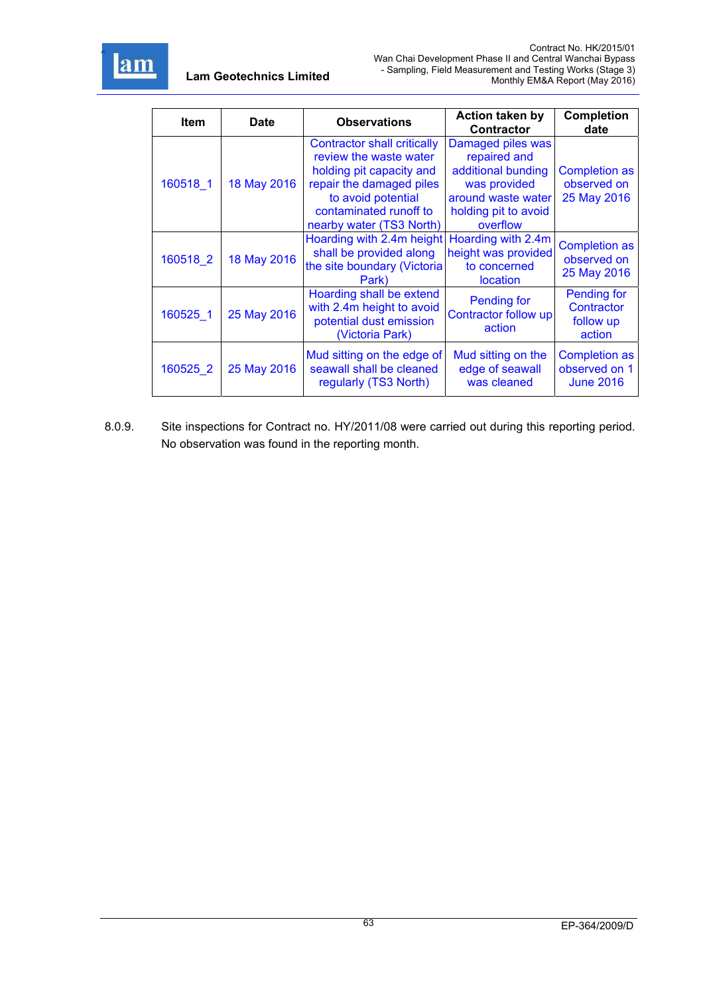

| Item     | <b>Date</b> | <b>Observations</b>                                                                                                                                                                       | <b>Action taken by</b><br><b>Contractor</b>                                                                                       | <b>Completion</b><br>date                                 |
|----------|-------------|-------------------------------------------------------------------------------------------------------------------------------------------------------------------------------------------|-----------------------------------------------------------------------------------------------------------------------------------|-----------------------------------------------------------|
| 160518 1 | 18 May 2016 | Contractor shall critically<br>review the waste water<br>holding pit capacity and<br>repair the damaged piles<br>to avoid potential<br>contaminated runoff to<br>nearby water (TS3 North) | Damaged piles was<br>repaired and<br>additional bunding<br>was provided<br>around waste water<br>holding pit to avoid<br>overflow | <b>Completion as</b><br>observed on<br>25 May 2016        |
| 160518 2 | 18 May 2016 | Hoarding with 2.4m height<br>shall be provided along<br>the site boundary (Victoria<br>Park)                                                                                              | Hoarding with 2.4m<br>height was provided<br>to concerned<br><b>location</b>                                                      | <b>Completion as</b><br>observed on<br>25 May 2016        |
| 160525 1 | 25 May 2016 | Hoarding shall be extend<br>with 2.4m height to avoid<br>potential dust emission<br>(Victoria Park)                                                                                       | <b>Pending for</b><br>Contractor follow up<br>action                                                                              | <b>Pending for</b><br>Contractor<br>follow up<br>action   |
| 160525 2 | 25 May 2016 | Mud sitting on the edge of<br>seawall shall be cleaned<br>regularly (TS3 North)                                                                                                           | Mud sitting on the<br>edge of seawall<br>was cleaned                                                                              | <b>Completion as</b><br>observed on 1<br><b>June 2016</b> |

8.0.9. Site inspections for Contract no. HY/2011/08 were carried out during this reporting period. No observation was found in the reporting month.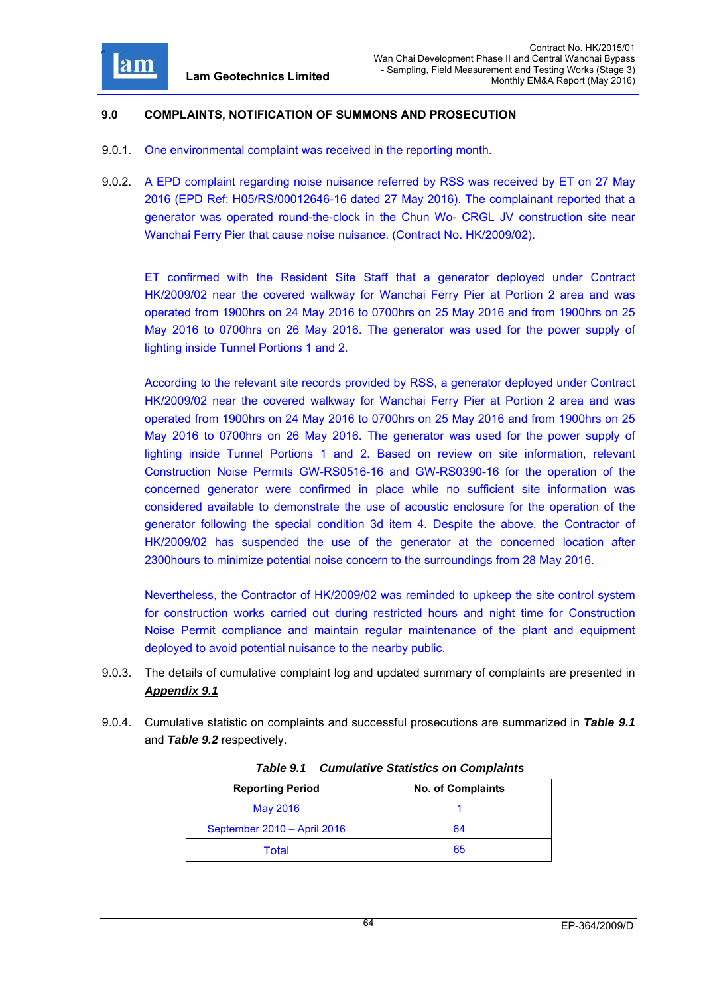

### **9.0 COMPLAINTS, NOTIFICATION OF SUMMONS AND PROSECUTION**

- 9.0.1. One environmental complaint was received in the reporting month.
- 9.0.2. A EPD complaint regarding noise nuisance referred by RSS was received by ET on 27 May 2016 (EPD Ref: H05/RS/00012646-16 dated 27 May 2016). The complainant reported that a generator was operated round-the-clock in the Chun Wo- CRGL JV construction site near Wanchai Ferry Pier that cause noise nuisance. (Contract No. HK/2009/02).

ET confirmed with the Resident Site Staff that a generator deployed under Contract HK/2009/02 near the covered walkway for Wanchai Ferry Pier at Portion 2 area and was operated from 1900hrs on 24 May 2016 to 0700hrs on 25 May 2016 and from 1900hrs on 25 May 2016 to 0700hrs on 26 May 2016. The generator was used for the power supply of lighting inside Tunnel Portions 1 and 2.

According to the relevant site records provided by RSS, a generator deployed under Contract HK/2009/02 near the covered walkway for Wanchai Ferry Pier at Portion 2 area and was operated from 1900hrs on 24 May 2016 to 0700hrs on 25 May 2016 and from 1900hrs on 25 May 2016 to 0700hrs on 26 May 2016. The generator was used for the power supply of lighting inside Tunnel Portions 1 and 2. Based on review on site information, relevant Construction Noise Permits GW-RS0516-16 and GW-RS0390-16 for the operation of the concerned generator were confirmed in place while no sufficient site information was considered available to demonstrate the use of acoustic enclosure for the operation of the generator following the special condition 3d item 4. Despite the above, the Contractor of HK/2009/02 has suspended the use of the generator at the concerned location after 2300hours to minimize potential noise concern to the surroundings from 28 May 2016.

Nevertheless, the Contractor of HK/2009/02 was reminded to upkeep the site control system for construction works carried out during restricted hours and night time for Construction Noise Permit compliance and maintain regular maintenance of the plant and equipment deployed to avoid potential nuisance to the nearby public.

- 9.0.3. The details of cumulative complaint log and updated summary of complaints are presented in *Appendix 9.1*
- 9.0.4. Cumulative statistic on complaints and successful prosecutions are summarized in *Table 9.1* and *Table 9.2* respectively.

| <b>Reporting Period</b>     | <b>No. of Complaints</b> |
|-----------------------------|--------------------------|
| May 2016                    |                          |
| September 2010 - April 2016 | 64                       |
| Total                       | 65                       |

*Table 9.1 Cumulative Statistics on Complaints*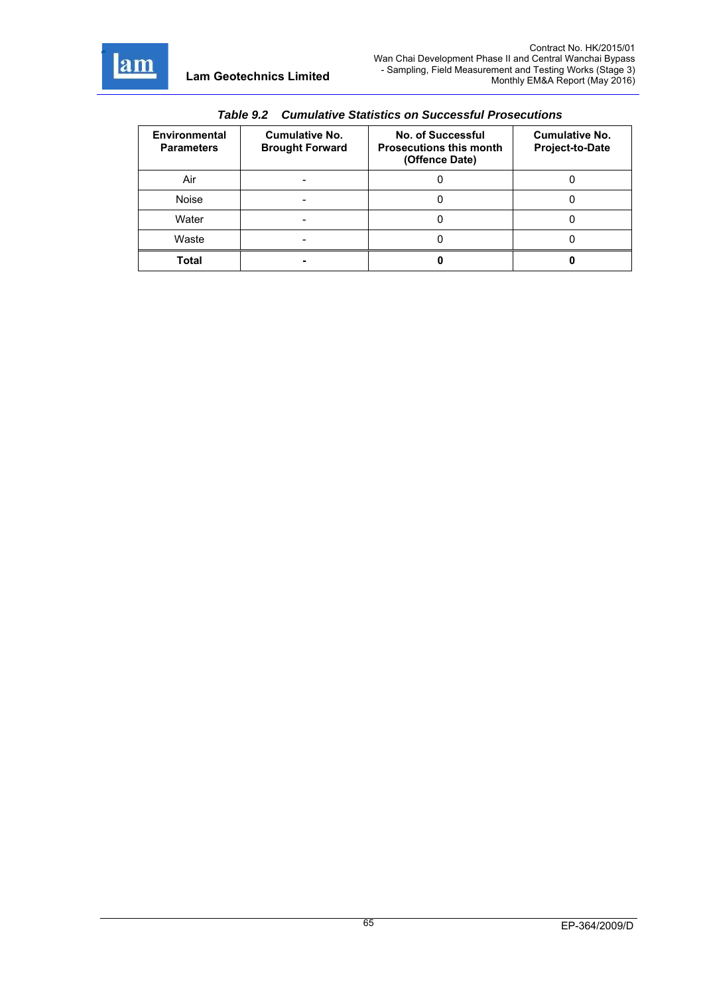

r

| Tadic J.L<br><u>Cumulative Statistics On Successium Flosecutions</u> |                                                 |                                                                              |                                                 |  |
|----------------------------------------------------------------------|-------------------------------------------------|------------------------------------------------------------------------------|-------------------------------------------------|--|
| <b>Environmental</b><br><b>Parameters</b>                            | <b>Cumulative No.</b><br><b>Brought Forward</b> | <b>No. of Successful</b><br><b>Prosecutions this month</b><br>(Offence Date) | <b>Cumulative No.</b><br><b>Project-to-Date</b> |  |
| Air                                                                  |                                                 |                                                                              |                                                 |  |
| Noise                                                                |                                                 |                                                                              |                                                 |  |
| Water                                                                |                                                 |                                                                              |                                                 |  |
| Waste                                                                |                                                 |                                                                              |                                                 |  |
| Total                                                                |                                                 |                                                                              |                                                 |  |

*Table 9.2 Cumulative Statistics on Successful Prosecutions*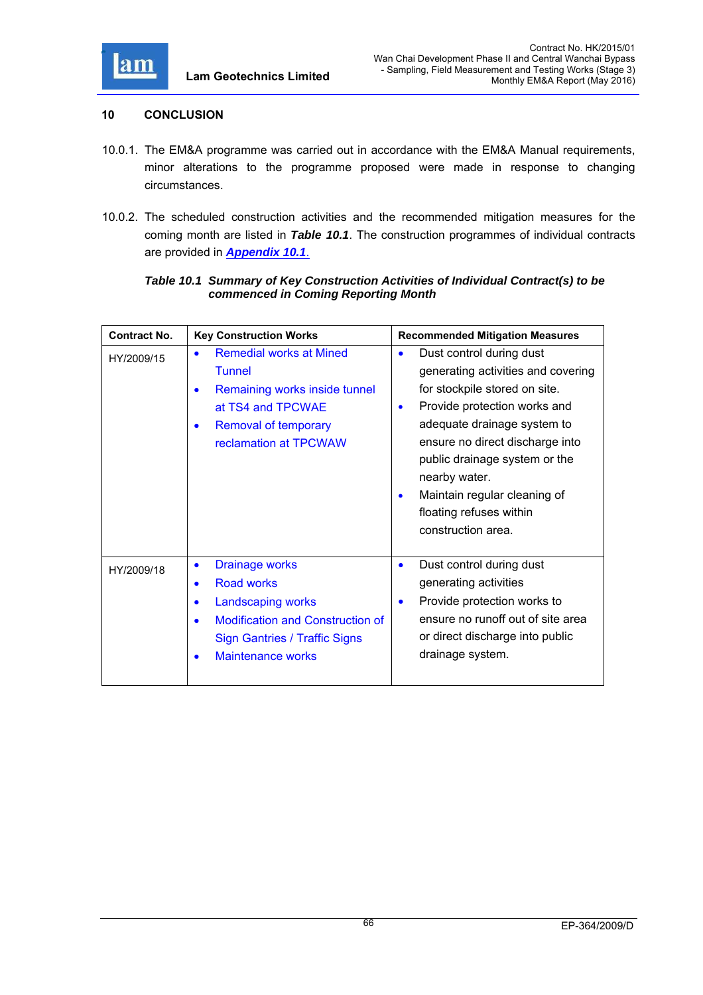

## **10 CONCLUSION**

- 10.0.1. The EM&A programme was carried out in accordance with the EM&A Manual requirements, minor alterations to the programme proposed were made in response to changing circumstances.
- 10.0.2. The scheduled construction activities and the recommended mitigation measures for the coming month are listed in *Table 10.1*. The construction programmes of individual contracts are provided in *Appendix 10.1*.

## *Table 10.1 Summary of Key Construction Activities of Individual Contract(s) to be commenced in Coming Reporting Month*

| <b>Contract No.</b> | <b>Key Construction Works</b>                                                                                                                                                                                                             | <b>Recommended Mitigation Measures</b>                                                                                                                                                                                                                                                                                                                                      |
|---------------------|-------------------------------------------------------------------------------------------------------------------------------------------------------------------------------------------------------------------------------------------|-----------------------------------------------------------------------------------------------------------------------------------------------------------------------------------------------------------------------------------------------------------------------------------------------------------------------------------------------------------------------------|
| HY/2009/15          | <b>Remedial works at Mined</b><br>$\bullet$<br><b>Tunnel</b><br>Remaining works inside tunnel<br>$\bullet$<br>at TS4 and TPCWAE<br><b>Removal of temporary</b><br>$\bullet$<br>reclamation at TPCWAW                                      | Dust control during dust<br>$\bullet$<br>generating activities and covering<br>for stockpile stored on site.<br>Provide protection works and<br>$\bullet$<br>adequate drainage system to<br>ensure no direct discharge into<br>public drainage system or the<br>nearby water.<br>Maintain regular cleaning of<br>$\bullet$<br>floating refuses within<br>construction area. |
| HY/2009/18          | <b>Drainage works</b><br>$\bullet$<br><b>Road works</b><br>$\bullet$<br><b>Landscaping works</b><br>$\bullet$<br><b>Modification and Construction of</b><br>$\bullet$<br><b>Sign Gantries / Traffic Signs</b><br><b>Maintenance works</b> | Dust control during dust<br>$\bullet$<br>generating activities<br>Provide protection works to<br>$\bullet$<br>ensure no runoff out of site area<br>or direct discharge into public<br>drainage system.                                                                                                                                                                      |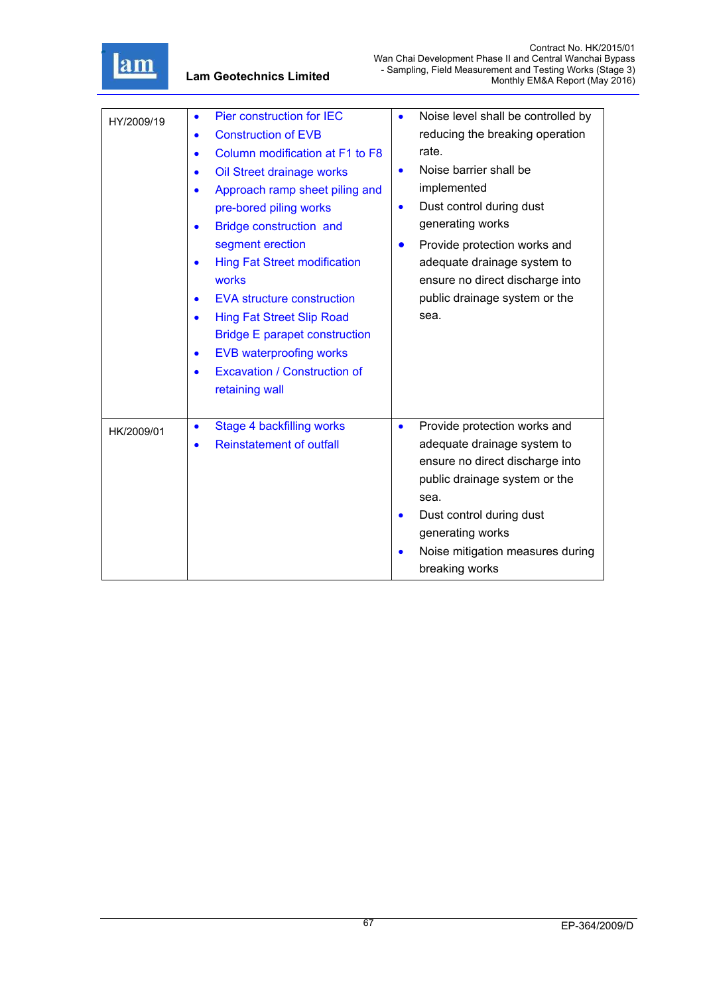

| HY/2009/19 | Pier construction for IEC<br>$\bullet$<br><b>Construction of EVB</b><br>$\bullet$<br>Column modification at F1 to F8<br>$\bullet$<br>Oil Street drainage works<br>$\bullet$<br>Approach ramp sheet piling and<br>$\bullet$<br>pre-bored piling works<br>Bridge construction and<br>segment erection<br><b>Hing Fat Street modification</b><br>$\bullet$<br>works<br><b>EVA structure construction</b><br>$\bullet$<br><b>Hing Fat Street Slip Road</b><br>$\bullet$<br><b>Bridge E parapet construction</b><br><b>EVB waterproofing works</b><br>$\bullet$<br><b>Excavation / Construction of</b><br>$\bullet$<br>retaining wall | Noise level shall be controlled by<br>$\bullet$<br>reducing the breaking operation<br>rate.<br>Noise barrier shall be<br>$\bullet$<br>implemented<br>Dust control during dust<br>$\bullet$<br>generating works<br>Provide protection works and<br>$\bullet$<br>adequate drainage system to<br>ensure no direct discharge into<br>public drainage system or the<br>sea. |
|------------|----------------------------------------------------------------------------------------------------------------------------------------------------------------------------------------------------------------------------------------------------------------------------------------------------------------------------------------------------------------------------------------------------------------------------------------------------------------------------------------------------------------------------------------------------------------------------------------------------------------------------------|------------------------------------------------------------------------------------------------------------------------------------------------------------------------------------------------------------------------------------------------------------------------------------------------------------------------------------------------------------------------|
| HK/2009/01 | Stage 4 backfilling works<br>$\bullet$<br><b>Reinstatement of outfall</b><br>$\bullet$                                                                                                                                                                                                                                                                                                                                                                                                                                                                                                                                           | Provide protection works and<br>$\bullet$<br>adequate drainage system to<br>ensure no direct discharge into<br>public drainage system or the<br>sea.<br>Dust control during dust<br>$\bullet$<br>generating works<br>Noise mitigation measures during<br>breaking works                                                                                                |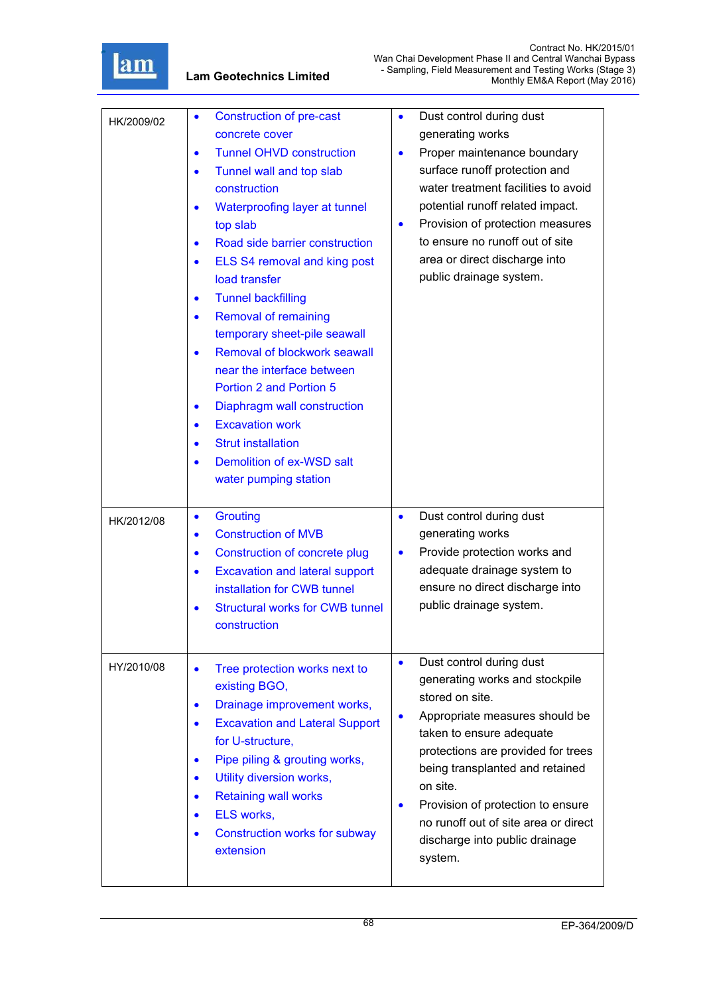

| HK/2009/02 | <b>Construction of pre-cast</b><br>$\bullet$<br>concrete cover<br><b>Tunnel OHVD construction</b><br>$\bullet$<br>Tunnel wall and top slab<br>$\bullet$<br>construction<br>Waterproofing layer at tunnel<br>$\bullet$<br>top slab<br>Road side barrier construction<br>$\bullet$<br>ELS S4 removal and king post<br>$\bullet$<br>load transfer<br><b>Tunnel backfilling</b><br>$\bullet$<br><b>Removal of remaining</b><br>$\bullet$<br>temporary sheet-pile seawall<br>Removal of blockwork seawall<br>$\bullet$<br>near the interface between<br><b>Portion 2 and Portion 5</b><br>Diaphragm wall construction<br>$\bullet$<br><b>Excavation work</b><br>$\bullet$<br><b>Strut installation</b><br>$\bullet$<br>Demolition of ex-WSD salt<br>٠<br>water pumping station | Dust control during dust<br>$\bullet$<br>generating works<br>Proper maintenance boundary<br>$\bullet$<br>surface runoff protection and<br>water treatment facilities to avoid<br>potential runoff related impact.<br>Provision of protection measures<br>$\bullet$<br>to ensure no runoff out of site<br>area or direct discharge into<br>public drainage system.                                 |
|------------|---------------------------------------------------------------------------------------------------------------------------------------------------------------------------------------------------------------------------------------------------------------------------------------------------------------------------------------------------------------------------------------------------------------------------------------------------------------------------------------------------------------------------------------------------------------------------------------------------------------------------------------------------------------------------------------------------------------------------------------------------------------------------|---------------------------------------------------------------------------------------------------------------------------------------------------------------------------------------------------------------------------------------------------------------------------------------------------------------------------------------------------------------------------------------------------|
| HK/2012/08 | <b>Grouting</b><br>$\bullet$<br><b>Construction of MVB</b><br>$\bullet$<br><b>Construction of concrete plug</b><br>$\bullet$<br><b>Excavation and lateral support</b><br>$\bullet$<br>installation for CWB tunnel<br><b>Structural works for CWB tunnel</b><br>$\bullet$<br>construction                                                                                                                                                                                                                                                                                                                                                                                                                                                                                  | Dust control during dust<br>$\bullet$<br>generating works<br>Provide protection works and<br>$\bullet$<br>adequate drainage system to<br>ensure no direct discharge into<br>public drainage system.                                                                                                                                                                                               |
| HY/2010/08 | Tree protection works next to<br>$\bullet$<br>existing BGO,<br>Drainage improvement works,<br>$\bullet$<br><b>Excavation and Lateral Support</b><br>$\bullet$<br>for U-structure,<br>Pipe piling & grouting works,<br>$\bullet$<br>Utility diversion works,<br>$\bullet$<br><b>Retaining wall works</b><br>$\bullet$<br>ELS works,<br>$\bullet$<br><b>Construction works for subway</b><br>$\bullet$<br>extension                                                                                                                                                                                                                                                                                                                                                         | Dust control during dust<br>$\bullet$<br>generating works and stockpile<br>stored on site.<br>Appropriate measures should be<br>$\bullet$<br>taken to ensure adequate<br>protections are provided for trees<br>being transplanted and retained<br>on site.<br>Provision of protection to ensure<br>$\bullet$<br>no runoff out of site area or direct<br>discharge into public drainage<br>system. |